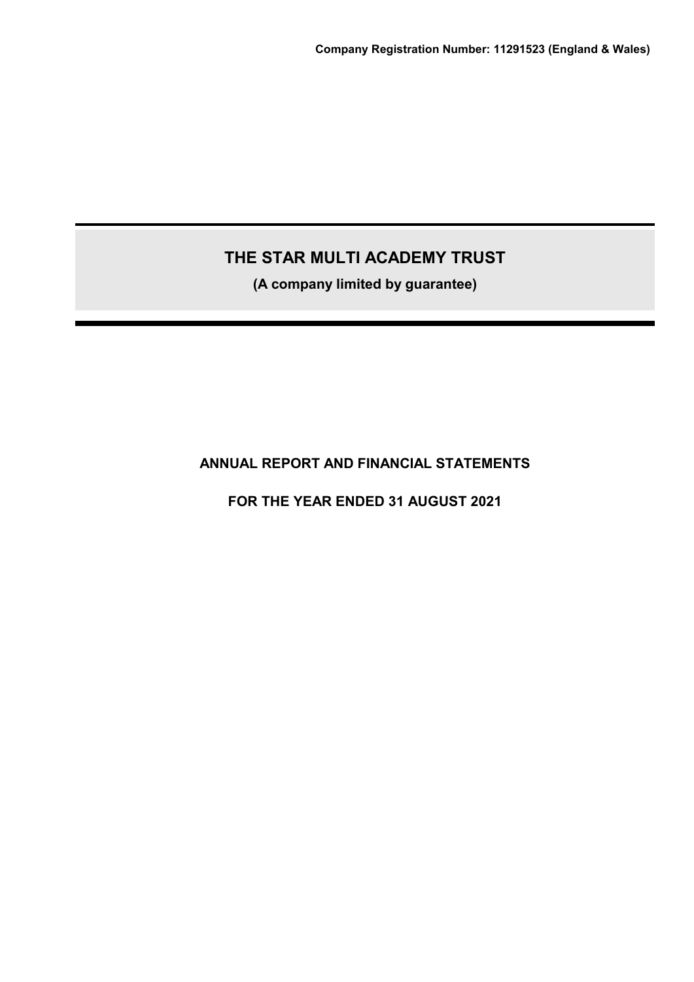**(A company limited by guarantee)**

**ANNUAL REPORT AND FINANCIAL STATEMENTS**

**FOR THE YEAR ENDED 31 AUGUST 2021**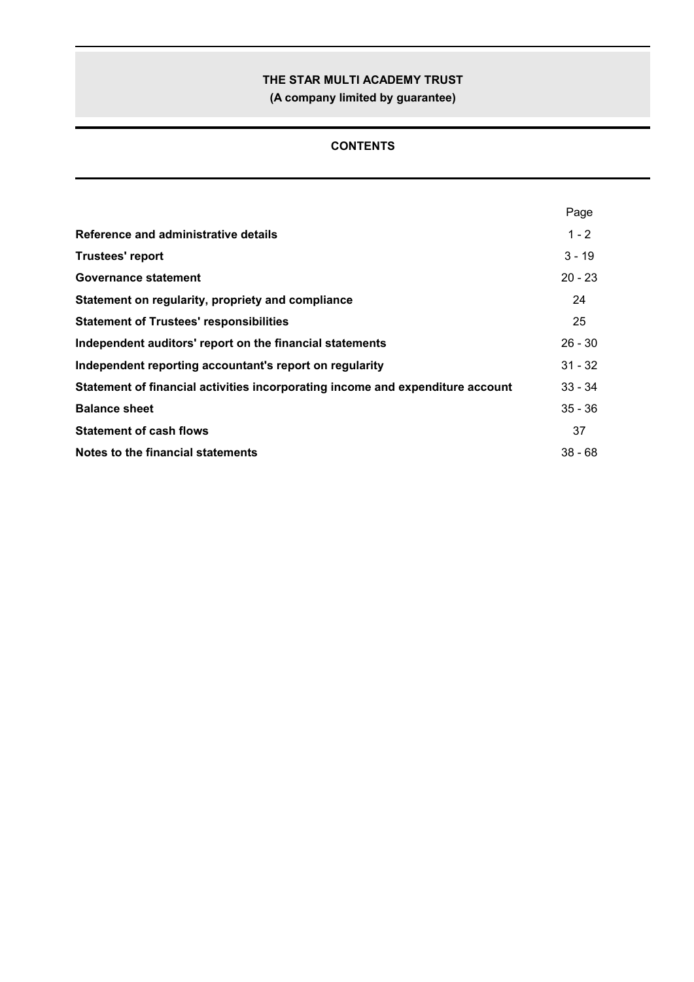**(A company limited by guarantee)**

## **CONTENTS**

|                                                                                | Page      |
|--------------------------------------------------------------------------------|-----------|
| Reference and administrative details                                           | $1 - 2$   |
| <b>Trustees' report</b>                                                        | $3 - 19$  |
| Governance statement                                                           | $20 - 23$ |
| Statement on regularity, propriety and compliance                              | 24        |
| <b>Statement of Trustees' responsibilities</b>                                 | 25        |
| Independent auditors' report on the financial statements                       | $26 - 30$ |
| Independent reporting accountant's report on regularity                        | $31 - 32$ |
| Statement of financial activities incorporating income and expenditure account | $33 - 34$ |
| <b>Balance sheet</b>                                                           | $35 - 36$ |
| <b>Statement of cash flows</b>                                                 | 37        |
| Notes to the financial statements                                              | $38 - 68$ |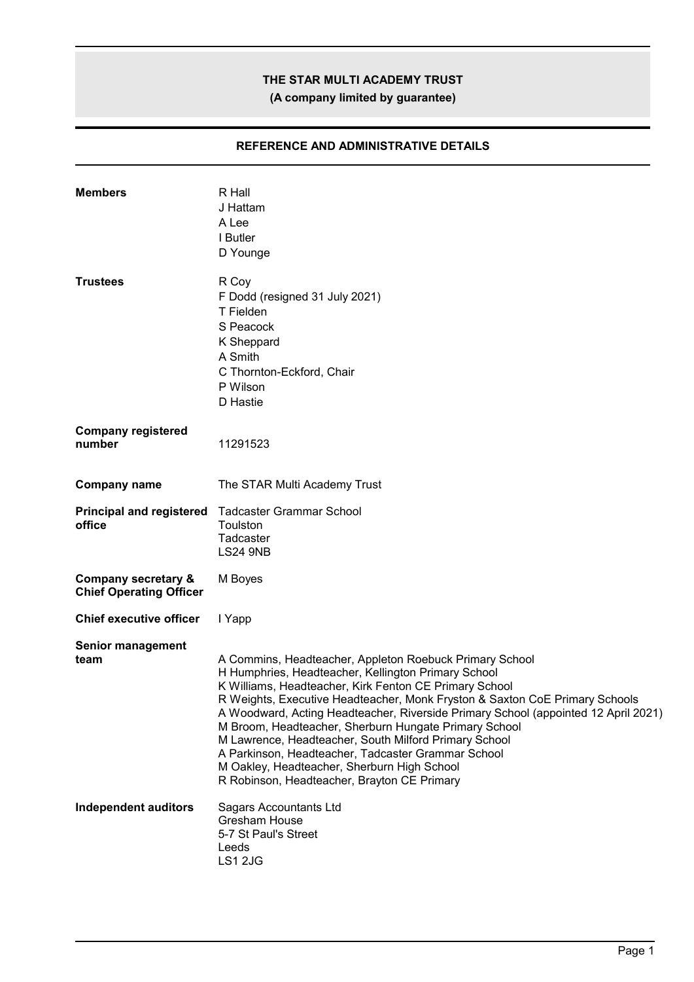**(A company limited by guarantee)**

## **REFERENCE AND ADMINISTRATIVE DETAILS**

| <b>Members</b>                                                   | R Hall<br>J Hattam<br>A Lee<br>I Butler<br>D Younge                                                                                                                                                                                                                                                                                                                                                                                                                                                                                                                                                                 |
|------------------------------------------------------------------|---------------------------------------------------------------------------------------------------------------------------------------------------------------------------------------------------------------------------------------------------------------------------------------------------------------------------------------------------------------------------------------------------------------------------------------------------------------------------------------------------------------------------------------------------------------------------------------------------------------------|
| <b>Trustees</b>                                                  | R Coy<br>F Dodd (resigned 31 July 2021)<br>T Fielden<br>S Peacock<br>K Sheppard<br>A Smith<br>C Thornton-Eckford, Chair<br>P Wilson<br>D Hastie                                                                                                                                                                                                                                                                                                                                                                                                                                                                     |
| <b>Company registered</b><br>number                              | 11291523                                                                                                                                                                                                                                                                                                                                                                                                                                                                                                                                                                                                            |
| <b>Company name</b>                                              | The STAR Multi Academy Trust                                                                                                                                                                                                                                                                                                                                                                                                                                                                                                                                                                                        |
| <b>Principal and registered</b><br>office                        | <b>Tadcaster Grammar School</b><br>Toulston<br>Tadcaster<br><b>LS24 9NB</b>                                                                                                                                                                                                                                                                                                                                                                                                                                                                                                                                         |
| <b>Company secretary &amp;</b><br><b>Chief Operating Officer</b> | M Boyes                                                                                                                                                                                                                                                                                                                                                                                                                                                                                                                                                                                                             |
| <b>Chief executive officer</b>                                   | I Yapp                                                                                                                                                                                                                                                                                                                                                                                                                                                                                                                                                                                                              |
| Senior management<br>team                                        | A Commins, Headteacher, Appleton Roebuck Primary School<br>H Humphries, Headteacher, Kellington Primary School<br>K Williams, Headteacher, Kirk Fenton CE Primary School<br>R Weights, Executive Headteacher, Monk Fryston & Saxton CoE Primary Schools<br>A Woodward, Acting Headteacher, Riverside Primary School (appointed 12 April 2021)<br>M Broom, Headteacher, Sherburn Hungate Primary School<br>M Lawrence, Headteacher, South Milford Primary School<br>A Parkinson, Headteacher, Tadcaster Grammar School<br>M Oakley, Headteacher, Sherburn High School<br>R Robinson, Headteacher, Brayton CE Primary |
| <b>Independent auditors</b>                                      | <b>Sagars Accountants Ltd</b><br>Gresham House<br>5-7 St Paul's Street<br>Leeds<br>LS1 2JG                                                                                                                                                                                                                                                                                                                                                                                                                                                                                                                          |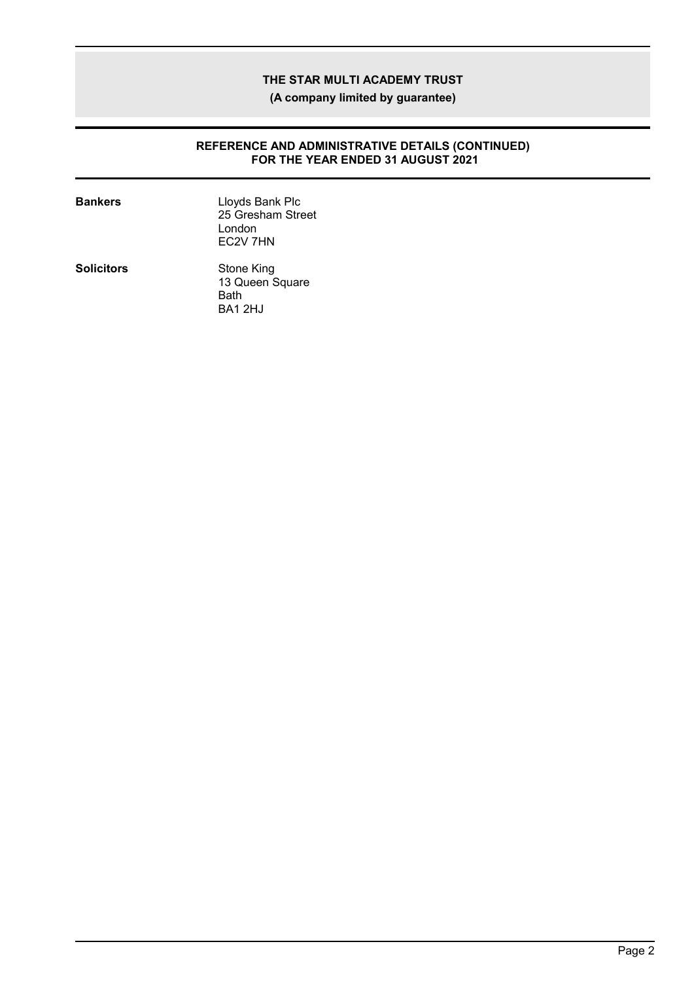**(A company limited by guarantee)**

#### **REFERENCE AND ADMINISTRATIVE DETAILS (CONTINUED) FOR THE YEAR ENDED 31 AUGUST 2021**

| <b>Bankers</b>    | Lloyds Bank Plc<br>25 Gresham Street<br>I ondon<br>EC <sub>2V</sub> 7HN |
|-------------------|-------------------------------------------------------------------------|
| <b>Solicitors</b> | Stone King<br>13 Queen Square<br>Bath<br>BA1 2HJ                        |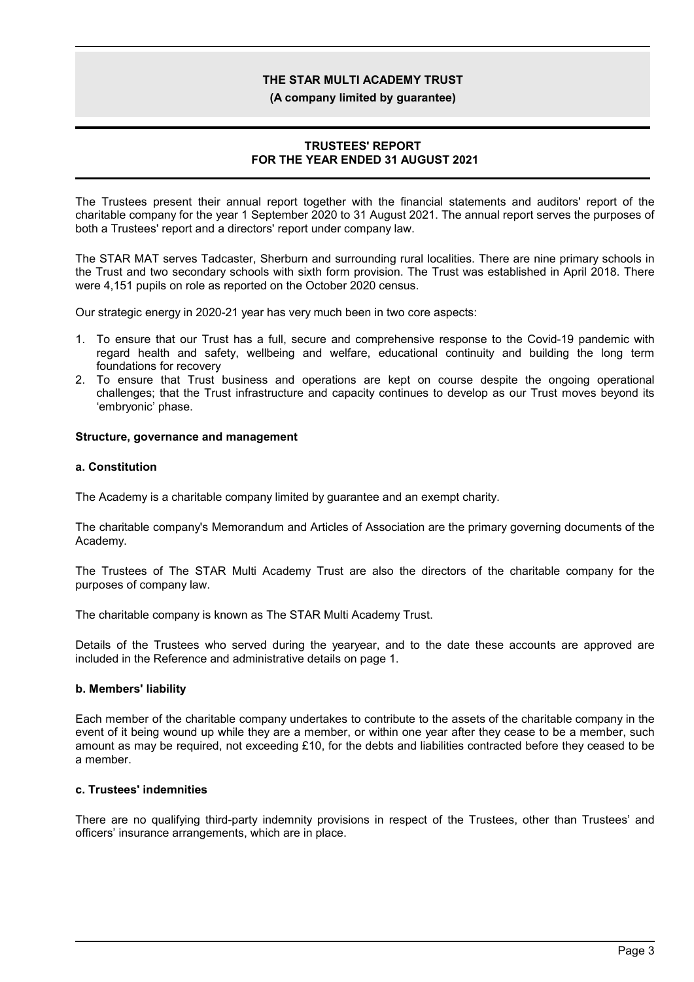#### **(A company limited by guarantee)**

### **TRUSTEES' REPORT FOR THE YEAR ENDED 31 AUGUST 2021**

The Trustees present their annual report together with the financial statements and auditors' report of the charitable company for the year 1 September 2020 to 31 August 2021. The annual report serves the purposes of both a Trustees' report and a directors' report under company law.

The STAR MAT serves Tadcaster, Sherburn and surrounding rural localities. There are nine primary schools in the Trust and two secondary schools with sixth form provision. The Trust was established in April 2018. There were 4,151 pupils on role as reported on the October 2020 census.

Our strategic energy in 2020-21 year has very much been in two core aspects:

- 1. To ensure that our Trust has a full, secure and comprehensive response to the Covid-19 pandemic with regard health and safety, wellbeing and welfare, educational continuity and building the long term foundations for recovery
- 2. To ensure that Trust business and operations are kept on course despite the ongoing operational challenges; that the Trust infrastructure and capacity continues to develop as our Trust moves beyond its 'embryonic' phase.

#### **Structure, governance and management**

#### **a. Constitution**

The Academy is a charitable company limited by guarantee and an exempt charity.

The charitable company's Memorandum and Articles of Association are the primary governing documents of the Academy.

The Trustees of The STAR Multi Academy Trust are also the directors of the charitable company for the purposes of company law.

The charitable company is known as The STAR Multi Academy Trust.

Details of the Trustees who served during the yearyear, and to the date these accounts are approved are included in the Reference and administrative details on page 1.

### **b. Members' liability**

Each member of the charitable company undertakes to contribute to the assets of the charitable company in the event of it being wound up while they are a member, or within one year after they cease to be a member, such amount as may be required, not exceeding £10, for the debts and liabilities contracted before they ceased to be a member.

### **c. Trustees' indemnities**

There are no qualifying third-party indemnity provisions in respect of the Trustees, other than Trustees' and officers' insurance arrangements, which are in place.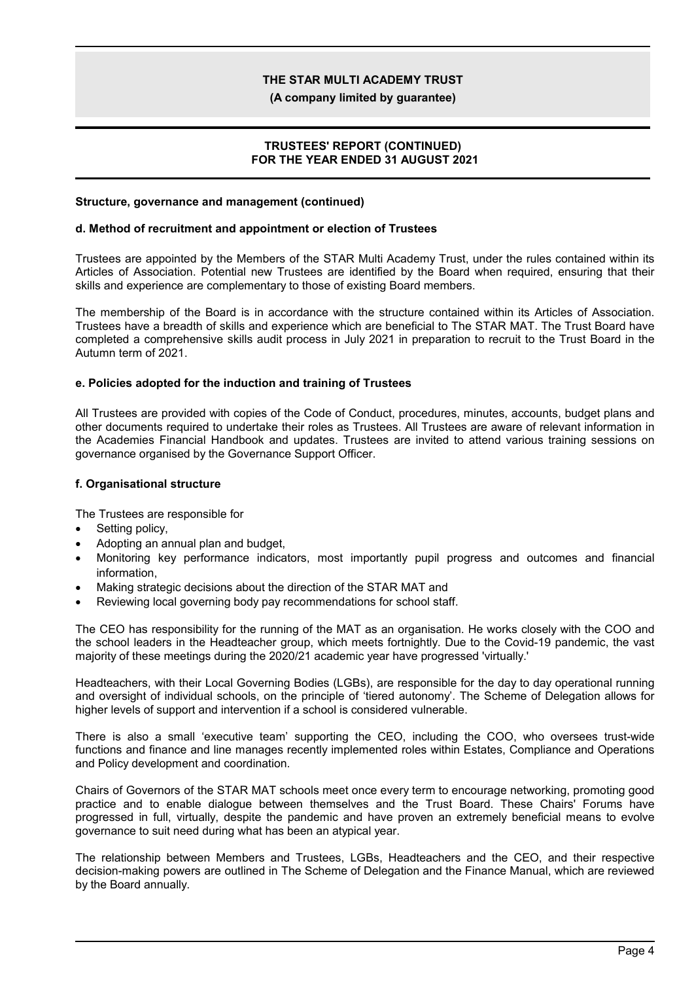**(A company limited by guarantee)**

### **TRUSTEES' REPORT (CONTINUED) FOR THE YEAR ENDED 31 AUGUST 2021**

### **Structure, governance and management (continued)**

#### **d. Method of recruitment and appointment or election of Trustees**

Trustees are appointed by the Members of the STAR Multi Academy Trust, under the rules contained within its Articles of Association. Potential new Trustees are identified by the Board when required, ensuring that their skills and experience are complementary to those of existing Board members.

The membership of the Board is in accordance with the structure contained within its Articles of Association. Trustees have a breadth of skills and experience which are beneficial to The STAR MAT. The Trust Board have completed a comprehensive skills audit process in July 2021 in preparation to recruit to the Trust Board in the Autumn term of 2021.

#### **e. Policies adopted for the induction and training of Trustees**

All Trustees are provided with copies of the Code of Conduct, procedures, minutes, accounts, budget plans and other documents required to undertake their roles as Trustees. All Trustees are aware of relevant information in the Academies Financial Handbook and updates. Trustees are invited to attend various training sessions on governance organised by the Governance Support Officer.

#### **f. Organisational structure**

The Trustees are responsible for

- Setting policy,
- Adopting an annual plan and budget,
- Monitoring key performance indicators, most importantly pupil progress and outcomes and financial information,
- Making strategic decisions about the direction of the STAR MAT and
- Reviewing local governing body pay recommendations for school staff.

The CEO has responsibility for the running of the MAT as an organisation. He works closely with the COO and the school leaders in the Headteacher group, which meets fortnightly. Due to the Covid-19 pandemic, the vast majority of these meetings during the 2020/21 academic year have progressed 'virtually.'

Headteachers, with their Local Governing Bodies (LGBs), are responsible for the day to day operational running and oversight of individual schools, on the principle of 'tiered autonomy'. The Scheme of Delegation allows for higher levels of support and intervention if a school is considered vulnerable.

There is also a small 'executive team' supporting the CEO, including the COO, who oversees trust-wide functions and finance and line manages recently implemented roles within Estates, Compliance and Operations and Policy development and coordination.

Chairs of Governors of the STAR MAT schools meet once every term to encourage networking, promoting good practice and to enable dialogue between themselves and the Trust Board. These Chairs' Forums have progressed in full, virtually, despite the pandemic and have proven an extremely beneficial means to evolve governance to suit need during what has been an atypical year.

The relationship between Members and Trustees, LGBs, Headteachers and the CEO, and their respective decision-making powers are outlined in The Scheme of Delegation and the Finance Manual, which are reviewed by the Board annually.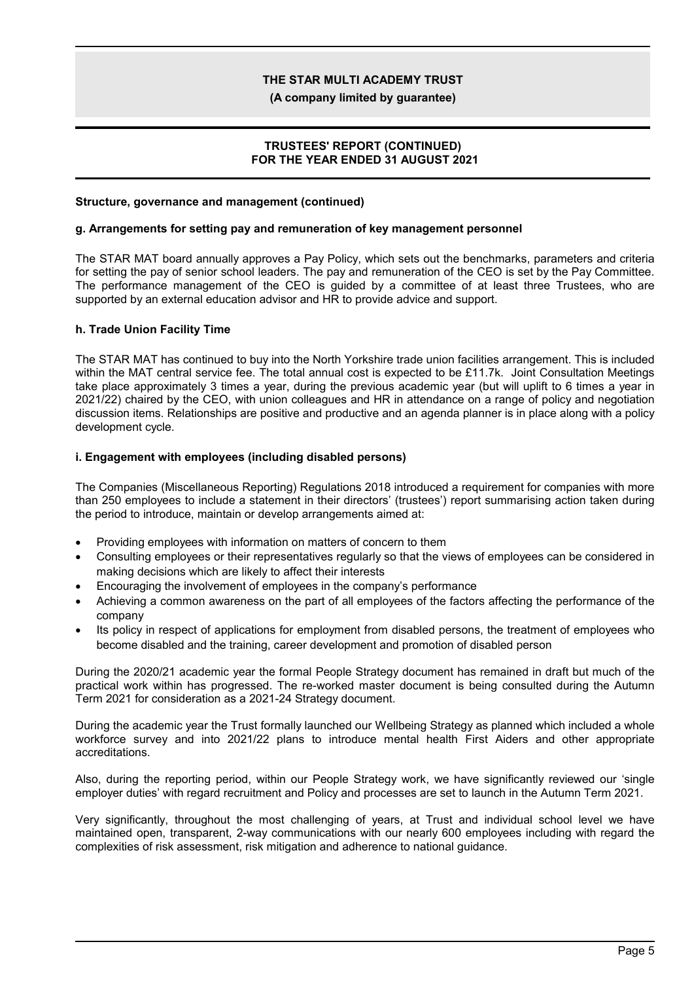**(A company limited by guarantee)**

### **TRUSTEES' REPORT (CONTINUED) FOR THE YEAR ENDED 31 AUGUST 2021**

#### **Structure, governance and management (continued)**

#### **g. Arrangements for setting pay and remuneration of key management personnel**

The STAR MAT board annually approves a Pay Policy, which sets out the benchmarks, parameters and criteria for setting the pay of senior school leaders. The pay and remuneration of the CEO is set by the Pay Committee. The performance management of the CEO is guided by a committee of at least three Trustees, who are supported by an external education advisor and HR to provide advice and support.

#### **h. Trade Union Facility Time**

The STAR MAT has continued to buy into the North Yorkshire trade union facilities arrangement. This is included within the MAT central service fee. The total annual cost is expected to be £11.7k. Joint Consultation Meetings take place approximately 3 times a year, during the previous academic year (but will uplift to 6 times a year in 2021/22) chaired by the CEO, with union colleagues and HR in attendance on a range of policy and negotiation discussion items. Relationships are positive and productive and an agenda planner is in place along with a policy development cycle.

#### **i. Engagement with employees (including disabled persons)**

The Companies (Miscellaneous Reporting) Regulations 2018 introduced a requirement for companies with more than 250 employees to include a statement in their directors' (trustees') report summarising action taken during the period to introduce, maintain or develop arrangements aimed at:

- Providing employees with information on matters of concern to them
- Consulting employees or their representatives regularly so that the views of employees can be considered in making decisions which are likely to affect their interests
- Encouraging the involvement of employees in the company's performance
- Achieving a common awareness on the part of all employees of the factors affecting the performance of the company
- Its policy in respect of applications for employment from disabled persons, the treatment of employees who become disabled and the training, career development and promotion of disabled person

During the 2020/21 academic year the formal People Strategy document has remained in draft but much of the practical work within has progressed. The re-worked master document is being consulted during the Autumn Term 2021 for consideration as a 2021-24 Strategy document.

During the academic year the Trust formally launched our Wellbeing Strategy as planned which included a whole workforce survey and into 2021/22 plans to introduce mental health First Aiders and other appropriate accreditations.

Also, during the reporting period, within our People Strategy work, we have significantly reviewed our 'single employer duties' with regard recruitment and Policy and processes are set to launch in the Autumn Term 2021.

Very significantly, throughout the most challenging of years, at Trust and individual school level we have maintained open, transparent, 2-way communications with our nearly 600 employees including with regard the complexities of risk assessment, risk mitigation and adherence to national guidance.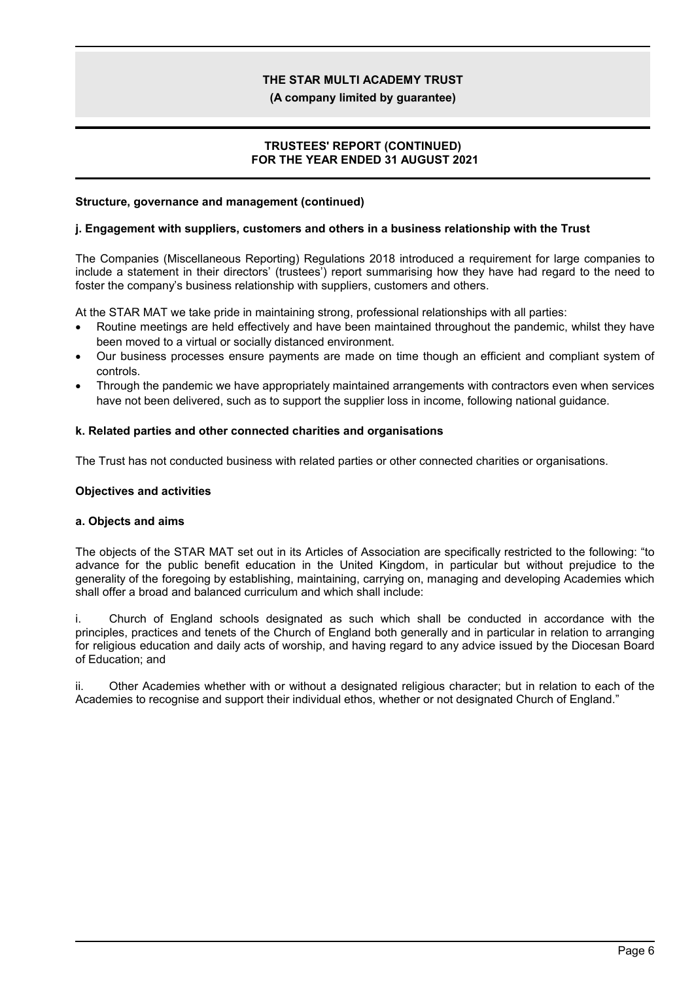**(A company limited by guarantee)**

### **TRUSTEES' REPORT (CONTINUED) FOR THE YEAR ENDED 31 AUGUST 2021**

#### **Structure, governance and management (continued)**

#### **j. Engagement with suppliers, customers and others in a business relationship with the Trust**

The Companies (Miscellaneous Reporting) Regulations 2018 introduced a requirement for large companies to include a statement in their directors' (trustees') report summarising how they have had regard to the need to foster the company's business relationship with suppliers, customers and others.

At the STAR MAT we take pride in maintaining strong, professional relationships with all parties:

- Routine meetings are held effectively and have been maintained throughout the pandemic, whilst they have been moved to a virtual or socially distanced environment.
- Our business processes ensure payments are made on time though an efficient and compliant system of controls.
- Through the pandemic we have appropriately maintained arrangements with contractors even when services have not been delivered, such as to support the supplier loss in income, following national guidance.

#### **k. Related parties and other connected charities and organisations**

The Trust has not conducted business with related parties or other connected charities or organisations.

#### **Objectives and activities**

#### **a. Objects and aims**

The objects of the STAR MAT set out in its Articles of Association are specifically restricted to the following: "to advance for the public benefit education in the United Kingdom, in particular but without prejudice to the generality of the foregoing by establishing, maintaining, carrying on, managing and developing Academies which shall offer a broad and balanced curriculum and which shall include:

i. Church of England schools designated as such which shall be conducted in accordance with the principles, practices and tenets of the Church of England both generally and in particular in relation to arranging for religious education and daily acts of worship, and having regard to any advice issued by the Diocesan Board of Education; and

ii. Other Academies whether with or without a designated religious character; but in relation to each of the Academies to recognise and support their individual ethos, whether or not designated Church of England."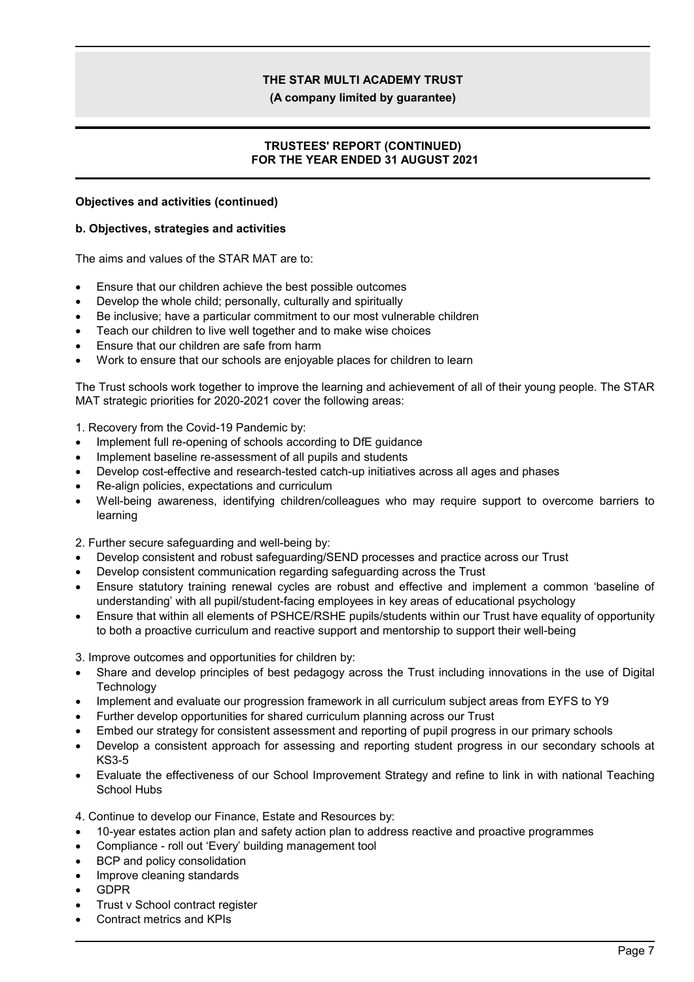**(A company limited by guarantee)**

### **TRUSTEES' REPORT (CONTINUED) FOR THE YEAR ENDED 31 AUGUST 2021**

#### **Objectives and activities (continued)**

#### **b. Objectives, strategies and activities**

The aims and values of the STAR MAT are to:

- Ensure that our children achieve the best possible outcomes
- Develop the whole child; personally, culturally and spiritually
- Be inclusive; have a particular commitment to our most vulnerable children
- Teach our children to live well together and to make wise choices
- Ensure that our children are safe from harm
- Work to ensure that our schools are enjoyable places for children to learn

The Trust schools work together to improve the learning and achievement of all of their young people. The STAR MAT strategic priorities for 2020-2021 cover the following areas:

1. Recovery from the Covid-19 Pandemic by:

- Implement full re-opening of schools according to DfE guidance
- Implement baseline re-assessment of all pupils and students
- Develop cost-effective and research-tested catch-up initiatives across all ages and phases
- Re-align policies, expectations and curriculum
- Well-being awareness, identifying children/colleagues who may require support to overcome barriers to learning

2. Further secure safeguarding and well-being by:

- Develop consistent and robust safeguarding/SEND processes and practice across our Trust
- Develop consistent communication regarding safeguarding across the Trust
- Ensure statutory training renewal cycles are robust and effective and implement a common 'baseline of understanding' with all pupil/student-facing employees in key areas of educational psychology
- Ensure that within all elements of PSHCE/RSHE pupils/students within our Trust have equality of opportunity to both a proactive curriculum and reactive support and mentorship to support their well-being

3. Improve outcomes and opportunities for children by:

- Share and develop principles of best pedagogy across the Trust including innovations in the use of Digital **Technology**
- Implement and evaluate our progression framework in all curriculum subject areas from EYFS to Y9
- Further develop opportunities for shared curriculum planning across our Trust
- Embed our strategy for consistent assessment and reporting of pupil progress in our primary schools
- Develop a consistent approach for assessing and reporting student progress in our secondary schools at KS3-5
- Evaluate the effectiveness of our School Improvement Strategy and refine to link in with national Teaching School Hubs

4. Continue to develop our Finance, Estate and Resources by:

- 10-year estates action plan and safety action plan to address reactive and proactive programmes
- Compliance roll out 'Every' building management tool
- BCP and policy consolidation
- Improve cleaning standards
- GDPR
- Trust v School contract register
- Contract metrics and KPIs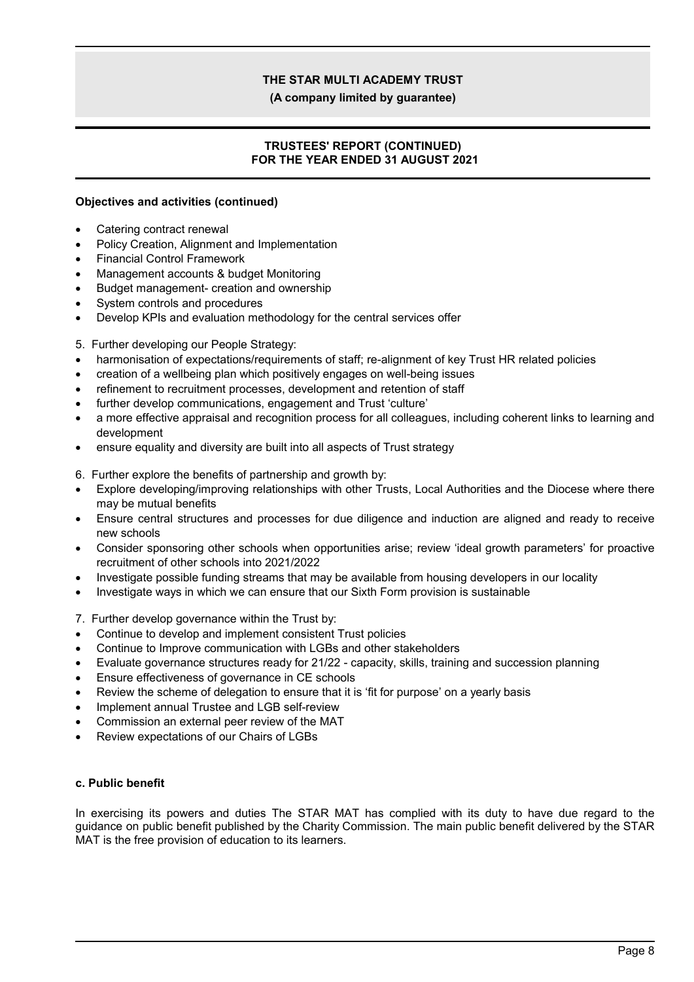**(A company limited by guarantee)**

### **TRUSTEES' REPORT (CONTINUED) FOR THE YEAR ENDED 31 AUGUST 2021**

### **Objectives and activities (continued)**

- Catering contract renewal
- Policy Creation, Alignment and Implementation
- Financial Control Framework
- Management accounts & budget Monitoring
- Budget management- creation and ownership
- System controls and procedures
- Develop KPIs and evaluation methodology for the central services offer
- 5. Further developing our People Strategy:
- harmonisation of expectations/requirements of staff; re-alignment of key Trust HR related policies
- creation of a wellbeing plan which positively engages on well-being issues
- refinement to recruitment processes, development and retention of staff
- further develop communications, engagement and Trust 'culture'
- a more effective appraisal and recognition process for all colleagues, including coherent links to learning and development
- ensure equality and diversity are built into all aspects of Trust strategy

6. Further explore the benefits of partnership and growth by:

- Explore developing/improving relationships with other Trusts, Local Authorities and the Diocese where there may be mutual benefits
- Ensure central structures and processes for due diligence and induction are aligned and ready to receive new schools
- Consider sponsoring other schools when opportunities arise; review 'ideal growth parameters' for proactive recruitment of other schools into 2021/2022
- Investigate possible funding streams that may be available from housing developers in our locality
- Investigate ways in which we can ensure that our Sixth Form provision is sustainable

7. Further develop governance within the Trust by:

- Continue to develop and implement consistent Trust policies
- Continue to Improve communication with LGBs and other stakeholders
- Evaluate governance structures ready for 21/22 capacity, skills, training and succession planning
- Ensure effectiveness of governance in CE schools
- Review the scheme of delegation to ensure that it is 'fit for purpose' on a yearly basis
- Implement annual Trustee and LGB self-review
- Commission an external peer review of the MAT
- Review expectations of our Chairs of LGBs

#### **c. Public benefit**

In exercising its powers and duties The STAR MAT has complied with its duty to have due regard to the guidance on public benefit published by the Charity Commission. The main public benefit delivered by the STAR MAT is the free provision of education to its learners.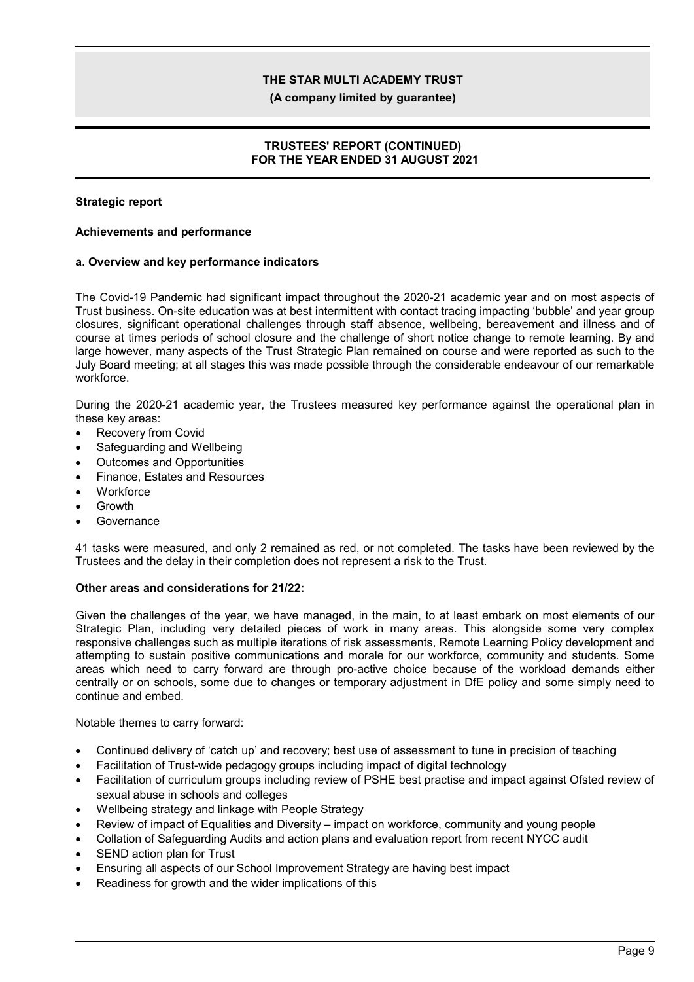**(A company limited by guarantee)**

### **TRUSTEES' REPORT (CONTINUED) FOR THE YEAR ENDED 31 AUGUST 2021**

### **Strategic report**

#### **Achievements and performance**

#### **a. Overview and key performance indicators**

The Covid-19 Pandemic had significant impact throughout the 2020-21 academic year and on most aspects of Trust business. On-site education was at best intermittent with contact tracing impacting 'bubble' and year group closures, significant operational challenges through staff absence, wellbeing, bereavement and illness and of course at times periods of school closure and the challenge of short notice change to remote learning. By and large however, many aspects of the Trust Strategic Plan remained on course and were reported as such to the July Board meeting; at all stages this was made possible through the considerable endeavour of our remarkable workforce.

During the 2020-21 academic year, the Trustees measured key performance against the operational plan in these key areas:

- Recovery from Covid
- Safeguarding and Wellbeing
- Outcomes and Opportunities
- Finance, Estates and Resources
- **Workforce**
- Growth
- Governance

41 tasks were measured, and only 2 remained as red, or not completed. The tasks have been reviewed by the Trustees and the delay in their completion does not represent a risk to the Trust.

#### **Other areas and considerations for 21/22:**

Given the challenges of the year, we have managed, in the main, to at least embark on most elements of our Strategic Plan, including very detailed pieces of work in many areas. This alongside some very complex responsive challenges such as multiple iterations of risk assessments, Remote Learning Policy development and attempting to sustain positive communications and morale for our workforce, community and students. Some areas which need to carry forward are through pro-active choice because of the workload demands either centrally or on schools, some due to changes or temporary adjustment in DfE policy and some simply need to continue and embed.

Notable themes to carry forward:

- Continued delivery of 'catch up' and recovery; best use of assessment to tune in precision of teaching
- Facilitation of Trust-wide pedagogy groups including impact of digital technology
- Facilitation of curriculum groups including review of PSHE best practise and impact against Ofsted review of sexual abuse in schools and colleges
- Wellbeing strategy and linkage with People Strategy
- Review of impact of Equalities and Diversity impact on workforce, community and young people
- Collation of Safeguarding Audits and action plans and evaluation report from recent NYCC audit
- SEND action plan for Trust
- Ensuring all aspects of our School Improvement Strategy are having best impact
- Readiness for growth and the wider implications of this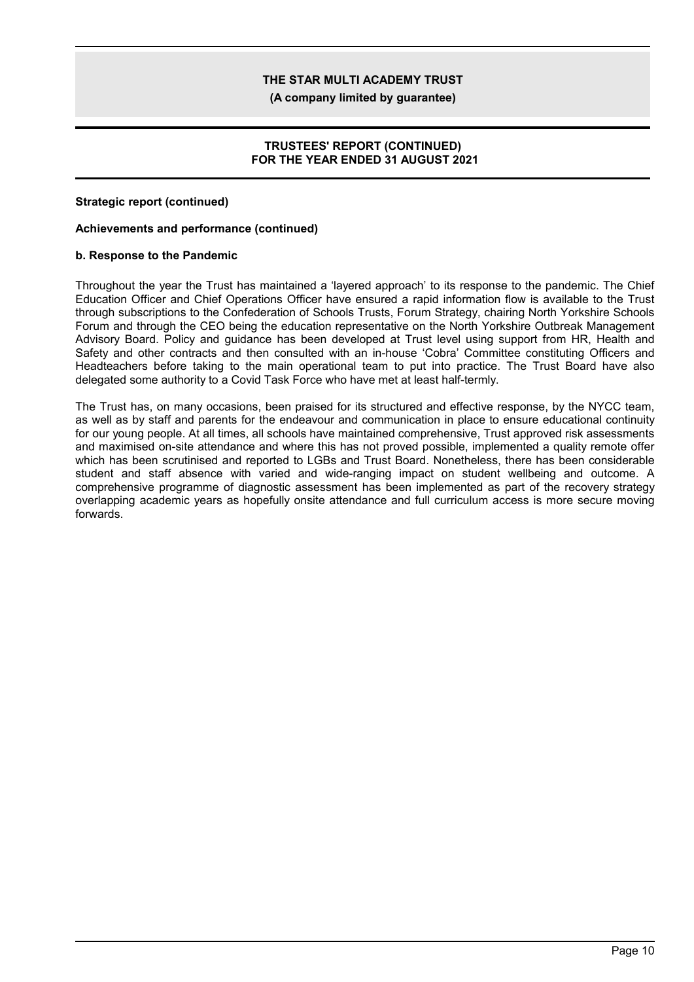**(A company limited by guarantee)**

### **TRUSTEES' REPORT (CONTINUED) FOR THE YEAR ENDED 31 AUGUST 2021**

### **Strategic report (continued)**

#### **Achievements and performance (continued)**

#### **b. Response to the Pandemic**

Throughout the year the Trust has maintained a 'layered approach' to its response to the pandemic. The Chief Education Officer and Chief Operations Officer have ensured a rapid information flow is available to the Trust through subscriptions to the Confederation of Schools Trusts, Forum Strategy, chairing North Yorkshire Schools Forum and through the CEO being the education representative on the North Yorkshire Outbreak Management Advisory Board. Policy and guidance has been developed at Trust level using support from HR, Health and Safety and other contracts and then consulted with an in-house 'Cobra' Committee constituting Officers and Headteachers before taking to the main operational team to put into practice. The Trust Board have also delegated some authority to a Covid Task Force who have met at least half-termly.

The Trust has, on many occasions, been praised for its structured and effective response, by the NYCC team, as well as by staff and parents for the endeavour and communication in place to ensure educational continuity for our young people. At all times, all schools have maintained comprehensive, Trust approved risk assessments and maximised on-site attendance and where this has not proved possible, implemented a quality remote offer which has been scrutinised and reported to LGBs and Trust Board. Nonetheless, there has been considerable student and staff absence with varied and wide-ranging impact on student wellbeing and outcome. A comprehensive programme of diagnostic assessment has been implemented as part of the recovery strategy overlapping academic years as hopefully onsite attendance and full curriculum access is more secure moving forwards.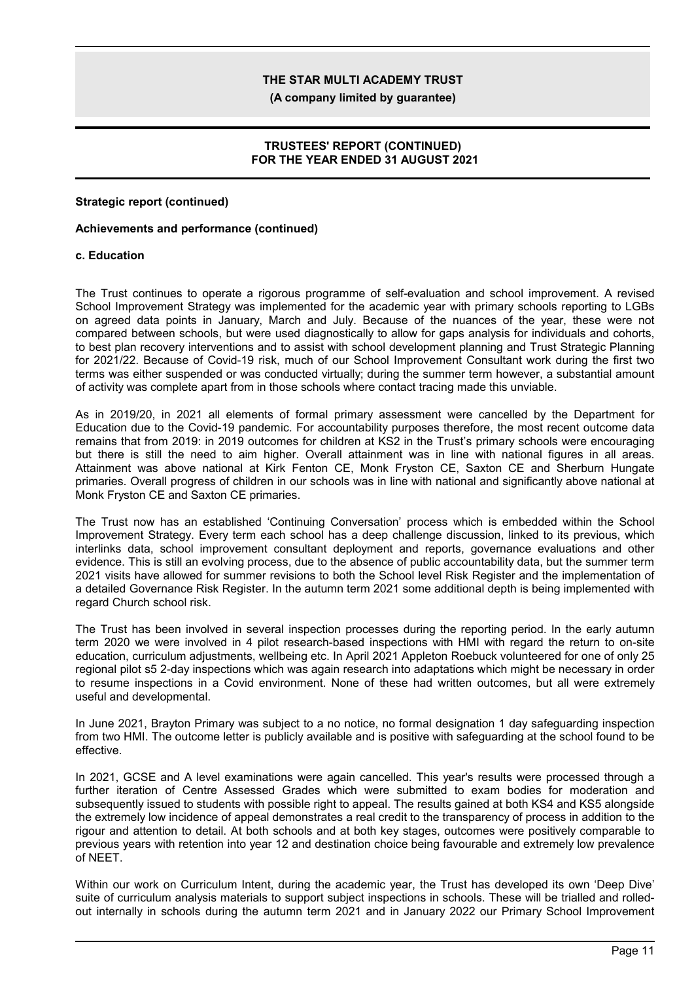**(A company limited by guarantee)**

### **TRUSTEES' REPORT (CONTINUED) FOR THE YEAR ENDED 31 AUGUST 2021**

#### **Strategic report (continued)**

#### **Achievements and performance (continued)**

#### **c. Education**

The Trust continues to operate a rigorous programme of self-evaluation and school improvement. A revised School Improvement Strategy was implemented for the academic year with primary schools reporting to LGBs on agreed data points in January, March and July. Because of the nuances of the year, these were not compared between schools, but were used diagnostically to allow for gaps analysis for individuals and cohorts, to best plan recovery interventions and to assist with school development planning and Trust Strategic Planning for 2021/22. Because of Covid-19 risk, much of our School Improvement Consultant work during the first two terms was either suspended or was conducted virtually; during the summer term however, a substantial amount of activity was complete apart from in those schools where contact tracing made this unviable.

As in 2019/20, in 2021 all elements of formal primary assessment were cancelled by the Department for Education due to the Covid-19 pandemic. For accountability purposes therefore, the most recent outcome data remains that from 2019: in 2019 outcomes for children at KS2 in the Trust's primary schools were encouraging but there is still the need to aim higher. Overall attainment was in line with national figures in all areas. Attainment was above national at Kirk Fenton CE, Monk Fryston CE, Saxton CE and Sherburn Hungate primaries. Overall progress of children in our schools was in line with national and significantly above national at Monk Fryston CE and Saxton CE primaries.

The Trust now has an established 'Continuing Conversation' process which is embedded within the School Improvement Strategy. Every term each school has a deep challenge discussion, linked to its previous, which interlinks data, school improvement consultant deployment and reports, governance evaluations and other evidence. This is still an evolving process, due to the absence of public accountability data, but the summer term 2021 visits have allowed for summer revisions to both the School level Risk Register and the implementation of a detailed Governance Risk Register. In the autumn term 2021 some additional depth is being implemented with regard Church school risk.

The Trust has been involved in several inspection processes during the reporting period. In the early autumn term 2020 we were involved in 4 pilot research-based inspections with HMI with regard the return to on-site education, curriculum adjustments, wellbeing etc. In April 2021 Appleton Roebuck volunteered for one of only 25 regional pilot s5 2-day inspections which was again research into adaptations which might be necessary in order to resume inspections in a Covid environment. None of these had written outcomes, but all were extremely useful and developmental.

In June 2021, Brayton Primary was subject to a no notice, no formal designation 1 day safeguarding inspection from two HMI. The outcome letter is publicly available and is positive with safeguarding at the school found to be effective.

In 2021, GCSE and A level examinations were again cancelled. This year's results were processed through a further iteration of Centre Assessed Grades which were submitted to exam bodies for moderation and subsequently issued to students with possible right to appeal. The results gained at both KS4 and KS5 alongside the extremely low incidence of appeal demonstrates a real credit to the transparency of process in addition to the rigour and attention to detail. At both schools and at both key stages, outcomes were positively comparable to previous years with retention into year 12 and destination choice being favourable and extremely low prevalence of NEET.

Within our work on Curriculum Intent, during the academic year, the Trust has developed its own 'Deep Dive' suite of curriculum analysis materials to support subject inspections in schools. These will be trialled and rolledout internally in schools during the autumn term 2021 and in January 2022 our Primary School Improvement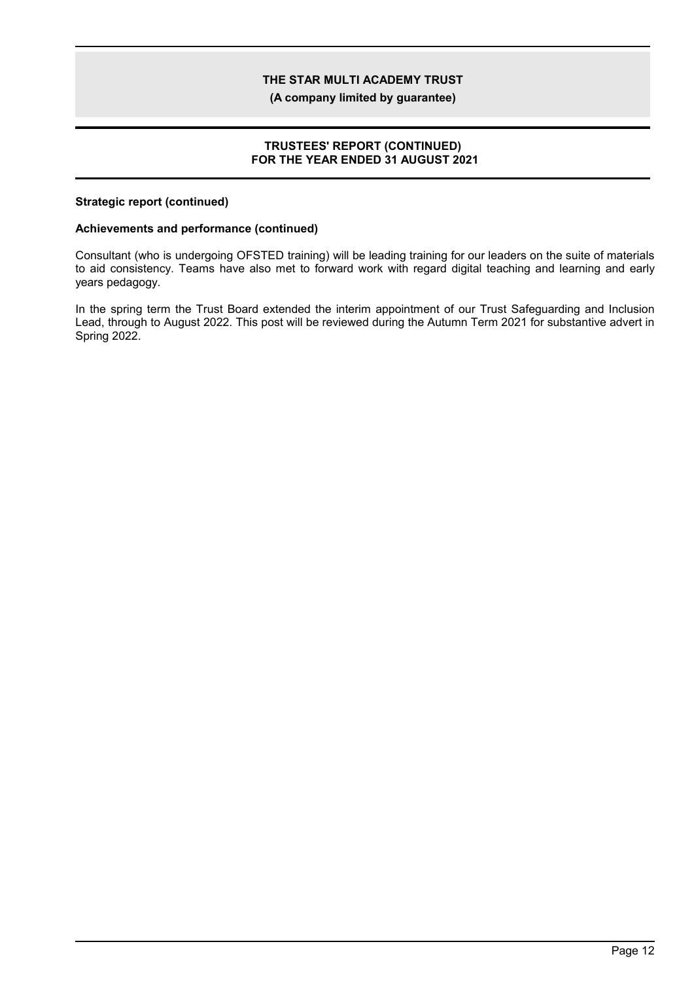**(A company limited by guarantee)**

### **TRUSTEES' REPORT (CONTINUED) FOR THE YEAR ENDED 31 AUGUST 2021**

#### **Strategic report (continued)**

### **Achievements and performance (continued)**

Consultant (who is undergoing OFSTED training) will be leading training for our leaders on the suite of materials to aid consistency. Teams have also met to forward work with regard digital teaching and learning and early years pedagogy.

In the spring term the Trust Board extended the interim appointment of our Trust Safeguarding and Inclusion Lead, through to August 2022. This post will be reviewed during the Autumn Term 2021 for substantive advert in Spring 2022.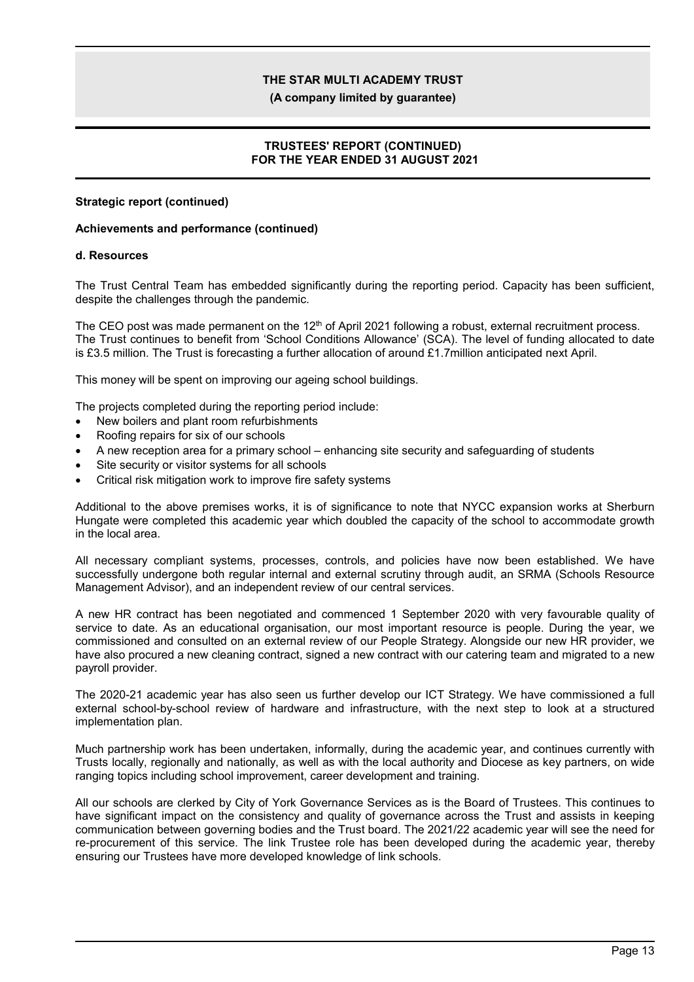**(A company limited by guarantee)**

### **TRUSTEES' REPORT (CONTINUED) FOR THE YEAR ENDED 31 AUGUST 2021**

### **Strategic report (continued)**

### **Achievements and performance (continued)**

#### **d. Resources**

The Trust Central Team has embedded significantly during the reporting period. Capacity has been sufficient, despite the challenges through the pandemic.

The CEO post was made permanent on the 12<sup>th</sup> of April 2021 following a robust, external recruitment process. The Trust continues to benefit from 'School Conditions Allowance' (SCA). The level of funding allocated to date is £3.5 million. The Trust is forecasting a further allocation of around £1.7million anticipated next April.

This money will be spent on improving our ageing school buildings.

- The projects completed during the reporting period include:
- New boilers and plant room refurbishments
- Roofing repairs for six of our schools
- A new reception area for a primary school enhancing site security and safeguarding of students
- Site security or visitor systems for all schools
- Critical risk mitigation work to improve fire safety systems

Additional to the above premises works, it is of significance to note that NYCC expansion works at Sherburn Hungate were completed this academic year which doubled the capacity of the school to accommodate growth in the local area.

All necessary compliant systems, processes, controls, and policies have now been established. We have successfully undergone both regular internal and external scrutiny through audit, an SRMA (Schools Resource Management Advisor), and an independent review of our central services.

A new HR contract has been negotiated and commenced 1 September 2020 with very favourable quality of service to date. As an educational organisation, our most important resource is people. During the year, we commissioned and consulted on an external review of our People Strategy. Alongside our new HR provider, we have also procured a new cleaning contract, signed a new contract with our catering team and migrated to a new payroll provider.

The 2020-21 academic year has also seen us further develop our ICT Strategy. We have commissioned a full external school-by-school review of hardware and infrastructure, with the next step to look at a structured implementation plan.

Much partnership work has been undertaken, informally, during the academic year, and continues currently with Trusts locally, regionally and nationally, as well as with the local authority and Diocese as key partners, on wide ranging topics including school improvement, career development and training.

All our schools are clerked by City of York Governance Services as is the Board of Trustees. This continues to have significant impact on the consistency and quality of governance across the Trust and assists in keeping communication between governing bodies and the Trust board. The 2021/22 academic year will see the need for re-procurement of this service. The link Trustee role has been developed during the academic year, thereby ensuring our Trustees have more developed knowledge of link schools.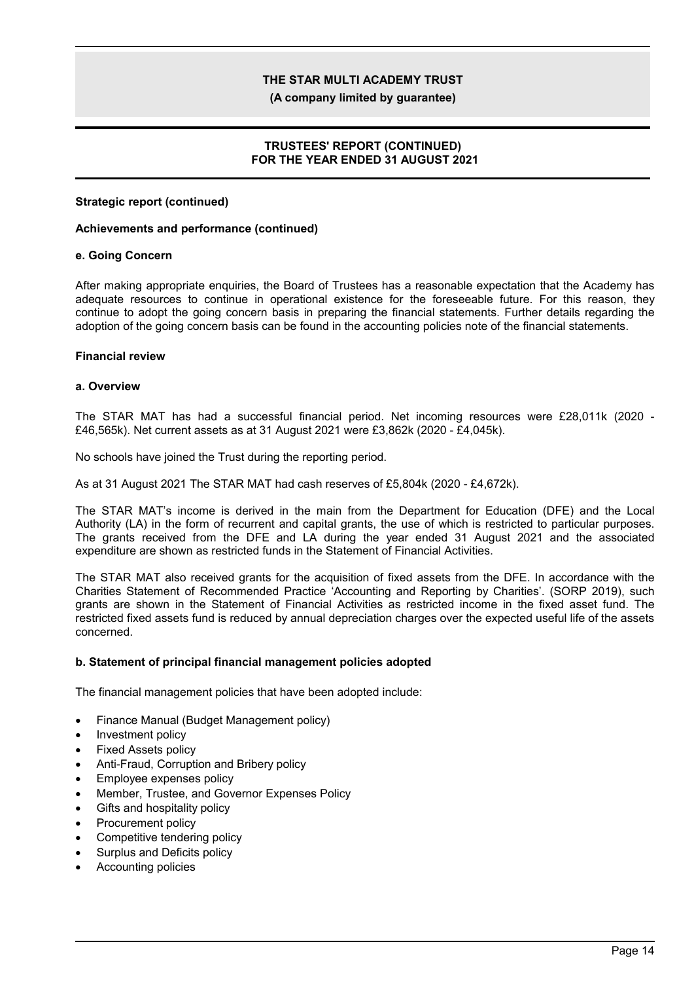**(A company limited by guarantee)**

### **TRUSTEES' REPORT (CONTINUED) FOR THE YEAR ENDED 31 AUGUST 2021**

### **Strategic report (continued)**

#### **Achievements and performance (continued)**

#### **e. Going Concern**

After making appropriate enquiries, the Board of Trustees has a reasonable expectation that the Academy has adequate resources to continue in operational existence for the foreseeable future. For this reason, they continue to adopt the going concern basis in preparing the financial statements. Further details regarding the adoption of the going concern basis can be found in the accounting policies note of the financial statements.

#### **Financial review**

#### **a. Overview**

The STAR MAT has had a successful financial period. Net incoming resources were £28,011k (2020 - £46,565k). Net current assets as at 31 August 2021 were £3,862k (2020 - £4,045k).

No schools have joined the Trust during the reporting period.

As at 31 August 2021 The STAR MAT had cash reserves of £5,804k (2020 - £4,672k).

The STAR MAT's income is derived in the main from the Department for Education (DFE) and the Local Authority (LA) in the form of recurrent and capital grants, the use of which is restricted to particular purposes. The grants received from the DFE and LA during the year ended 31 August 2021 and the associated expenditure are shown as restricted funds in the Statement of Financial Activities.

The STAR MAT also received grants for the acquisition of fixed assets from the DFE. In accordance with the Charities Statement of Recommended Practice 'Accounting and Reporting by Charities'. (SORP 2019), such grants are shown in the Statement of Financial Activities as restricted income in the fixed asset fund. The restricted fixed assets fund is reduced by annual depreciation charges over the expected useful life of the assets concerned.

#### **b. Statement of principal financial management policies adopted**

The financial management policies that have been adopted include:

- Finance Manual (Budget Management policy)
- Investment policy
- Fixed Assets policy
- Anti-Fraud, Corruption and Bribery policy
- Employee expenses policy
- Member, Trustee, and Governor Expenses Policy
- Gifts and hospitality policy
- Procurement policy
- Competitive tendering policy
- Surplus and Deficits policy
- Accounting policies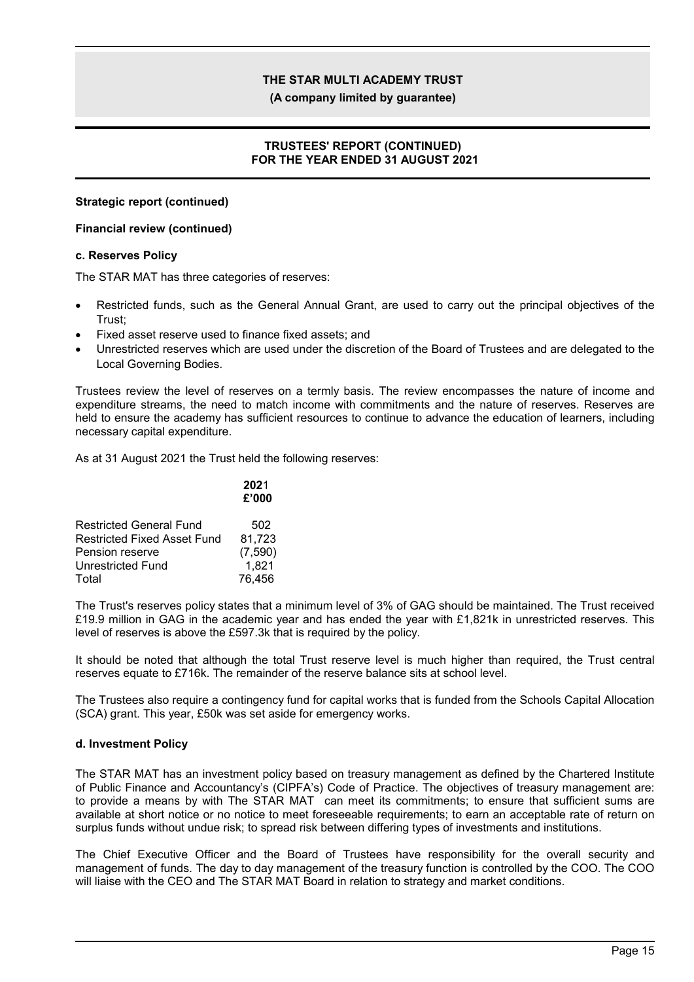**(A company limited by guarantee)**

### **TRUSTEES' REPORT (CONTINUED) FOR THE YEAR ENDED 31 AUGUST 2021**

### **Strategic report (continued)**

### **Financial review (continued)**

#### **c. Reserves Policy**

The STAR MAT has three categories of reserves:

- Restricted funds, such as the General Annual Grant, are used to carry out the principal objectives of the Trust;
- Fixed asset reserve used to finance fixed assets; and
- Unrestricted reserves which are used under the discretion of the Board of Trustees and are delegated to the Local Governing Bodies.

Trustees review the level of reserves on a termly basis. The review encompasses the nature of income and expenditure streams, the need to match income with commitments and the nature of reserves. Reserves are held to ensure the academy has sufficient resources to continue to advance the education of learners, including necessary capital expenditure.

As at 31 August 2021 the Trust held the following reserves:

|                                    | 2021<br>£'000 |
|------------------------------------|---------------|
| <b>Restricted General Fund</b>     | 502           |
| <b>Restricted Fixed Asset Fund</b> | 81.723        |
| Pension reserve                    | (7,590)       |
| Unrestricted Fund                  | 1,821         |
| Total                              | 76.456        |

The Trust's reserves policy states that a minimum level of 3% of GAG should be maintained. The Trust received £19.9 million in GAG in the academic year and has ended the year with £1,821k in unrestricted reserves. This level of reserves is above the £597.3k that is required by the policy.

It should be noted that although the total Trust reserve level is much higher than required, the Trust central reserves equate to £716k. The remainder of the reserve balance sits at school level.

The Trustees also require a contingency fund for capital works that is funded from the Schools Capital Allocation (SCA) grant. This year, £50k was set aside for emergency works.

### **d. Investment Policy**

The STAR MAT has an investment policy based on treasury management as defined by the Chartered Institute of Public Finance and Accountancy's (CIPFA's) Code of Practice. The objectives of treasury management are: to provide a means by with The STAR MAT can meet its commitments; to ensure that sufficient sums are available at short notice or no notice to meet foreseeable requirements; to earn an acceptable rate of return on surplus funds without undue risk; to spread risk between differing types of investments and institutions.

The Chief Executive Officer and the Board of Trustees have responsibility for the overall security and management of funds. The day to day management of the treasury function is controlled by the COO. The COO will liaise with the CEO and The STAR MAT Board in relation to strategy and market conditions.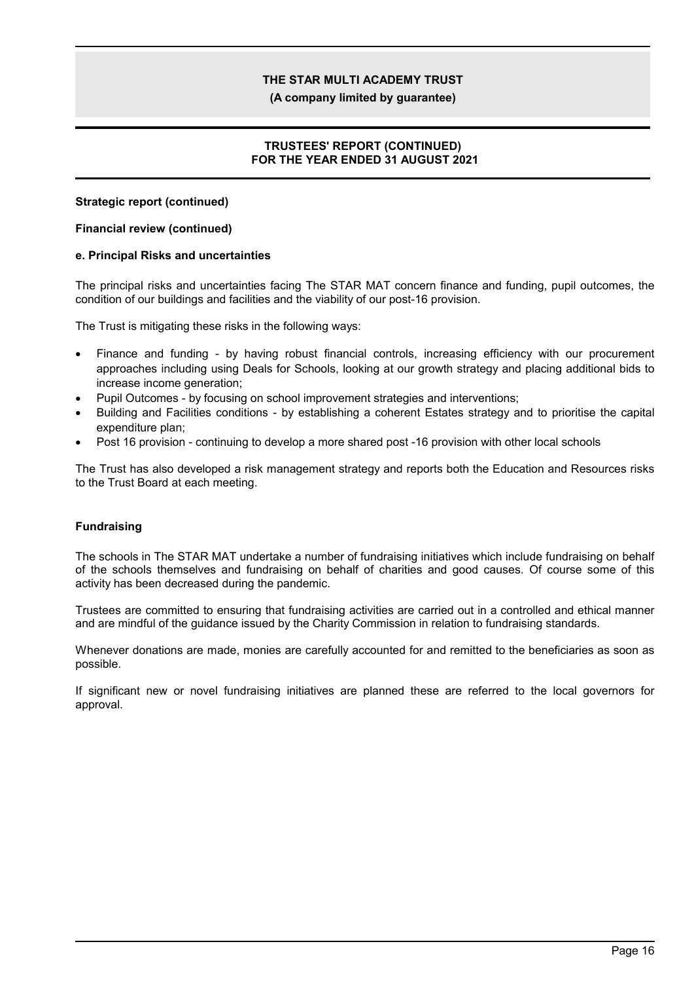**(A company limited by guarantee)**

### **TRUSTEES' REPORT (CONTINUED) FOR THE YEAR ENDED 31 AUGUST 2021**

### **Strategic report (continued)**

### **Financial review (continued)**

#### **e. Principal Risks and uncertainties**

The principal risks and uncertainties facing The STAR MAT concern finance and funding, pupil outcomes, the condition of our buildings and facilities and the viability of our post-16 provision.

The Trust is mitigating these risks in the following ways:

- Finance and funding by having robust financial controls, increasing efficiency with our procurement approaches including using Deals for Schools, looking at our growth strategy and placing additional bids to increase income generation;
- Pupil Outcomes by focusing on school improvement strategies and interventions;
- Building and Facilities conditions by establishing a coherent Estates strategy and to prioritise the capital expenditure plan;
- Post 16 provision continuing to develop a more shared post -16 provision with other local schools

The Trust has also developed a risk management strategy and reports both the Education and Resources risks to the Trust Board at each meeting.

### **Fundraising**

The schools in The STAR MAT undertake a number of fundraising initiatives which include fundraising on behalf of the schools themselves and fundraising on behalf of charities and good causes. Of course some of this activity has been decreased during the pandemic.

Trustees are committed to ensuring that fundraising activities are carried out in a controlled and ethical manner and are mindful of the guidance issued by the Charity Commission in relation to fundraising standards.

Whenever donations are made, monies are carefully accounted for and remitted to the beneficiaries as soon as possible.

If significant new or novel fundraising initiatives are planned these are referred to the local governors for approval.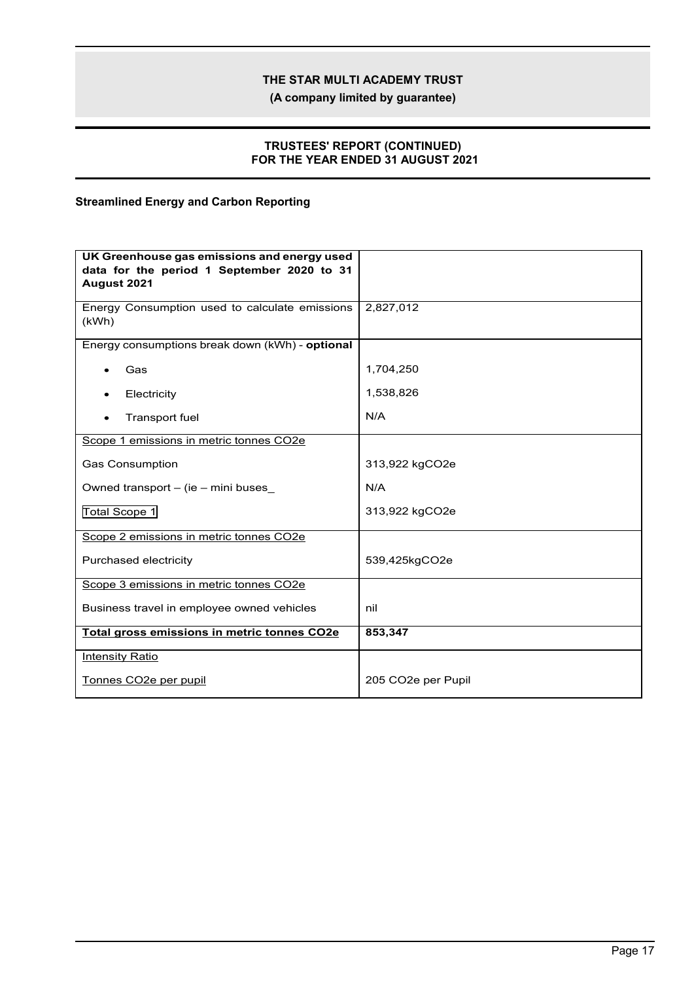**(A company limited by guarantee)**

### **TRUSTEES' REPORT (CONTINUED) FOR THE YEAR ENDED 31 AUGUST 2021**

## **Streamlined Energy and Carbon Reporting**

| UK Greenhouse gas emissions and energy used<br>data for the period 1 September 2020 to 31 |                    |
|-------------------------------------------------------------------------------------------|--------------------|
| August 2021                                                                               |                    |
| Energy Consumption used to calculate emissions<br>(kWh)                                   | 2,827,012          |
| Energy consumptions break down (kWh) - optional                                           |                    |
| Gas                                                                                       | 1,704,250          |
| Electricity                                                                               | 1,538,826          |
| Transport fuel                                                                            | N/A                |
| Scope 1 emissions in metric tonnes CO2e                                                   |                    |
| <b>Gas Consumption</b>                                                                    | 313,922 kgCO2e     |
| Owned transport - (ie - mini buses                                                        | N/A                |
| Total Scope 1                                                                             | 313,922 kgCO2e     |
| Scope 2 emissions in metric tonnes CO2e                                                   |                    |
| Purchased electricity                                                                     | 539,425kgCO2e      |
| Scope 3 emissions in metric tonnes CO2e                                                   |                    |
| Business travel in employee owned vehicles                                                | nil                |
| Total gross emissions in metric tonnes CO2e                                               | 853,347            |
| <b>Intensity Ratio</b>                                                                    |                    |
| Tonnes CO2e per pupil                                                                     | 205 CO2e per Pupil |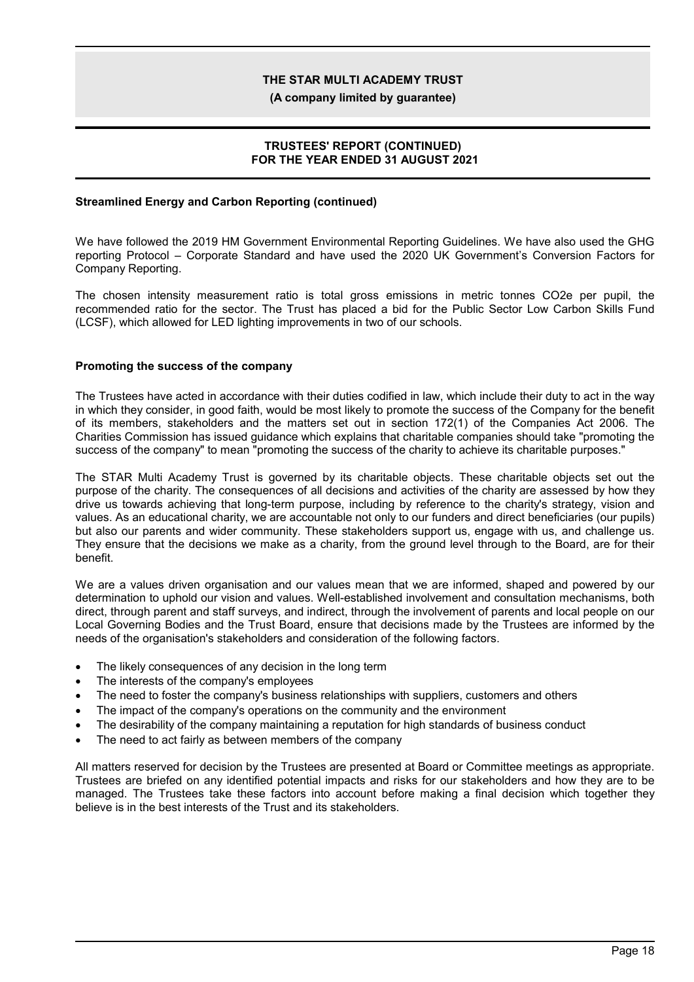**(A company limited by guarantee)**

### **TRUSTEES' REPORT (CONTINUED) FOR THE YEAR ENDED 31 AUGUST 2021**

### **Streamlined Energy and Carbon Reporting (continued)**

We have followed the 2019 HM Government Environmental Reporting Guidelines. We have also used the GHG reporting Protocol – Corporate Standard and have used the 2020 UK Government's Conversion Factors for Company Reporting.

The chosen intensity measurement ratio is total gross emissions in metric tonnes CO2e per pupil, the recommended ratio for the sector. The Trust has placed a bid for the Public Sector Low Carbon Skills Fund (LCSF), which allowed for LED lighting improvements in two of our schools.

#### **Promoting the success of the company**

The Trustees have acted in accordance with their duties codified in law, which include their duty to act in the way in which they consider, in good faith, would be most likely to promote the success of the Company for the benefit of its members, stakeholders and the matters set out in section 172(1) of the Companies Act 2006. The Charities Commission has issued guidance which explains that charitable companies should take "promoting the success of the company" to mean "promoting the success of the charity to achieve its charitable purposes."

The STAR Multi Academy Trust is governed by its charitable objects. These charitable objects set out the purpose of the charity. The consequences of all decisions and activities of the charity are assessed by how they drive us towards achieving that long-term purpose, including by reference to the charity's strategy, vision and values. As an educational charity, we are accountable not only to our funders and direct beneficiaries (our pupils) but also our parents and wider community. These stakeholders support us, engage with us, and challenge us. They ensure that the decisions we make as a charity, from the ground level through to the Board, are for their benefit.

We are a values driven organisation and our values mean that we are informed, shaped and powered by our determination to uphold our vision and values. Well-established involvement and consultation mechanisms, both direct, through parent and staff surveys, and indirect, through the involvement of parents and local people on our Local Governing Bodies and the Trust Board, ensure that decisions made by the Trustees are informed by the needs of the organisation's stakeholders and consideration of the following factors.

- The likely consequences of any decision in the long term
- The interests of the company's employees
- The need to foster the company's business relationships with suppliers, customers and others
- The impact of the company's operations on the community and the environment
- The desirability of the company maintaining a reputation for high standards of business conduct
- The need to act fairly as between members of the company

All matters reserved for decision by the Trustees are presented at Board or Committee meetings as appropriate. Trustees are briefed on any identified potential impacts and risks for our stakeholders and how they are to be managed. The Trustees take these factors into account before making a final decision which together they believe is in the best interests of the Trust and its stakeholders.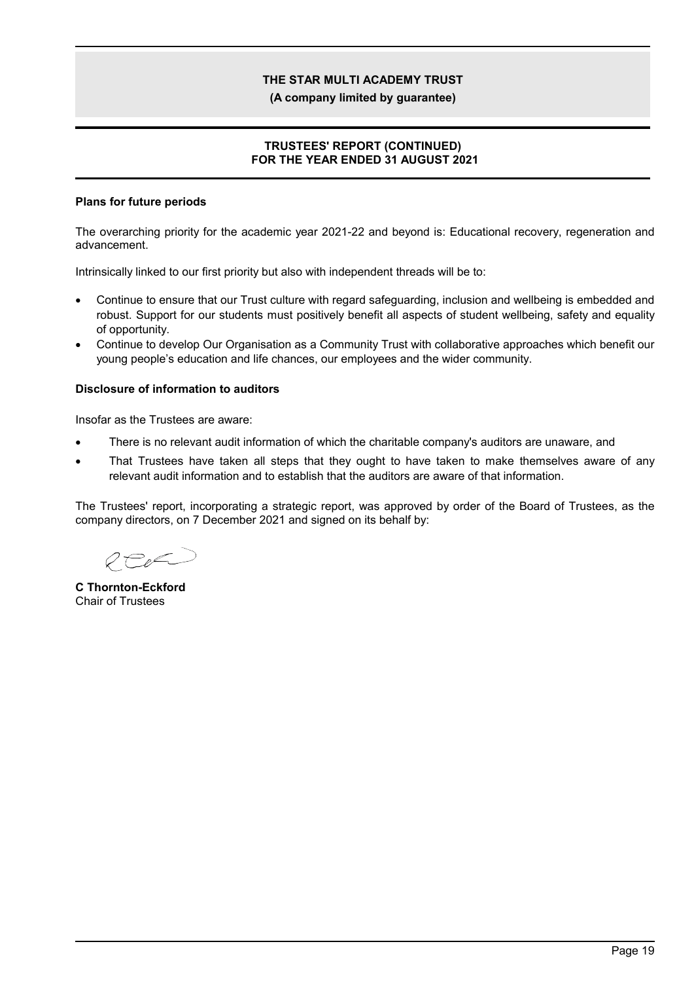**(A company limited by guarantee)**

### **TRUSTEES' REPORT (CONTINUED) FOR THE YEAR ENDED 31 AUGUST 2021**

### **Plans for future periods**

The overarching priority for the academic year 2021-22 and beyond is: Educational recovery, regeneration and advancement.

Intrinsically linked to our first priority but also with independent threads will be to:

- Continue to ensure that our Trust culture with regard safeguarding, inclusion and wellbeing is embedded and robust. Support for our students must positively benefit all aspects of student wellbeing, safety and equality of opportunity.
- Continue to develop Our Organisation as a Community Trust with collaborative approaches which benefit our young people's education and life chances, our employees and the wider community.

#### **Disclosure of information to auditors**

Insofar as the Trustees are aware:

- There is no relevant audit information of which the charitable company's auditors are unaware, and
- That Trustees have taken all steps that they ought to have taken to make themselves aware of any relevant audit information and to establish that the auditors are aware of that information.

The Trustees' report, incorporating a strategic report, was approved by order of the Board of Trustees, as the company directors, on 7 December 2021 and signed on its behalf by:

REEL

**C Thornton-Eckford** Chair of Trustees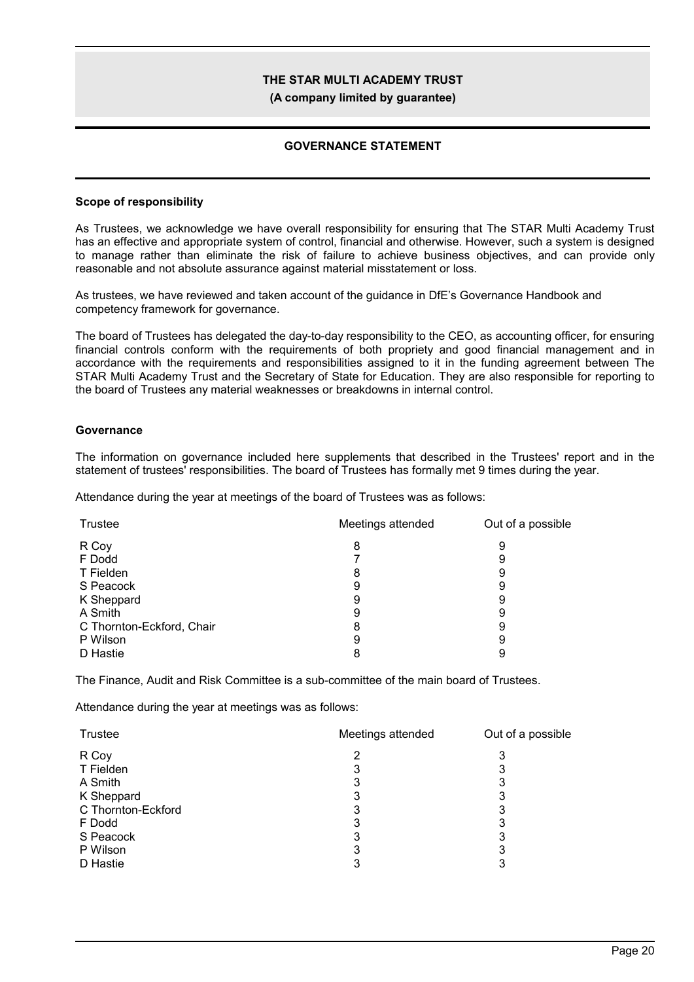**(A company limited by guarantee)**

### **GOVERNANCE STATEMENT**

#### **Scope of responsibility**

As Trustees, we acknowledge we have overall responsibility for ensuring that The STAR Multi Academy Trust has an effective and appropriate system of control, financial and otherwise. However, such a system is designed to manage rather than eliminate the risk of failure to achieve business objectives, and can provide only reasonable and not absolute assurance against material misstatement or loss.

As trustees, we have reviewed and taken account of the guidance in DfE's Governance Handbook and competency framework for governance.

The board of Trustees has delegated the day-to-day responsibility to the CEO, as accounting officer, for ensuring financial controls conform with the requirements of both propriety and good financial management and in accordance with the requirements and responsibilities assigned to it in the funding agreement between The STAR Multi Academy Trust and the Secretary of State for Education. They are also responsible for reporting to the board of Trustees any material weaknesses or breakdowns in internal control.

#### **Governance**

The information on governance included here supplements that described in the Trustees' report and in the statement of trustees' responsibilities. The board of Trustees has formally met 9 times during the year.

Attendance during the year at meetings of the board of Trustees was as follows:

| <b>Trustee</b>            | Meetings attended | Out of a possible |
|---------------------------|-------------------|-------------------|
| R Coy                     | 8                 | 9                 |
| F Dodd                    |                   | 9                 |
| T Fielden                 | 8                 | 9                 |
| S Peacock                 | 9                 | 9                 |
| K Sheppard                | 9                 | 9                 |
| A Smith                   | 9                 | 9                 |
| C Thornton-Eckford, Chair | 8                 | 9                 |
| P Wilson                  | 9                 | 9                 |
| D Hastie                  | 8                 |                   |

The Finance, Audit and Risk Committee is a sub-committee of the main board of Trustees.

Attendance during the year at meetings was as follows:

| Trustee            | Meetings attended | Out of a possible |
|--------------------|-------------------|-------------------|
| R Coy              |                   | 3                 |
| T Fielden          | 3                 |                   |
| A Smith            | 3                 | 3                 |
| K Sheppard         | 3                 | 3                 |
| C Thornton-Eckford | 3                 | 3                 |
| F Dodd             | 3                 | 3                 |
| S Peacock          | 3                 | 3                 |
| P Wilson           | 3                 |                   |
| D Hastie           |                   |                   |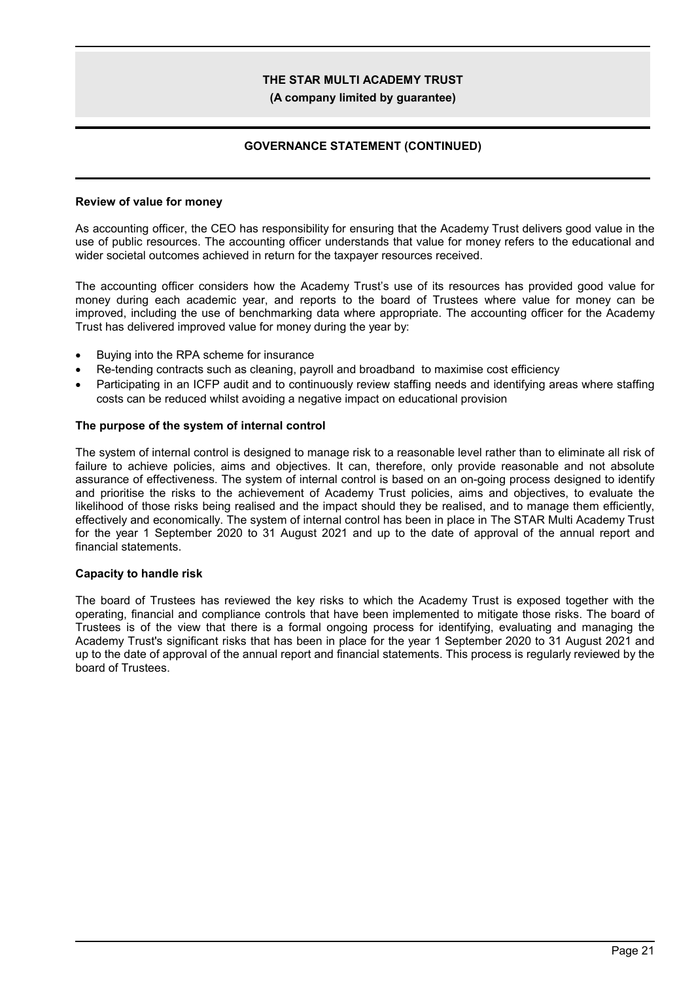#### **(A company limited by guarantee)**

### **GOVERNANCE STATEMENT (CONTINUED)**

#### **Review of value for money**

As accounting officer, the CEO has responsibility for ensuring that the Academy Trust delivers good value in the use of public resources. The accounting officer understands that value for money refers to the educational and wider societal outcomes achieved in return for the taxpayer resources received.

The accounting officer considers how the Academy Trust's use of its resources has provided good value for money during each academic year, and reports to the board of Trustees where value for money can be improved, including the use of benchmarking data where appropriate. The accounting officer for the Academy Trust has delivered improved value for money during the year by:

- Buying into the RPA scheme for insurance
- Re-tending contracts such as cleaning, payroll and broadband to maximise cost efficiency
- Participating in an ICFP audit and to continuously review staffing needs and identifying areas where staffing costs can be reduced whilst avoiding a negative impact on educational provision

#### **The purpose of the system of internal control**

The system of internal control is designed to manage risk to a reasonable level rather than to eliminate all risk of failure to achieve policies, aims and objectives. It can, therefore, only provide reasonable and not absolute assurance of effectiveness. The system of internal control is based on an on-going process designed to identify and prioritise the risks to the achievement of Academy Trust policies, aims and objectives, to evaluate the likelihood of those risks being realised and the impact should they be realised, and to manage them efficiently, effectively and economically. The system of internal control has been in place in The STAR Multi Academy Trust for the year 1 September 2020 to 31 August 2021 and up to the date of approval of the annual report and financial statements.

#### **Capacity to handle risk**

The board of Trustees has reviewed the key risks to which the Academy Trust is exposed together with the operating, financial and compliance controls that have been implemented to mitigate those risks. The board of Trustees is of the view that there is a formal ongoing process for identifying, evaluating and managing the Academy Trust's significant risks that has been in place for the year 1 September 2020 to 31 August 2021 and up to the date of approval of the annual report and financial statements. This process is regularly reviewed by the board of Trustees.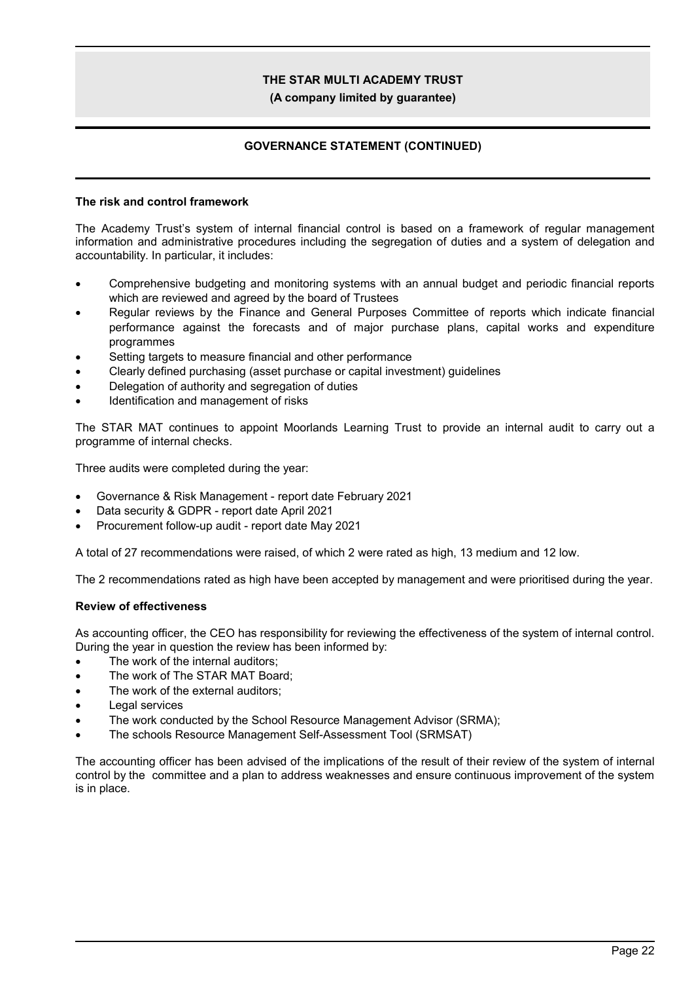**(A company limited by guarantee)**

### **GOVERNANCE STATEMENT (CONTINUED)**

### **The risk and control framework**

The Academy Trust's system of internal financial control is based on a framework of regular management information and administrative procedures including the segregation of duties and a system of delegation and accountability. In particular, it includes:

- Comprehensive budgeting and monitoring systems with an annual budget and periodic financial reports which are reviewed and agreed by the board of Trustees
- Regular reviews by the Finance and General Purposes Committee of reports which indicate financial performance against the forecasts and of major purchase plans, capital works and expenditure programmes
- Setting targets to measure financial and other performance
- Clearly defined purchasing (asset purchase or capital investment) guidelines
- Delegation of authority and segregation of duties
- Identification and management of risks

The STAR MAT continues to appoint Moorlands Learning Trust to provide an internal audit to carry out a programme of internal checks.

Three audits were completed during the year:

- Governance & Risk Management report date February 2021
- Data security & GDPR report date April 2021
- Procurement follow-up audit report date May 2021

A total of 27 recommendations were raised, of which 2 were rated as high, 13 medium and 12 low.

The 2 recommendations rated as high have been accepted by management and were prioritised during the year.

### **Review of effectiveness**

As accounting officer, the CEO has responsibility for reviewing the effectiveness of the system of internal control. During the year in question the review has been informed by:

- The work of the internal auditors;
- The work of The STAR MAT Board;
- The work of the external auditors;
- Legal services
- The work conducted by the School Resource Management Advisor (SRMA);
- The schools Resource Management Self-Assessment Tool (SRMSAT)

The accounting officer has been advised of the implications of the result of their review of the system of internal control by the committee and a plan to address weaknesses and ensure continuous improvement of the system is in place.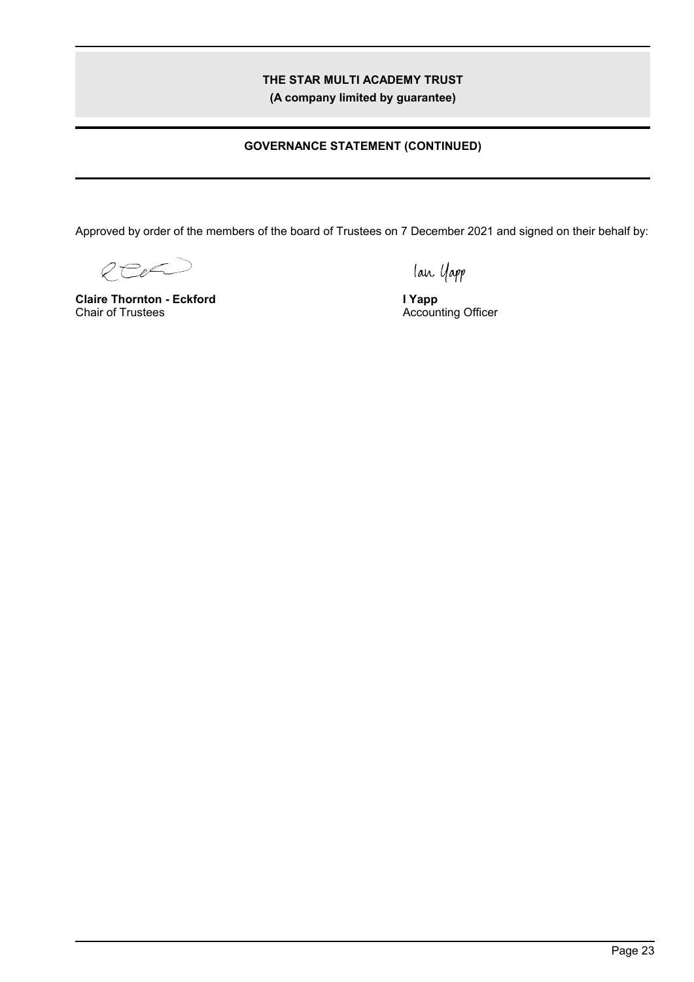**(A company limited by guarantee)**

## **GOVERNANCE STATEMENT (CONTINUED)**

Approved by order of the members of the board of Trustees on 7 December 2021 and signed on their behalf by:

REE

**Claire Thornton - Eckford** Chair of Trustees

lan Yapp

**I Yapp** Accounting Officer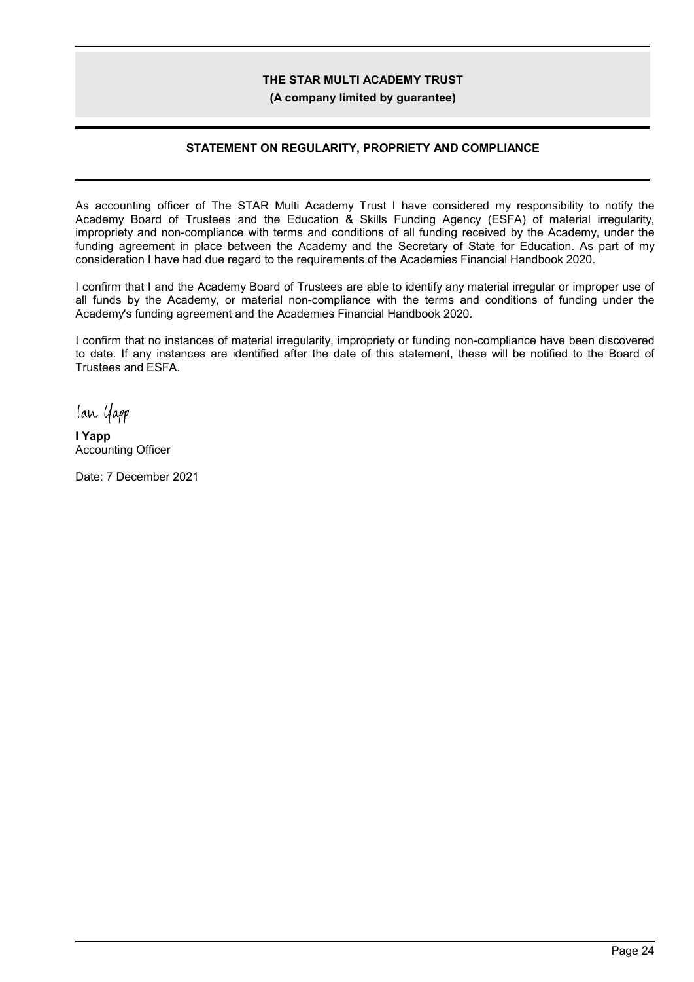**(A company limited by guarantee)**

### **STATEMENT ON REGULARITY, PROPRIETY AND COMPLIANCE**

As accounting officer of The STAR Multi Academy Trust I have considered my responsibility to notify the Academy Board of Trustees and the Education & Skills Funding Agency (ESFA) of material irregularity, impropriety and non-compliance with terms and conditions of all funding received by the Academy, under the funding agreement in place between the Academy and the Secretary of State for Education. As part of my consideration I have had due regard to the requirements of the Academies Financial Handbook 2020.

I confirm that I and the Academy Board of Trustees are able to identify any material irregular or improper use of all funds by the Academy, or material non-compliance with the terms and conditions of funding under the Academy's funding agreement and the Academies Financial Handbook 2020.

I confirm that no instances of material irregularity, impropriety or funding non-compliance have been discovered to date. If any instances are identified after the date of this statement, these will be notified to the Board of Trustees and ESFA.

lan Yapp

**I Yapp** Accounting Officer

Date: 7 December 2021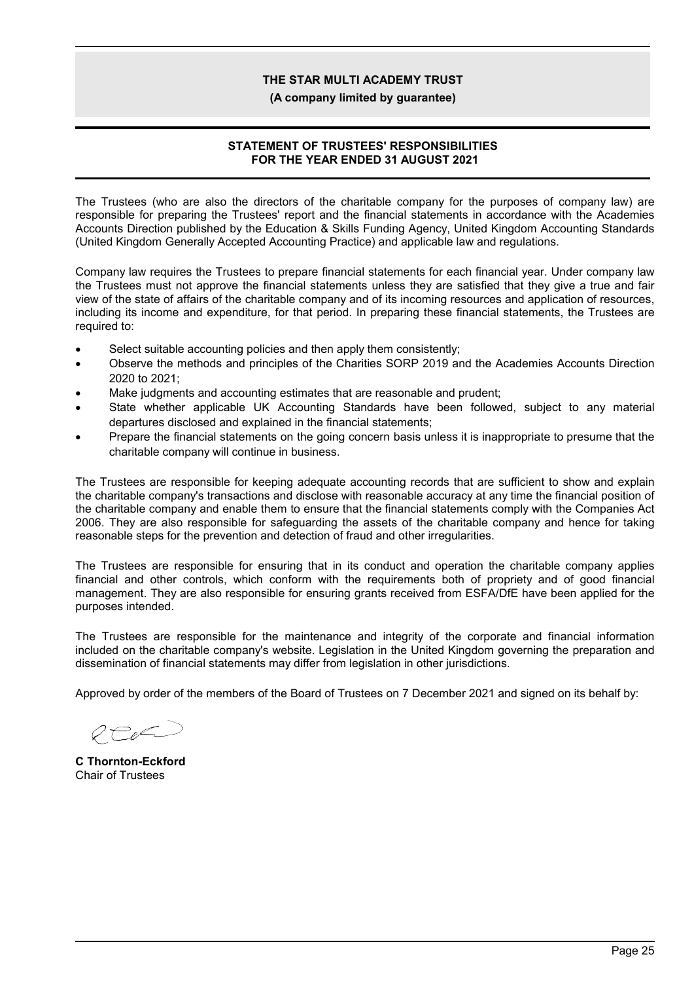#### **(A company limited by guarantee)**

### **STATEMENT OF TRUSTEES' RESPONSIBILITIES FOR THE YEAR ENDED 31 AUGUST 2021**

The Trustees (who are also the directors of the charitable company for the purposes of company law) are responsible for preparing the Trustees' report and the financial statements in accordance with the Academies Accounts Direction published by the Education & Skills Funding Agency, United Kingdom Accounting Standards (United Kingdom Generally Accepted Accounting Practice) and applicable law and regulations.

Company law requires the Trustees to prepare financial statements for each financial year. Under company law the Trustees must not approve the financial statements unless they are satisfied that they give a true and fair view of the state of affairs of the charitable company and of its incoming resources and application of resources, including its income and expenditure, for that period. In preparing these financial statements, the Trustees are required to:

- Select suitable accounting policies and then apply them consistently;
- Observe the methods and principles of the Charities SORP 2019 and the Academies Accounts Direction 2020 to 2021;
- Make judgments and accounting estimates that are reasonable and prudent;
- State whether applicable UK Accounting Standards have been followed, subject to any material departures disclosed and explained in the financial statements;
- Prepare the financial statements on the going concern basis unless it is inappropriate to presume that the charitable company will continue in business.

The Trustees are responsible for keeping adequate accounting records that are sufficient to show and explain the charitable company's transactions and disclose with reasonable accuracy at any time the financial position of the charitable company and enable them to ensure that the financial statements comply with the Companies Act 2006. They are also responsible for safeguarding the assets of the charitable company and hence for taking reasonable steps for the prevention and detection of fraud and other irregularities.

The Trustees are responsible for ensuring that in its conduct and operation the charitable company applies financial and other controls, which conform with the requirements both of propriety and of good financial management. They are also responsible for ensuring grants received from ESFA/DfE have been applied for the purposes intended.

The Trustees are responsible for the maintenance and integrity of the corporate and financial information included on the charitable company's website. Legislation in the United Kingdom governing the preparation and dissemination of financial statements may differ from legislation in other jurisdictions.

Approved by order of the members of the Board of Trustees on 7 December 2021 and signed on its behalf by:

 $OP_{R}C$ 

**C Thornton-Eckford** Chair of Trustees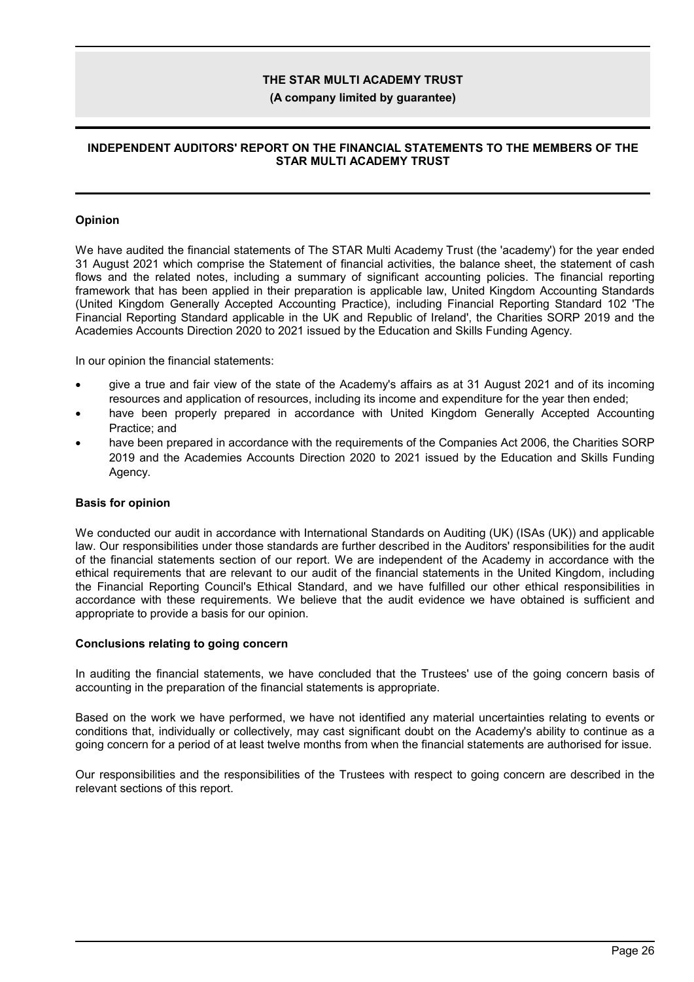#### **(A company limited by guarantee)**

### **INDEPENDENT AUDITORS' REPORT ON THE FINANCIAL STATEMENTS TO THE MEMBERS OF THE STAR MULTI ACADEMY TRUST**

#### **Opinion**

We have audited the financial statements of The STAR Multi Academy Trust (the 'academy') for the year ended 31 August 2021 which comprise the Statement of financial activities, the balance sheet, the statement of cash flows and the related notes, including a summary of significant accounting policies. The financial reporting framework that has been applied in their preparation is applicable law, United Kingdom Accounting Standards (United Kingdom Generally Accepted Accounting Practice), including Financial Reporting Standard 102 'The Financial Reporting Standard applicable in the UK and Republic of Ireland', the Charities SORP 2019 and the Academies Accounts Direction 2020 to 2021 issued by the Education and Skills Funding Agency.

In our opinion the financial statements:

- give a true and fair view of the state of the Academy's affairs as at 31 August 2021 and of its incoming resources and application of resources, including its income and expenditure for the year then ended;
- have been properly prepared in accordance with United Kingdom Generally Accepted Accounting Practice; and
- have been prepared in accordance with the requirements of the Companies Act 2006, the Charities SORP 2019 and the Academies Accounts Direction 2020 to 2021 issued by the Education and Skills Funding Agency.

#### **Basis for opinion**

We conducted our audit in accordance with International Standards on Auditing (UK) (ISAs (UK)) and applicable law. Our responsibilities under those standards are further described in the Auditors' responsibilities for the audit of the financial statements section of our report. We are independent of the Academy in accordance with the ethical requirements that are relevant to our audit of the financial statements in the United Kingdom, including the Financial Reporting Council's Ethical Standard, and we have fulfilled our other ethical responsibilities in accordance with these requirements. We believe that the audit evidence we have obtained is sufficient and appropriate to provide a basis for our opinion.

#### **Conclusions relating to going concern**

In auditing the financial statements, we have concluded that the Trustees' use of the going concern basis of accounting in the preparation of the financial statements is appropriate.

Based on the work we have performed, we have not identified any material uncertainties relating to events or conditions that, individually or collectively, may cast significant doubt on the Academy's ability to continue as a going concern for a period of at least twelve months from when the financial statements are authorised for issue.

Our responsibilities and the responsibilities of the Trustees with respect to going concern are described in the relevant sections of this report.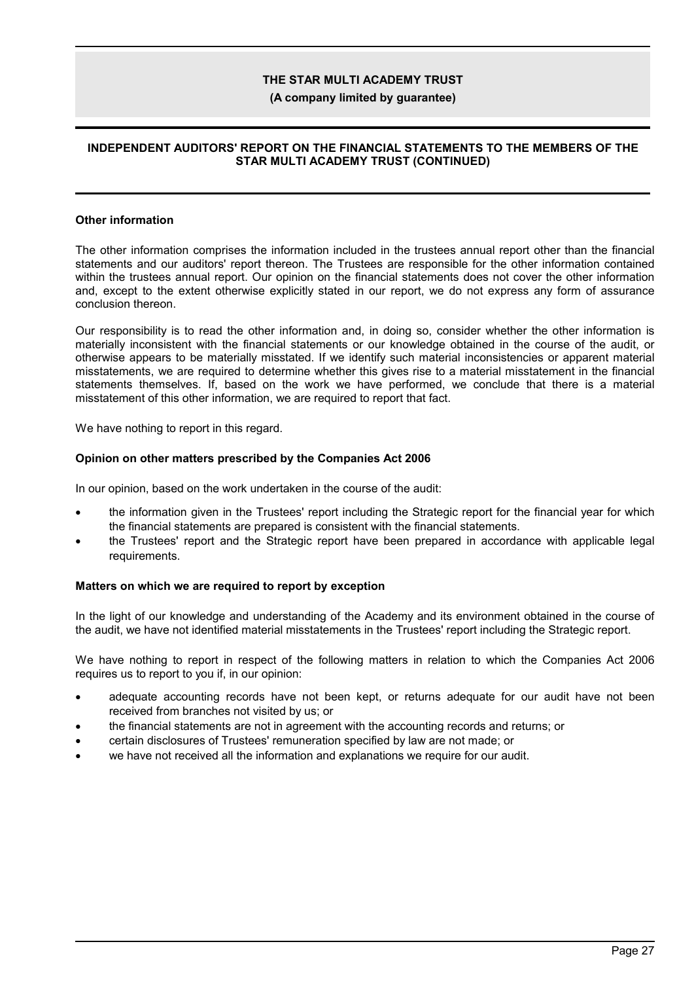#### **(A company limited by guarantee)**

### **INDEPENDENT AUDITORS' REPORT ON THE FINANCIAL STATEMENTS TO THE MEMBERS OF THE STAR MULTI ACADEMY TRUST (CONTINUED)**

#### **Other information**

The other information comprises the information included in the trustees annual report other than the financial statements and our auditors' report thereon. The Trustees are responsible for the other information contained within the trustees annual report. Our opinion on the financial statements does not cover the other information and, except to the extent otherwise explicitly stated in our report, we do not express any form of assurance conclusion thereon.

Our responsibility is to read the other information and, in doing so, consider whether the other information is materially inconsistent with the financial statements or our knowledge obtained in the course of the audit, or otherwise appears to be materially misstated. If we identify such material inconsistencies or apparent material misstatements, we are required to determine whether this gives rise to a material misstatement in the financial statements themselves. If, based on the work we have performed, we conclude that there is a material misstatement of this other information, we are required to report that fact.

We have nothing to report in this regard.

#### **Opinion on other matters prescribed by the Companies Act 2006**

In our opinion, based on the work undertaken in the course of the audit:

- the information given in the Trustees' report including the Strategic report for the financial year for which the financial statements are prepared is consistent with the financial statements.
- the Trustees' report and the Strategic report have been prepared in accordance with applicable legal requirements.

#### **Matters on which we are required to report by exception**

In the light of our knowledge and understanding of the Academy and its environment obtained in the course of the audit, we have not identified material misstatements in the Trustees' report including the Strategic report.

We have nothing to report in respect of the following matters in relation to which the Companies Act 2006 requires us to report to you if, in our opinion:

- adequate accounting records have not been kept, or returns adequate for our audit have not been received from branches not visited by us; or
- the financial statements are not in agreement with the accounting records and returns; or
- certain disclosures of Trustees' remuneration specified by law are not made; or
- we have not received all the information and explanations we require for our audit.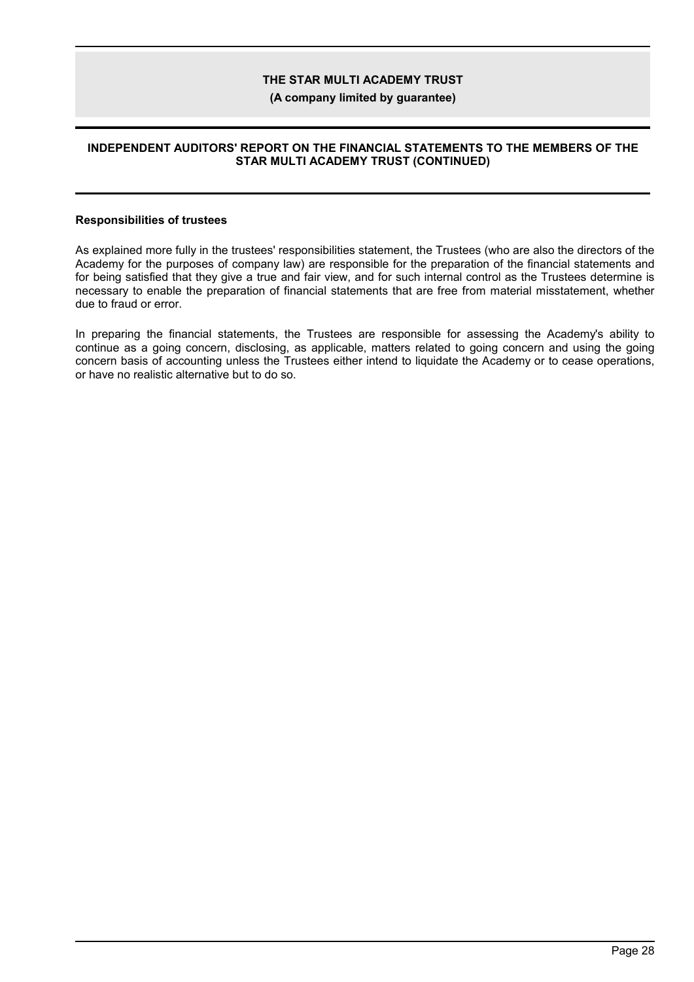#### **(A company limited by guarantee)**

### **INDEPENDENT AUDITORS' REPORT ON THE FINANCIAL STATEMENTS TO THE MEMBERS OF THE STAR MULTI ACADEMY TRUST (CONTINUED)**

#### **Responsibilities of trustees**

As explained more fully in the trustees' responsibilities statement, the Trustees (who are also the directors of the Academy for the purposes of company law) are responsible for the preparation of the financial statements and for being satisfied that they give a true and fair view, and for such internal control as the Trustees determine is necessary to enable the preparation of financial statements that are free from material misstatement, whether due to fraud or error.

In preparing the financial statements, the Trustees are responsible for assessing the Academy's ability to continue as a going concern, disclosing, as applicable, matters related to going concern and using the going concern basis of accounting unless the Trustees either intend to liquidate the Academy or to cease operations, or have no realistic alternative but to do so.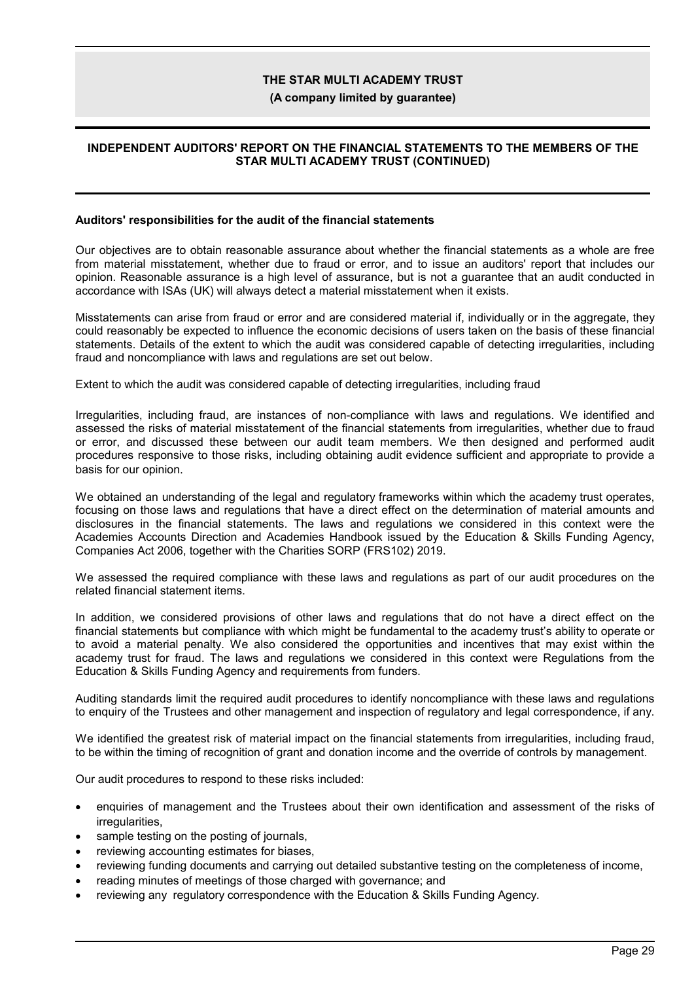#### **(A company limited by guarantee)**

### **INDEPENDENT AUDITORS' REPORT ON THE FINANCIAL STATEMENTS TO THE MEMBERS OF THE STAR MULTI ACADEMY TRUST (CONTINUED)**

#### **Auditors' responsibilities for the audit of the financial statements**

Our objectives are to obtain reasonable assurance about whether the financial statements as a whole are free from material misstatement, whether due to fraud or error, and to issue an auditors' report that includes our opinion. Reasonable assurance is a high level of assurance, but is not a guarantee that an audit conducted in accordance with ISAs (UK) will always detect a material misstatement when it exists.

Misstatements can arise from fraud or error and are considered material if, individually or in the aggregate, they could reasonably be expected to influence the economic decisions of users taken on the basis of these financial statements. Details of the extent to which the audit was considered capable of detecting irregularities, including fraud and noncompliance with laws and regulations are set out below.

Extent to which the audit was considered capable of detecting irregularities, including fraud

Irregularities, including fraud, are instances of non-compliance with laws and regulations. We identified and assessed the risks of material misstatement of the financial statements from irregularities, whether due to fraud or error, and discussed these between our audit team members. We then designed and performed audit procedures responsive to those risks, including obtaining audit evidence sufficient and appropriate to provide a basis for our opinion.

We obtained an understanding of the legal and regulatory frameworks within which the academy trust operates, focusing on those laws and regulations that have a direct effect on the determination of material amounts and disclosures in the financial statements. The laws and regulations we considered in this context were the Academies Accounts Direction and Academies Handbook issued by the Education & Skills Funding Agency, Companies Act 2006, together with the Charities SORP (FRS102) 2019.

We assessed the required compliance with these laws and regulations as part of our audit procedures on the related financial statement items.

In addition, we considered provisions of other laws and regulations that do not have a direct effect on the financial statements but compliance with which might be fundamental to the academy trust's ability to operate or to avoid a material penalty. We also considered the opportunities and incentives that may exist within the academy trust for fraud. The laws and regulations we considered in this context were Regulations from the Education & Skills Funding Agency and requirements from funders.

Auditing standards limit the required audit procedures to identify noncompliance with these laws and regulations to enquiry of the Trustees and other management and inspection of regulatory and legal correspondence, if any.

We identified the greatest risk of material impact on the financial statements from irregularities, including fraud, to be within the timing of recognition of grant and donation income and the override of controls by management.

Our audit procedures to respond to these risks included:

- enquiries of management and the Trustees about their own identification and assessment of the risks of irregularities.
- sample testing on the posting of journals,
- reviewing accounting estimates for biases,
- reviewing funding documents and carrying out detailed substantive testing on the completeness of income,
- reading minutes of meetings of those charged with governance; and
- reviewing any regulatory correspondence with the Education & Skills Funding Agency.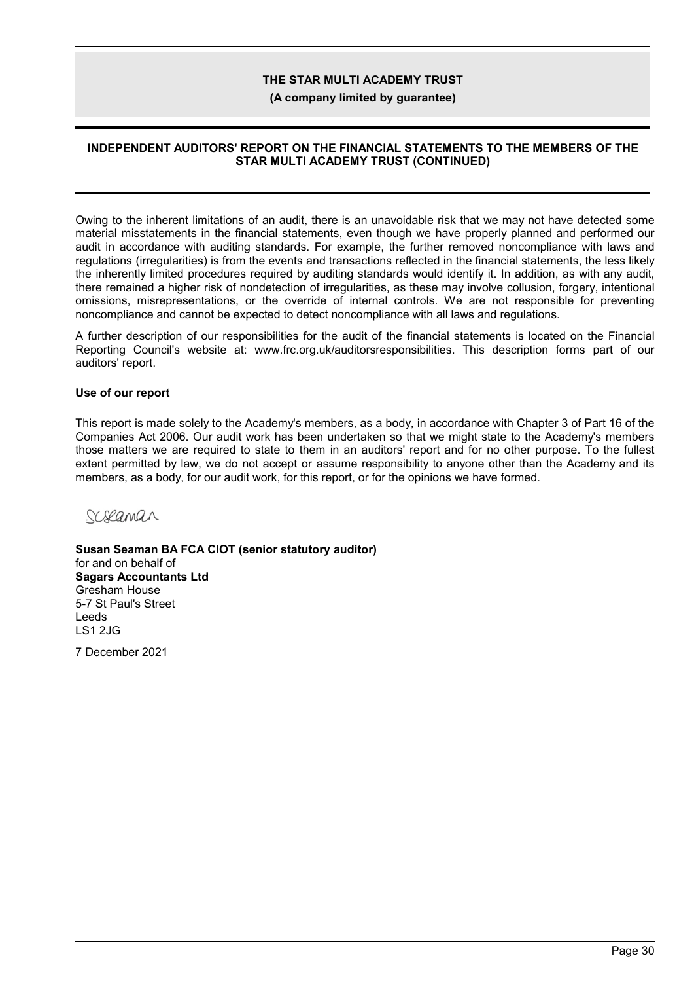**(A company limited by guarantee)**

### **INDEPENDENT AUDITORS' REPORT ON THE FINANCIAL STATEMENTS TO THE MEMBERS OF THE STAR MULTI ACADEMY TRUST (CONTINUED)**

Owing to the inherent limitations of an audit, there is an unavoidable risk that we may not have detected some material misstatements in the financial statements, even though we have properly planned and performed our audit in accordance with auditing standards. For example, the further removed noncompliance with laws and regulations (irregularities) is from the events and transactions reflected in the financial statements, the less likely the inherently limited procedures required by auditing standards would identify it. In addition, as with any audit, there remained a higher risk of nondetection of irregularities, as these may involve collusion, forgery, intentional omissions, misrepresentations, or the override of internal controls. We are not responsible for preventing noncompliance and cannot be expected to detect noncompliance with all laws and regulations.

A further description of our responsibilities for the audit of the financial statements is located on the Financial Reporting Council's website at: www.frc.org.uk/auditorsresponsibilities. This description forms part of our auditors' report.

### **Use of our report**

This report is made solely to the Academy's members, as a body, in accordance with Chapter 3 of Part 16 of the Companies Act 2006. Our audit work has been undertaken so that we might state to the Academy's members those matters we are required to state to them in an auditors' report and for no other purpose. To the fullest extent permitted by law, we do not accept or assume responsibility to anyone other than the Academy and its members, as a body, for our audit work, for this report, or for the opinions we have formed.

Schlaman

**Susan Seaman BA FCA CIOT (senior statutory auditor)** for and on behalf of **Sagars Accountants Ltd** Gresham House 5-7 St Paul's Street Leeds LS1 2JG

7 December 2021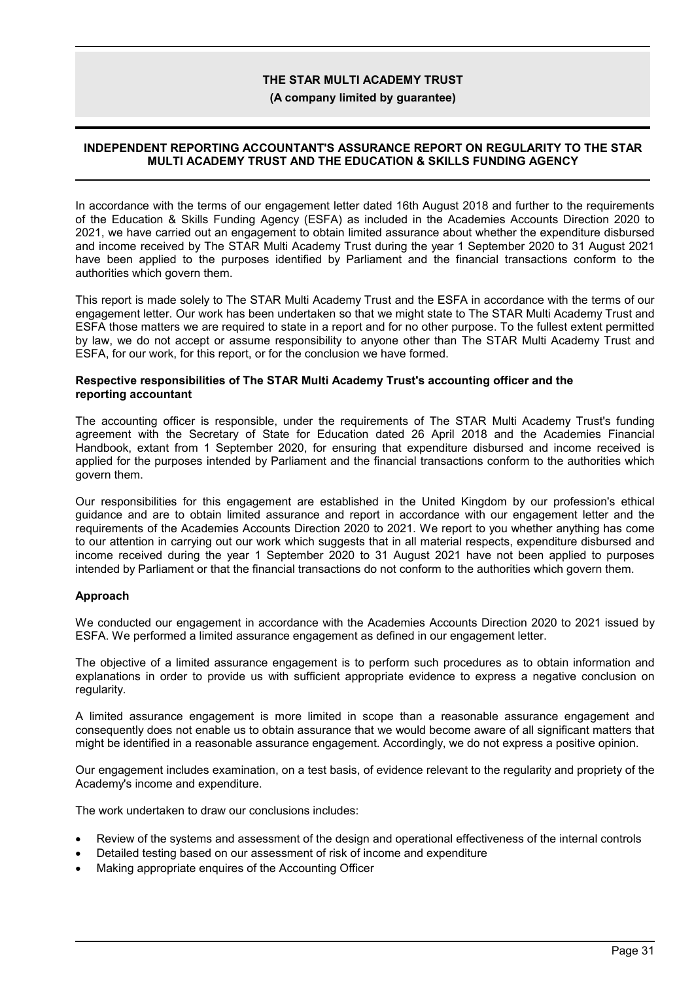#### **(A company limited by guarantee)**

### **INDEPENDENT REPORTING ACCOUNTANT'S ASSURANCE REPORT ON REGULARITY TO THE STAR MULTI ACADEMY TRUST AND THE EDUCATION & SKILLS FUNDING AGENCY**

In accordance with the terms of our engagement letter dated 16th August 2018 and further to the requirements of the Education & Skills Funding Agency (ESFA) as included in the Academies Accounts Direction 2020 to 2021, we have carried out an engagement to obtain limited assurance about whether the expenditure disbursed and income received by The STAR Multi Academy Trust during the year 1 September 2020 to 31 August 2021 have been applied to the purposes identified by Parliament and the financial transactions conform to the authorities which govern them.

This report is made solely to The STAR Multi Academy Trust and the ESFA in accordance with the terms of our engagement letter. Our work has been undertaken so that we might state to The STAR Multi Academy Trust and ESFA those matters we are required to state in a report and for no other purpose. To the fullest extent permitted by law, we do not accept or assume responsibility to anyone other than The STAR Multi Academy Trust and ESFA, for our work, for this report, or for the conclusion we have formed.

#### **Respective responsibilities of The STAR Multi Academy Trust's accounting officer and the reporting accountant**

The accounting officer is responsible, under the requirements of The STAR Multi Academy Trust's funding agreement with the Secretary of State for Education dated 26 April 2018 and the Academies Financial Handbook, extant from 1 September 2020, for ensuring that expenditure disbursed and income received is applied for the purposes intended by Parliament and the financial transactions conform to the authorities which govern them.

Our responsibilities for this engagement are established in the United Kingdom by our profession's ethical guidance and are to obtain limited assurance and report in accordance with our engagement letter and the requirements of the Academies Accounts Direction 2020 to 2021. We report to you whether anything has come to our attention in carrying out our work which suggests that in all material respects, expenditure disbursed and income received during the year 1 September 2020 to 31 August 2021 have not been applied to purposes intended by Parliament or that the financial transactions do not conform to the authorities which govern them.

### **Approach**

We conducted our engagement in accordance with the Academies Accounts Direction 2020 to 2021 issued by ESFA. We performed a limited assurance engagement as defined in our engagement letter.

The objective of a limited assurance engagement is to perform such procedures as to obtain information and explanations in order to provide us with sufficient appropriate evidence to express a negative conclusion on regularity.

A limited assurance engagement is more limited in scope than a reasonable assurance engagement and consequently does not enable us to obtain assurance that we would become aware of all significant matters that might be identified in a reasonable assurance engagement. Accordingly, we do not express a positive opinion.

Our engagement includes examination, on a test basis, of evidence relevant to the regularity and propriety of the Academy's income and expenditure.

The work undertaken to draw our conclusions includes:

- Review of the systems and assessment of the design and operational effectiveness of the internal controls
- Detailed testing based on our assessment of risk of income and expenditure
- Making appropriate enquires of the Accounting Officer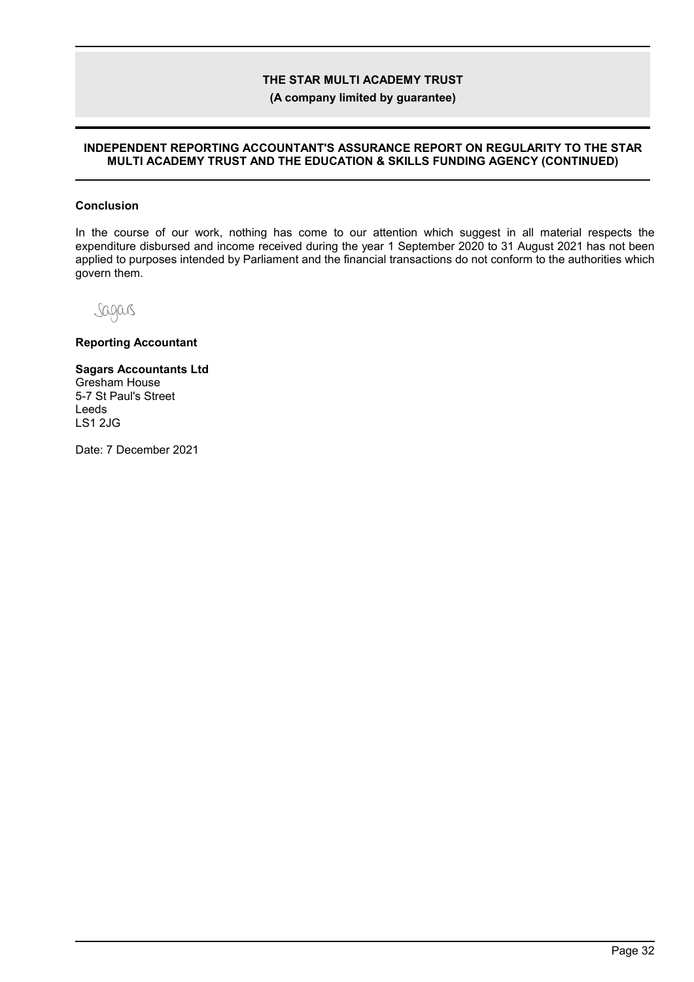**(A company limited by guarantee)**

#### **INDEPENDENT REPORTING ACCOUNTANT'S ASSURANCE REPORT ON REGULARITY TO THE STAR MULTI ACADEMY TRUST AND THE EDUCATION & SKILLS FUNDING AGENCY (CONTINUED)**

### **Conclusion**

In the course of our work, nothing has come to our attention which suggest in all material respects the expenditure disbursed and income received during the year 1 September 2020 to 31 August 2021 has not been applied to purposes intended by Parliament and the financial transactions do not conform to the authorities which govern them.

Sagars

**Reporting Accountant**

#### **Sagars Accountants Ltd**

Gresham House 5-7 St Paul's Street Leeds LS1 2JG

Date: 7 December 2021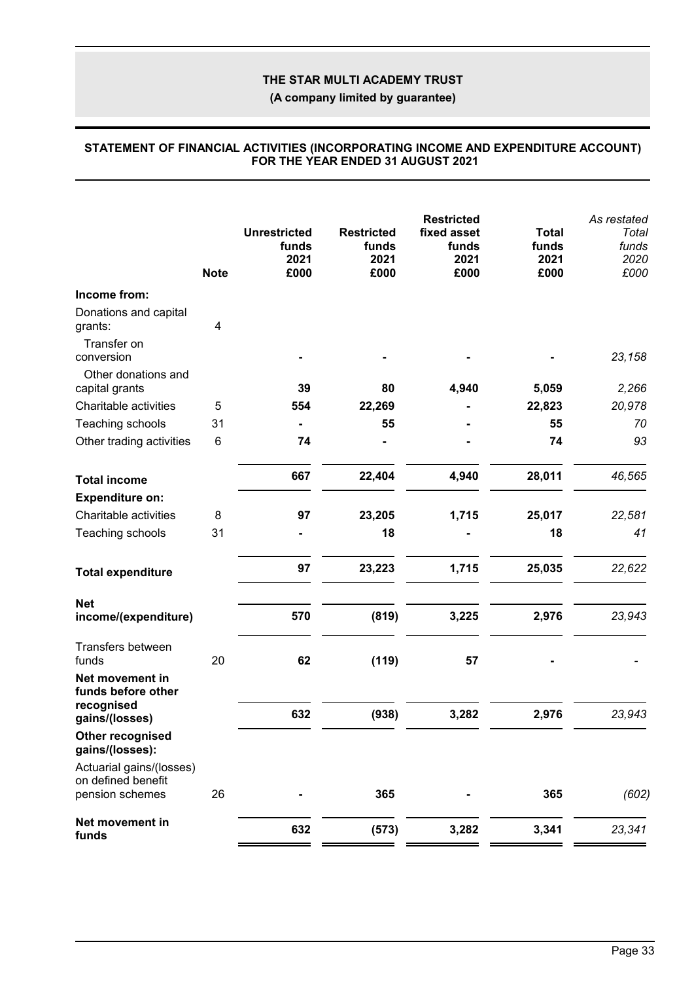**(A company limited by guarantee)**

|                                                                   | <b>Note</b> | <b>Unrestricted</b><br>funds<br>2021<br>£000 | <b>Restricted</b><br>funds<br>2021<br>£000 | <b>Restricted</b><br>fixed asset<br>funds<br>2021<br>£000 | <b>Total</b><br>funds<br>2021<br>£000 | As restated<br>Total<br>funds<br>2020<br>£000 |
|-------------------------------------------------------------------|-------------|----------------------------------------------|--------------------------------------------|-----------------------------------------------------------|---------------------------------------|-----------------------------------------------|
| Income from:                                                      |             |                                              |                                            |                                                           |                                       |                                               |
| Donations and capital<br>grants:                                  | 4           |                                              |                                            |                                                           |                                       |                                               |
| Transfer on<br>conversion                                         |             |                                              |                                            |                                                           |                                       | 23,158                                        |
| Other donations and<br>capital grants                             |             | 39                                           | 80                                         | 4,940                                                     | 5,059                                 | 2,266                                         |
| Charitable activities                                             | 5           | 554                                          | 22,269                                     |                                                           | 22,823                                | 20,978                                        |
| Teaching schools                                                  | 31          |                                              | 55                                         |                                                           | 55                                    | 70                                            |
| Other trading activities                                          | $\,6$       | 74                                           |                                            |                                                           | 74                                    | 93                                            |
| <b>Total income</b>                                               |             | 667                                          | 22,404                                     | 4,940                                                     | 28,011                                | 46,565                                        |
| <b>Expenditure on:</b>                                            |             |                                              |                                            |                                                           |                                       |                                               |
| Charitable activities                                             | 8           | 97                                           | 23,205                                     | 1,715                                                     | 25,017                                | 22,581                                        |
| Teaching schools                                                  | 31          |                                              | 18                                         |                                                           | 18                                    | 41                                            |
| <b>Total expenditure</b>                                          |             | 97                                           | 23,223                                     | 1,715                                                     | 25,035                                | 22,622                                        |
| <b>Net</b><br>income/(expenditure)                                |             | 570                                          | (819)                                      | 3,225                                                     | 2,976                                 | 23,943                                        |
|                                                                   |             |                                              |                                            |                                                           |                                       |                                               |
| Transfers between<br>funds                                        | 20          | 62                                           | (119)                                      | 57                                                        |                                       |                                               |
| Net movement in<br>funds before other                             |             |                                              |                                            |                                                           |                                       |                                               |
| recognised<br>gains/(losses)                                      |             | 632                                          | (938)                                      | 3,282                                                     | 2,976                                 | 23,943                                        |
| Other recognised<br>gains/(losses):                               |             |                                              |                                            |                                                           |                                       |                                               |
| Actuarial gains/(losses)<br>on defined benefit<br>pension schemes | 26          |                                              | 365                                        |                                                           | 365                                   | (602)                                         |
| Net movement in                                                   |             | 632                                          | (573)                                      | 3,282                                                     | 3,341                                 | 23,341                                        |
| funds                                                             |             |                                              |                                            |                                                           |                                       |                                               |

#### **STATEMENT OF FINANCIAL ACTIVITIES (INCORPORATING INCOME AND EXPENDITURE ACCOUNT) FOR THE YEAR ENDED 31 AUGUST 2021**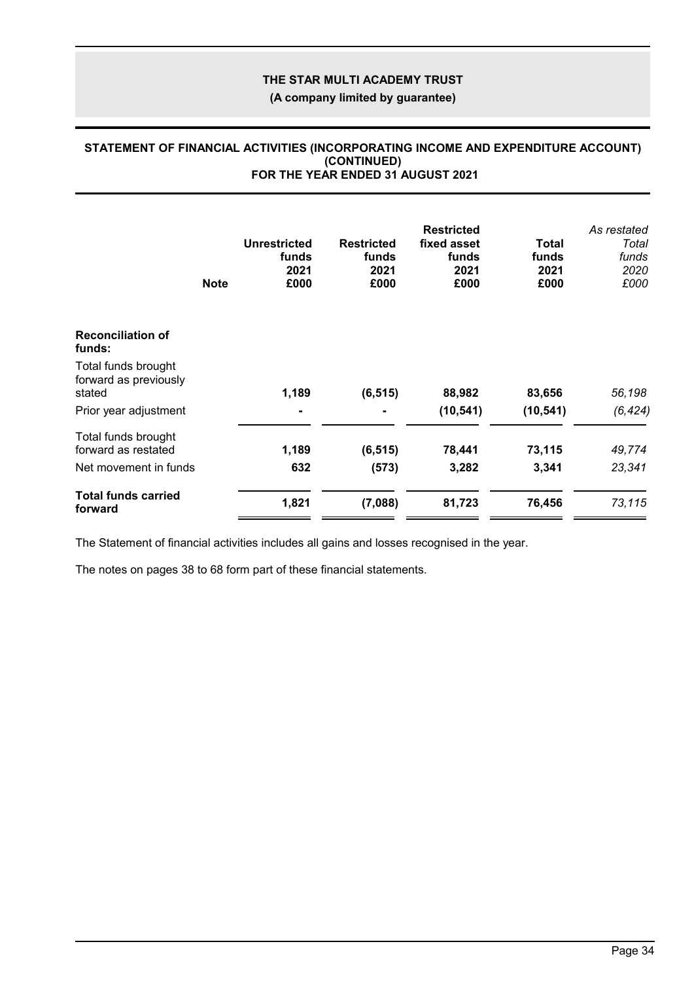**(A company limited by guarantee)**

### **STATEMENT OF FINANCIAL ACTIVITIES (INCORPORATING INCOME AND EXPENDITURE ACCOUNT) (CONTINUED) FOR THE YEAR ENDED 31 AUGUST 2021**

|                                              | <b>Note</b> | <b>Unrestricted</b><br>funds<br>2021<br>£000 | <b>Restricted</b><br>funds<br>2021<br>£000 | <b>Restricted</b><br>fixed asset<br>funds<br>2021<br>£000 | Total<br>funds<br>2021<br>£000 | As restated<br>Total<br>funds<br>2020<br>£000 |
|----------------------------------------------|-------------|----------------------------------------------|--------------------------------------------|-----------------------------------------------------------|--------------------------------|-----------------------------------------------|
| <b>Reconciliation of</b><br>funds:           |             |                                              |                                            |                                                           |                                |                                               |
| Total funds brought<br>forward as previously |             |                                              |                                            |                                                           |                                |                                               |
| stated<br>Prior year adjustment              |             | 1,189<br>۰.                                  | (6, 515)                                   | 88,982<br>(10, 541)                                       | 83,656<br>(10, 541)            | 56,198<br>(6, 424)                            |
| Total funds brought<br>forward as restated   |             | 1,189                                        | (6, 515)                                   | 78,441                                                    | 73,115                         | 49,774                                        |
| Net movement in funds                        |             | 632                                          | (573)                                      | 3,282                                                     | 3,341                          | 23,341                                        |
| <b>Total funds carried</b><br>forward        |             | 1,821                                        | (7,088)                                    | 81,723                                                    | 76,456                         | 73,115                                        |

The Statement of financial activities includes all gains and losses recognised in the year.

The notes on pages 38 to 68 form part of these financial statements.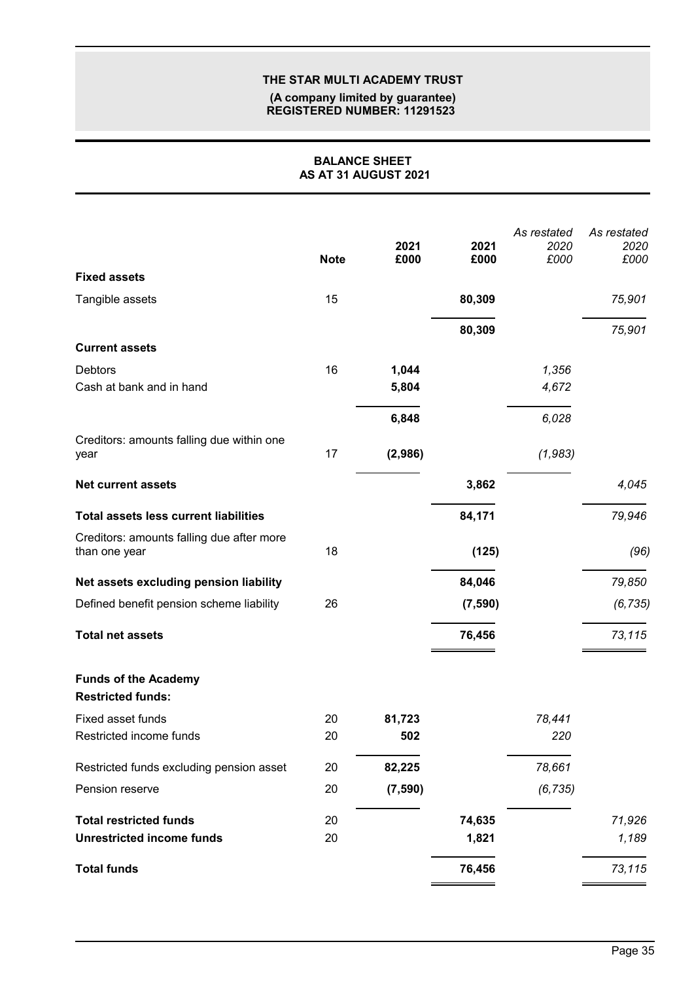#### **(A company limited by guarantee) REGISTERED NUMBER: 11291523**

### **BALANCE SHEET AS AT 31 AUGUST 2021**

|                                                            | <b>Note</b> | 2021<br>£000 | 2021<br>£000 | As restated<br>2020<br>£000 | As restated<br>2020<br>£000 |
|------------------------------------------------------------|-------------|--------------|--------------|-----------------------------|-----------------------------|
| <b>Fixed assets</b>                                        |             |              |              |                             |                             |
| Tangible assets                                            | 15          |              | 80,309       |                             | 75,901                      |
|                                                            |             |              | 80,309       |                             | 75,901                      |
| <b>Current assets</b>                                      |             |              |              |                             |                             |
| <b>Debtors</b>                                             | 16          | 1,044        |              | 1,356                       |                             |
| Cash at bank and in hand                                   |             | 5,804        |              | 4,672                       |                             |
|                                                            |             | 6,848        |              | 6,028                       |                             |
| Creditors: amounts falling due within one<br>year          | 17          | (2,986)      |              | (1,983)                     |                             |
| <b>Net current assets</b>                                  |             |              | 3,862        |                             | 4,045                       |
| <b>Total assets less current liabilities</b>               |             |              | 84,171       |                             | 79,946                      |
| Creditors: amounts falling due after more<br>than one year | 18          |              | (125)        |                             | (96)                        |
| Net assets excluding pension liability                     |             |              | 84,046       |                             | 79,850                      |
| Defined benefit pension scheme liability                   | 26          |              | (7, 590)     |                             | (6, 735)                    |
| <b>Total net assets</b>                                    |             |              | 76,456       |                             | 73,115                      |
| <b>Funds of the Academy</b><br><b>Restricted funds:</b>    |             |              |              |                             |                             |
| Fixed asset funds                                          | 20          | 81,723       |              | 78,441                      |                             |
| Restricted income funds                                    | 20          | 502          |              | 220                         |                             |
| Restricted funds excluding pension asset                   | 20          | 82,225       |              | 78,661                      |                             |
| Pension reserve                                            | 20          | (7, 590)     |              | (6, 735)                    |                             |
| <b>Total restricted funds</b>                              | 20          |              | 74,635       |                             | 71,926                      |
| <b>Unrestricted income funds</b>                           | 20          |              | 1,821        |                             | 1,189                       |
| <b>Total funds</b>                                         |             |              | 76,456       |                             | 73,115                      |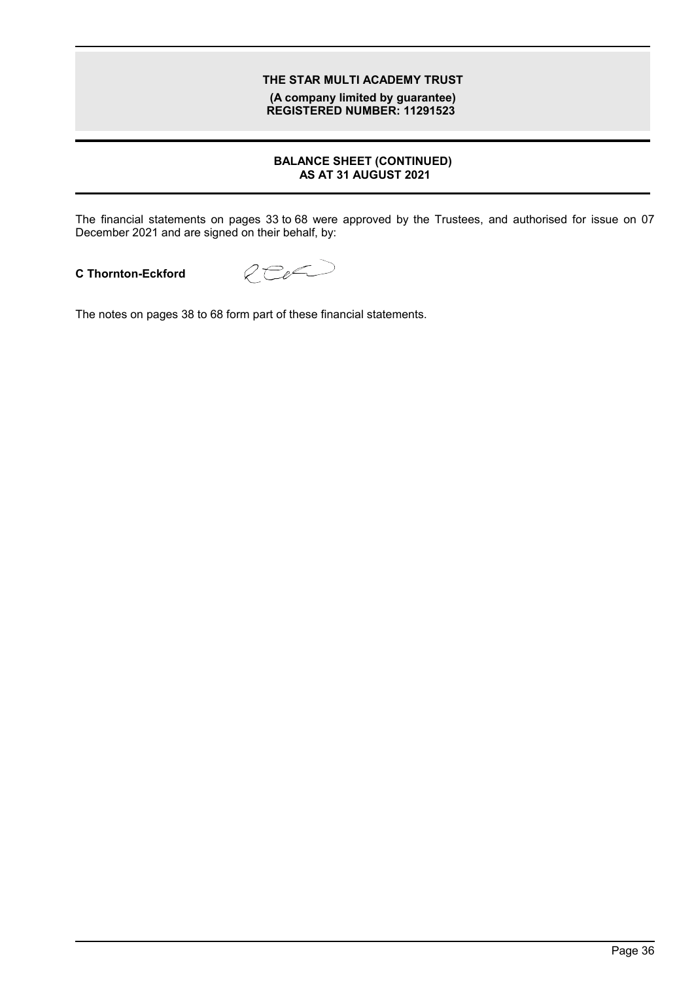**(A company limited by guarantee) REGISTERED NUMBER: 11291523**

### **BALANCE SHEET (CONTINUED) AS AT 31 AUGUST 2021**

The financial statements on pages 33 to 68 were approved by the Trustees, and authorised for issue on 07 December 2021 and are signed on their behalf, by:

### **C Thornton-Eckford**



The notes on pages 38 to 68 form part of these financial statements.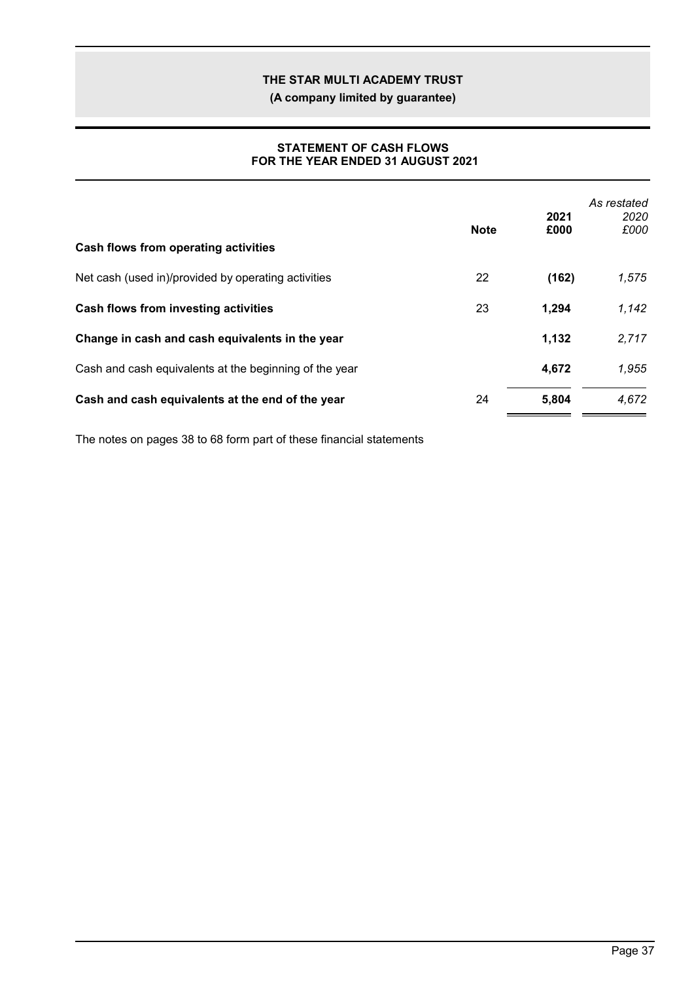**(A company limited by guarantee)**

### **STATEMENT OF CASH FLOWS FOR THE YEAR ENDED 31 AUGUST 2021**

| Cash flows from operating activities                   | <b>Note</b> | 2021<br>£000 | As restated<br>2020<br>£000 |
|--------------------------------------------------------|-------------|--------------|-----------------------------|
| Net cash (used in)/provided by operating activities    | 22          | (162)        | 1,575                       |
| Cash flows from investing activities                   | 23          | 1,294        | 1,142                       |
| Change in cash and cash equivalents in the year        |             | 1,132        | 2,717                       |
| Cash and cash equivalents at the beginning of the year |             | 4,672        | 1,955                       |
| Cash and cash equivalents at the end of the year       | 24          | 5,804        | 4,672                       |

The notes on pages 38 to 68 form part of these financial statements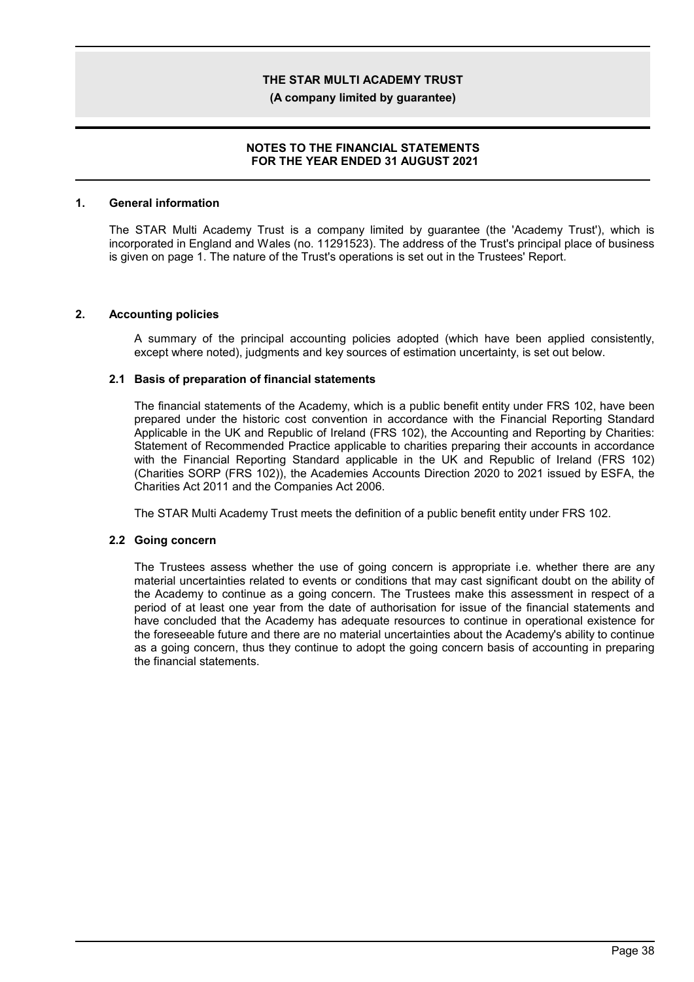**(A company limited by guarantee)**

### **NOTES TO THE FINANCIAL STATEMENTS FOR THE YEAR ENDED 31 AUGUST 2021**

#### **1. General information**

The STAR Multi Academy Trust is a company limited by guarantee (the 'Academy Trust'), which is incorporated in England and Wales (no. 11291523). The address of the Trust's principal place of business is given on page 1. The nature of the Trust's operations is set out in the Trustees' Report.

#### **2. Accounting policies**

A summary of the principal accounting policies adopted (which have been applied consistently, except where noted), judgments and key sources of estimation uncertainty, is set out below.

#### **2.1 Basis of preparation of financial statements**

The financial statements of the Academy, which is a public benefit entity under FRS 102, have been prepared under the historic cost convention in accordance with the Financial Reporting Standard Applicable in the UK and Republic of Ireland (FRS 102), the Accounting and Reporting by Charities: Statement of Recommended Practice applicable to charities preparing their accounts in accordance with the Financial Reporting Standard applicable in the UK and Republic of Ireland (FRS 102) (Charities SORP (FRS 102)), the Academies Accounts Direction 2020 to 2021 issued by ESFA, the Charities Act 2011 and the Companies Act 2006.

The STAR Multi Academy Trust meets the definition of a public benefit entity under FRS 102.

### **2.2 Going concern**

The Trustees assess whether the use of going concern is appropriate i.e. whether there are any material uncertainties related to events or conditions that may cast significant doubt on the ability of the Academy to continue as a going concern. The Trustees make this assessment in respect of a period of at least one year from the date of authorisation for issue of the financial statements and have concluded that the Academy has adequate resources to continue in operational existence for the foreseeable future and there are no material uncertainties about the Academy's ability to continue as a going concern, thus they continue to adopt the going concern basis of accounting in preparing the financial statements.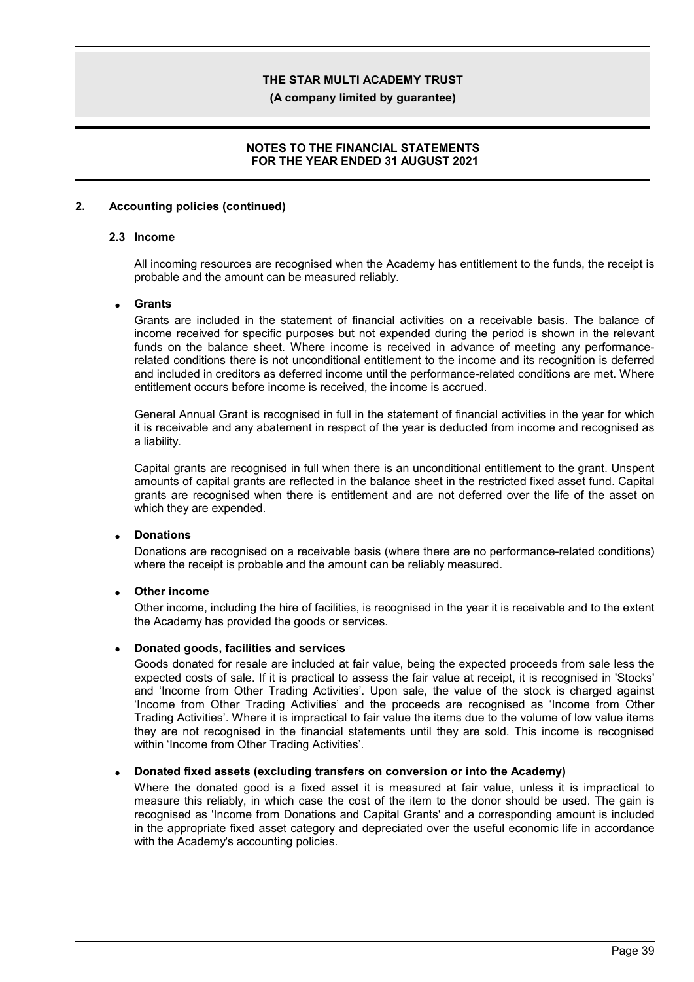**(A company limited by guarantee)**

### **NOTES TO THE FINANCIAL STATEMENTS FOR THE YEAR ENDED 31 AUGUST 2021**

### **2. Accounting policies (continued)**

#### **2.3 Income**

All incoming resources are recognised when the Academy has entitlement to the funds, the receipt is probable and the amount can be measured reliably.

### **Grants**

Grants are included in the statement of financial activities on a receivable basis. The balance of income received for specific purposes but not expended during the period is shown in the relevant funds on the balance sheet. Where income is received in advance of meeting any performancerelated conditions there is not unconditional entitlement to the income and its recognition is deferred and included in creditors as deferred income until the performance-related conditions are met. Where entitlement occurs before income is received, the income is accrued.

General Annual Grant is recognised in full in the statement of financial activities in the year for which it is receivable and any abatement in respect of the year is deducted from income and recognised as a liability.

Capital grants are recognised in full when there is an unconditional entitlement to the grant. Unspent amounts of capital grants are reflected in the balance sheet in the restricted fixed asset fund. Capital grants are recognised when there is entitlement and are not deferred over the life of the asset on which they are expended.

### **Donations**

Donations are recognised on a receivable basis (where there are no performance-related conditions) where the receipt is probable and the amount can be reliably measured.

### **Other income**

Other income, including the hire of facilities, is recognised in the year it is receivable and to the extent the Academy has provided the goods or services.

#### **Donated goods, facilities and services**

Goods donated for resale are included at fair value, being the expected proceeds from sale less the expected costs of sale. If it is practical to assess the fair value at receipt, it is recognised in 'Stocks' and 'Income from Other Trading Activities'. Upon sale, the value of the stock is charged against 'Income from Other Trading Activities' and the proceeds are recognised as 'Income from Other Trading Activities'. Where it is impractical to fair value the items due to the volume of low value items they are not recognised in the financial statements until they are sold. This income is recognised within 'Income from Other Trading Activities'.

### **Donated fixed assets (excluding transfers on conversion or into the Academy)**

Where the donated good is a fixed asset it is measured at fair value, unless it is impractical to measure this reliably, in which case the cost of the item to the donor should be used. The gain is recognised as 'Income from Donations and Capital Grants' and a corresponding amount is included in the appropriate fixed asset category and depreciated over the useful economic life in accordance with the Academy's accounting policies.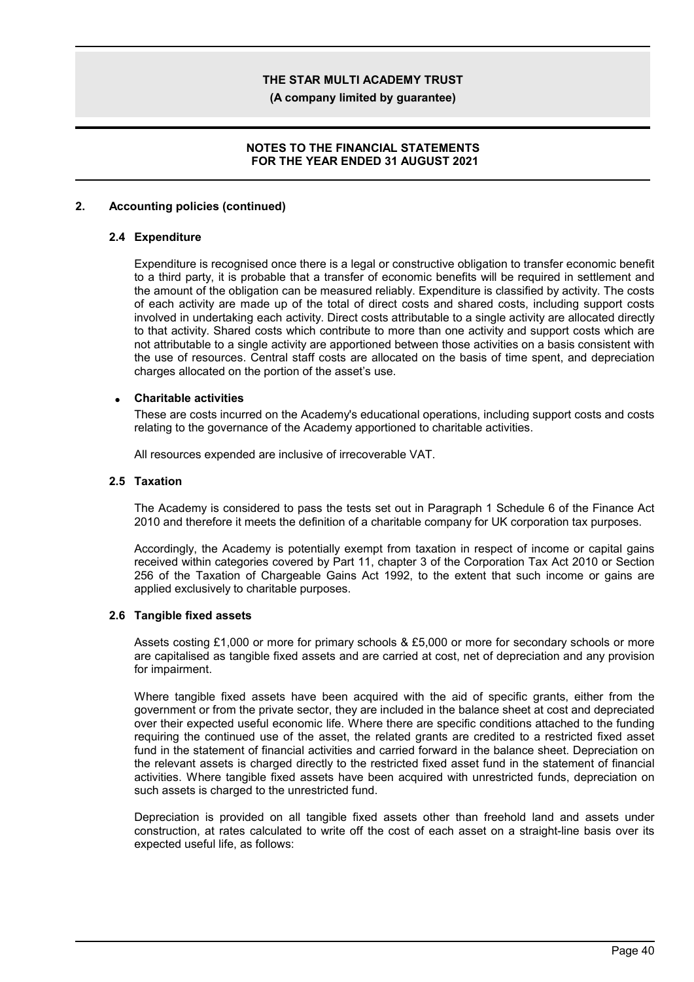**(A company limited by guarantee)**

### **NOTES TO THE FINANCIAL STATEMENTS FOR THE YEAR ENDED 31 AUGUST 2021**

### **2. Accounting policies (continued)**

#### **2.4 Expenditure**

Expenditure is recognised once there is a legal or constructive obligation to transfer economic benefit to a third party, it is probable that a transfer of economic benefits will be required in settlement and the amount of the obligation can be measured reliably. Expenditure is classified by activity. The costs of each activity are made up of the total of direct costs and shared costs, including support costs involved in undertaking each activity. Direct costs attributable to a single activity are allocated directly to that activity. Shared costs which contribute to more than one activity and support costs which are not attributable to a single activity are apportioned between those activities on a basis consistent with the use of resources. Central staff costs are allocated on the basis of time spent, and depreciation charges allocated on the portion of the asset's use.

#### **Charitable activities**

These are costs incurred on the Academy's educational operations, including support costs and costs relating to the governance of the Academy apportioned to charitable activities.

All resources expended are inclusive of irrecoverable VAT.

#### **2.5 Taxation**

The Academy is considered to pass the tests set out in Paragraph 1 Schedule 6 of the Finance Act 2010 and therefore it meets the definition of a charitable company for UK corporation tax purposes.

Accordingly, the Academy is potentially exempt from taxation in respect of income or capital gains received within categories covered by Part 11, chapter 3 of the Corporation Tax Act 2010 or Section 256 of the Taxation of Chargeable Gains Act 1992, to the extent that such income or gains are applied exclusively to charitable purposes.

#### **2.6 Tangible fixed assets**

Assets costing £1,000 or more for primary schools & £5,000 or more for secondary schools or more are capitalised as tangible fixed assets and are carried at cost, net of depreciation and any provision for impairment.

Where tangible fixed assets have been acquired with the aid of specific grants, either from the government or from the private sector, they are included in the balance sheet at cost and depreciated over their expected useful economic life. Where there are specific conditions attached to the funding requiring the continued use of the asset, the related grants are credited to a restricted fixed asset fund in the statement of financial activities and carried forward in the balance sheet. Depreciation on the relevant assets is charged directly to the restricted fixed asset fund in the statement of financial activities. Where tangible fixed assets have been acquired with unrestricted funds, depreciation on such assets is charged to the unrestricted fund.

Depreciation is provided on all tangible fixed assets other than freehold land and assets under construction, at rates calculated to write off the cost of each asset on a straight-line basis over its expected useful life, as follows: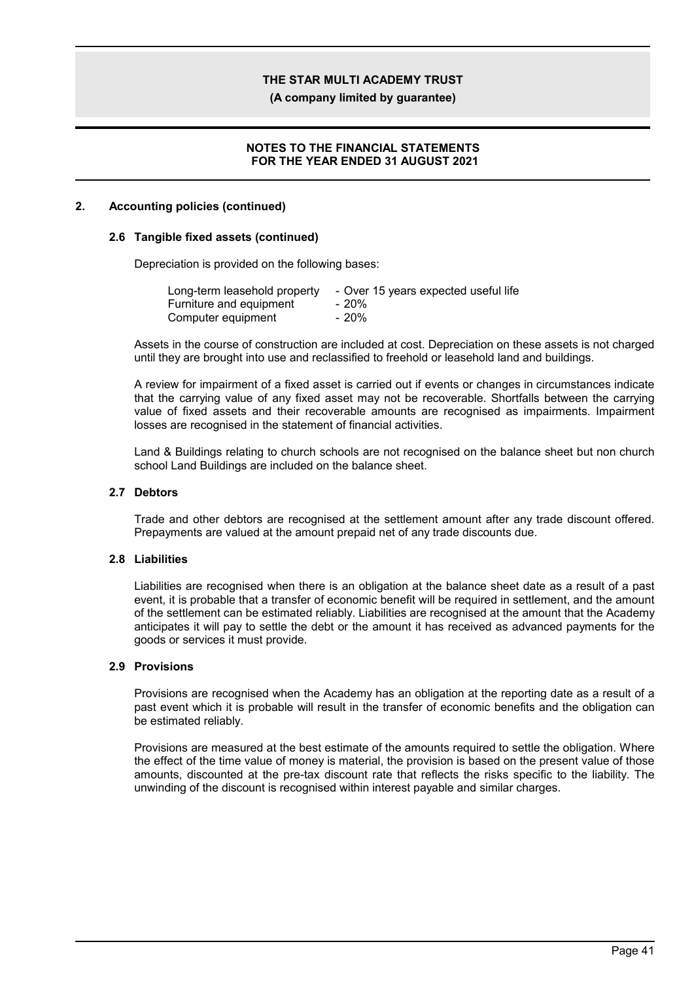**(A company limited by guarantee)**

### **NOTES TO THE FINANCIAL STATEMENTS FOR THE YEAR ENDED 31 AUGUST 2021**

### **2. Accounting policies (continued)**

#### **2.6 Tangible fixed assets (continued)**

Depreciation is provided on the following bases:

| Long-term leasehold property | - Over 15 years expected useful life |
|------------------------------|--------------------------------------|
| Furniture and equipment      | - 20%                                |
| Computer equipment           | $-20%$                               |

Assets in the course of construction are included at cost. Depreciation on these assets is not charged until they are brought into use and reclassified to freehold or leasehold land and buildings.

A review for impairment of a fixed asset is carried out if events or changes in circumstances indicate that the carrying value of any fixed asset may not be recoverable. Shortfalls between the carrying value of fixed assets and their recoverable amounts are recognised as impairments. Impairment losses are recognised in the statement of financial activities.

Land & Buildings relating to church schools are not recognised on the balance sheet but non church school Land Buildings are included on the balance sheet.

#### **2.7 Debtors**

Trade and other debtors are recognised at the settlement amount after any trade discount offered. Prepayments are valued at the amount prepaid net of any trade discounts due.

### **2.8 Liabilities**

Liabilities are recognised when there is an obligation at the balance sheet date as a result of a past event, it is probable that a transfer of economic benefit will be required in settlement, and the amount of the settlement can be estimated reliably. Liabilities are recognised at the amount that the Academy anticipates it will pay to settle the debt or the amount it has received as advanced payments for the goods or services it must provide.

#### **2.9 Provisions**

Provisions are recognised when the Academy has an obligation at the reporting date as a result of a past event which it is probable will result in the transfer of economic benefits and the obligation can be estimated reliably.

Provisions are measured at the best estimate of the amounts required to settle the obligation. Where the effect of the time value of money is material, the provision is based on the present value of those amounts, discounted at the pre-tax discount rate that reflects the risks specific to the liability. The unwinding of the discount is recognised within interest payable and similar charges.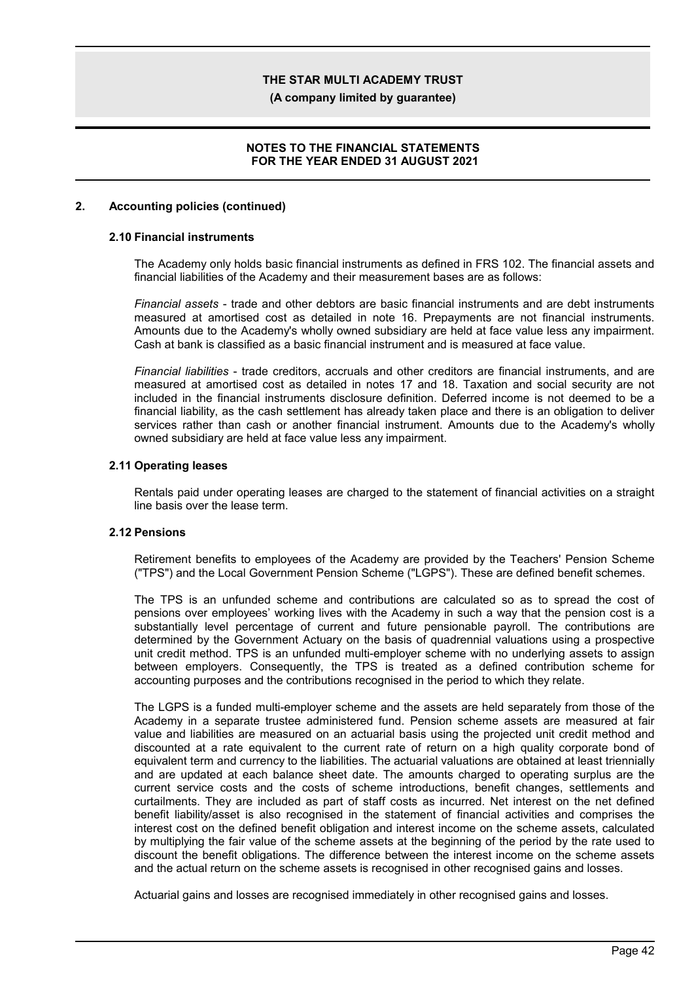**(A company limited by guarantee)**

### **NOTES TO THE FINANCIAL STATEMENTS FOR THE YEAR ENDED 31 AUGUST 2021**

### **2. Accounting policies (continued)**

### **2.10 Financial instruments**

The Academy only holds basic financial instruments as defined in FRS 102. The financial assets and financial liabilities of the Academy and their measurement bases are as follows:

*Financial assets* - trade and other debtors are basic financial instruments and are debt instruments measured at amortised cost as detailed in note 16. Prepayments are not financial instruments. Amounts due to the Academy's wholly owned subsidiary are held at face value less any impairment. Cash at bank is classified as a basic financial instrument and is measured at face value.

*Financial liabilities* - trade creditors, accruals and other creditors are financial instruments, and are measured at amortised cost as detailed in notes 17 and 18. Taxation and social security are not included in the financial instruments disclosure definition. Deferred income is not deemed to be a financial liability, as the cash settlement has already taken place and there is an obligation to deliver services rather than cash or another financial instrument. Amounts due to the Academy's wholly owned subsidiary are held at face value less any impairment.

#### **2.11 Operating leases**

Rentals paid under operating leases are charged to the statement of financial activities on a straight line basis over the lease term.

### **2.12 Pensions**

Retirement benefits to employees of the Academy are provided by the Teachers' Pension Scheme ("TPS") and the Local Government Pension Scheme ("LGPS"). These are defined benefit schemes.

The TPS is an unfunded scheme and contributions are calculated so as to spread the cost of pensions over employees' working lives with the Academy in such a way that the pension cost is a substantially level percentage of current and future pensionable payroll. The contributions are determined by the Government Actuary on the basis of quadrennial valuations using a prospective unit credit method. TPS is an unfunded multi-employer scheme with no underlying assets to assign between employers. Consequently, the TPS is treated as a defined contribution scheme for accounting purposes and the contributions recognised in the period to which they relate.

The LGPS is a funded multi-employer scheme and the assets are held separately from those of the Academy in a separate trustee administered fund. Pension scheme assets are measured at fair value and liabilities are measured on an actuarial basis using the projected unit credit method and discounted at a rate equivalent to the current rate of return on a high quality corporate bond of equivalent term and currency to the liabilities. The actuarial valuations are obtained at least triennially and are updated at each balance sheet date. The amounts charged to operating surplus are the current service costs and the costs of scheme introductions, benefit changes, settlements and curtailments. They are included as part of staff costs as incurred. Net interest on the net defined benefit liability/asset is also recognised in the statement of financial activities and comprises the interest cost on the defined benefit obligation and interest income on the scheme assets, calculated by multiplying the fair value of the scheme assets at the beginning of the period by the rate used to discount the benefit obligations. The difference between the interest income on the scheme assets and the actual return on the scheme assets is recognised in other recognised gains and losses.

Actuarial gains and losses are recognised immediately in other recognised gains and losses.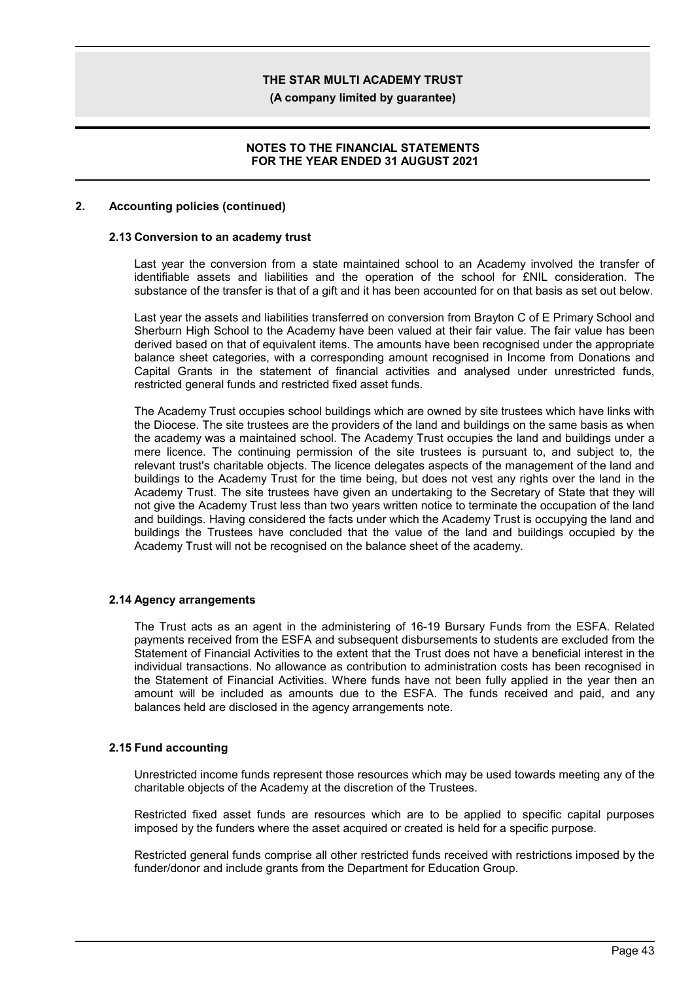**(A company limited by guarantee)**

### **NOTES TO THE FINANCIAL STATEMENTS FOR THE YEAR ENDED 31 AUGUST 2021**

### **2. Accounting policies (continued)**

#### **2.13 Conversion to an academy trust**

Last year the conversion from a state maintained school to an Academy involved the transfer of identifiable assets and liabilities and the operation of the school for £NIL consideration. The substance of the transfer is that of a gift and it has been accounted for on that basis as set out below.

Last year the assets and liabilities transferred on conversion from Brayton C of E Primary School and Sherburn High School to the Academy have been valued at their fair value. The fair value has been derived based on that of equivalent items. The amounts have been recognised under the appropriate balance sheet categories, with a corresponding amount recognised in Income from Donations and Capital Grants in the statement of financial activities and analysed under unrestricted funds, restricted general funds and restricted fixed asset funds.

The Academy Trust occupies school buildings which are owned by site trustees which have links with the Diocese. The site trustees are the providers of the land and buildings on the same basis as when the academy was a maintained school. The Academy Trust occupies the land and buildings under a mere licence. The continuing permission of the site trustees is pursuant to, and subject to, the relevant trust's charitable objects. The licence delegates aspects of the management of the land and buildings to the Academy Trust for the time being, but does not vest any rights over the land in the Academy Trust. The site trustees have given an undertaking to the Secretary of State that they will not give the Academy Trust less than two years written notice to terminate the occupation of the land and buildings. Having considered the facts under which the Academy Trust is occupying the land and buildings the Trustees have concluded that the value of the land and buildings occupied by the Academy Trust will not be recognised on the balance sheet of the academy.

#### **2.14 Agency arrangements**

The Trust acts as an agent in the administering of 16-19 Bursary Funds from the ESFA. Related payments received from the ESFA and subsequent disbursements to students are excluded from the Statement of Financial Activities to the extent that the Trust does not have a beneficial interest in the individual transactions. No allowance as contribution to administration costs has been recognised in the Statement of Financial Activities. Where funds have not been fully applied in the year then an amount will be included as amounts due to the ESFA. The funds received and paid, and any balances held are disclosed in the agency arrangements note.

#### **2.15 Fund accounting**

Unrestricted income funds represent those resources which may be used towards meeting any of the charitable objects of the Academy at the discretion of the Trustees.

Restricted fixed asset funds are resources which are to be applied to specific capital purposes imposed by the funders where the asset acquired or created is held for a specific purpose.

Restricted general funds comprise all other restricted funds received with restrictions imposed by the funder/donor and include grants from the Department for Education Group.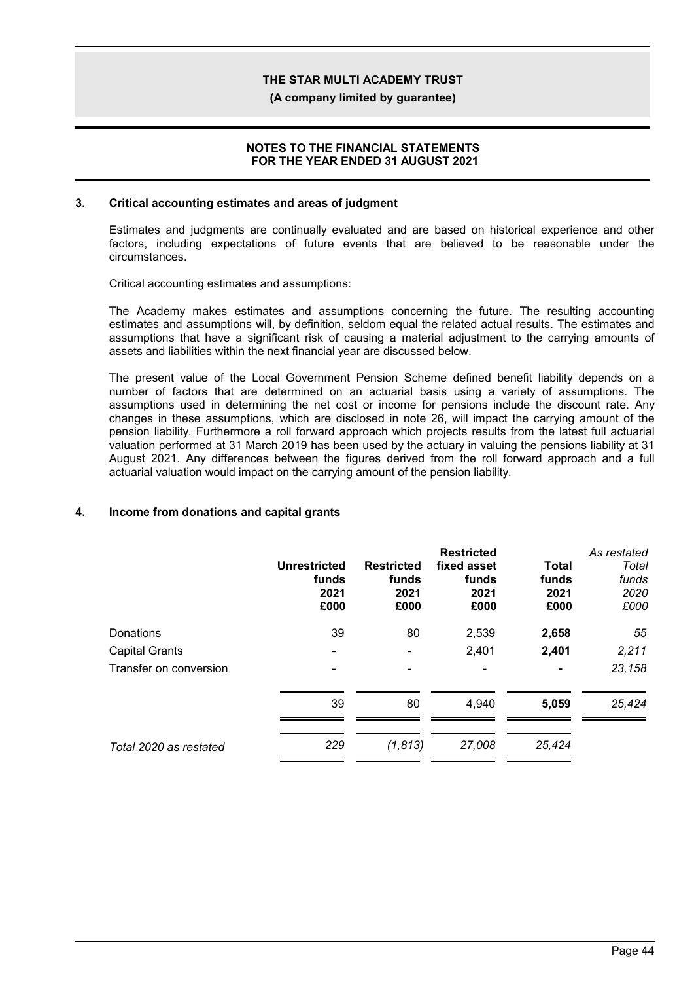**(A company limited by guarantee)**

#### **NOTES TO THE FINANCIAL STATEMENTS FOR THE YEAR ENDED 31 AUGUST 2021**

#### **3. Critical accounting estimates and areas of judgment**

Estimates and judgments are continually evaluated and are based on historical experience and other factors, including expectations of future events that are believed to be reasonable under the circumstances.

Critical accounting estimates and assumptions:

The Academy makes estimates and assumptions concerning the future. The resulting accounting estimates and assumptions will, by definition, seldom equal the related actual results. The estimates and assumptions that have a significant risk of causing a material adjustment to the carrying amounts of assets and liabilities within the next financial year are discussed below.

The present value of the Local Government Pension Scheme defined benefit liability depends on a number of factors that are determined on an actuarial basis using a variety of assumptions. The assumptions used in determining the net cost or income for pensions include the discount rate. Any changes in these assumptions, which are disclosed in note 26, will impact the carrying amount of the pension liability. Furthermore a roll forward approach which projects results from the latest full actuarial valuation performed at 31 March 2019 has been used by the actuary in valuing the pensions liability at 31 August 2021. Any differences between the figures derived from the roll forward approach and a full actuarial valuation would impact on the carrying amount of the pension liability.

### **4. Income from donations and capital grants**

|                        | <b>Unrestricted</b><br>funds<br>2021<br>£000 | <b>Restricted</b><br>funds<br>2021<br>£000 | <b>Restricted</b><br>fixed asset<br>funds<br>2021<br>£000 | <b>Total</b><br>funds<br>2021<br>£000 | As restated<br>Total<br>funds<br>2020<br>£000 |
|------------------------|----------------------------------------------|--------------------------------------------|-----------------------------------------------------------|---------------------------------------|-----------------------------------------------|
| Donations              | 39                                           | 80                                         | 2,539                                                     | 2,658                                 | 55                                            |
| <b>Capital Grants</b>  |                                              |                                            | 2,401                                                     | 2,401                                 | 2,211                                         |
| Transfer on conversion |                                              |                                            |                                                           | ٠                                     | 23,158                                        |
|                        | 39                                           | 80                                         | 4,940                                                     | 5,059                                 | 25,424                                        |
| Total 2020 as restated | 229                                          | (1, 813)                                   | 27,008                                                    | 25,424                                |                                               |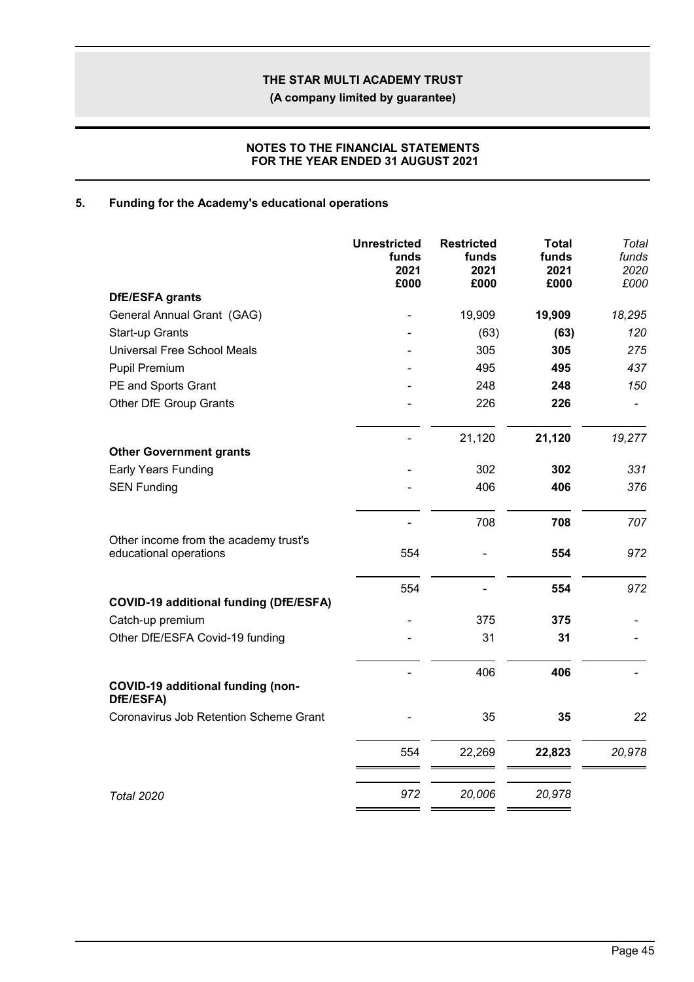**(A company limited by guarantee)**

### **NOTES TO THE FINANCIAL STATEMENTS FOR THE YEAR ENDED 31 AUGUST 2021**

## **5. Funding for the Academy's educational operations**

|                                                                 | <b>Unrestricted</b><br>funds<br>2021<br>£000 | <b>Restricted</b><br>funds<br>2021<br>£000 | <b>Total</b><br>funds<br>2021<br>£000 | Total<br>funds<br>2020<br>£000 |
|-----------------------------------------------------------------|----------------------------------------------|--------------------------------------------|---------------------------------------|--------------------------------|
| DfE/ESFA grants                                                 |                                              |                                            |                                       |                                |
| General Annual Grant (GAG)                                      |                                              | 19,909                                     | 19,909                                | 18,295                         |
| Start-up Grants                                                 |                                              | (63)                                       | (63)                                  | 120                            |
| <b>Universal Free School Meals</b>                              |                                              | 305                                        | 305                                   | 275                            |
| <b>Pupil Premium</b>                                            |                                              | 495                                        | 495                                   | 437                            |
| PE and Sports Grant                                             |                                              | 248                                        | 248                                   | 150                            |
| Other DfE Group Grants                                          |                                              | 226                                        | 226                                   |                                |
| <b>Other Government grants</b>                                  |                                              | 21,120                                     | 21,120                                | 19,277                         |
| <b>Early Years Funding</b>                                      |                                              | 302                                        | 302                                   | 331                            |
| <b>SEN Funding</b>                                              |                                              | 406                                        | 406                                   | 376                            |
|                                                                 |                                              | 708                                        | 708                                   | 707                            |
| Other income from the academy trust's<br>educational operations | 554                                          |                                            | 554                                   | 972                            |
|                                                                 | 554                                          |                                            | 554                                   | 972                            |
| <b>COVID-19 additional funding (DfE/ESFA)</b>                   |                                              | 375                                        | 375                                   |                                |
| Catch-up premium<br>Other DfE/ESFA Covid-19 funding             |                                              | 31                                         | 31                                    |                                |
|                                                                 |                                              | 406                                        | 406                                   |                                |
| <b>COVID-19 additional funding (non-</b><br>DfE/ESFA)           |                                              |                                            |                                       |                                |
| Coronavirus Job Retention Scheme Grant                          |                                              | 35                                         | 35                                    | 22                             |
|                                                                 | 554                                          | 22,269                                     | 22,823                                | 20,978                         |
| <b>Total 2020</b>                                               | 972                                          | 20,006                                     | 20,978                                |                                |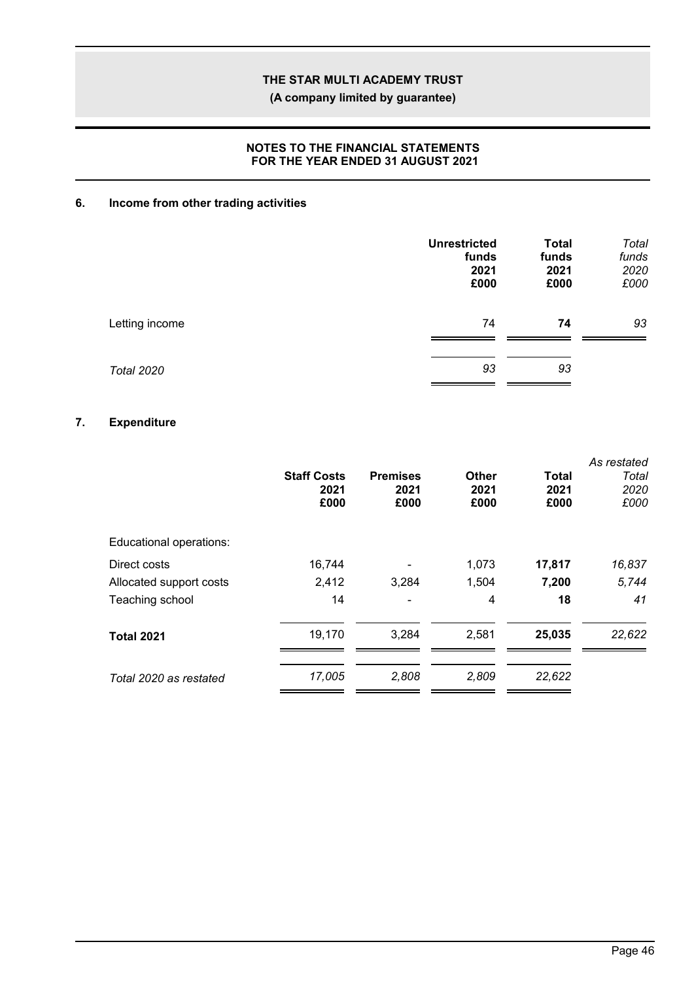**(A company limited by guarantee)**

### **NOTES TO THE FINANCIAL STATEMENTS FOR THE YEAR ENDED 31 AUGUST 2021**

## **6. Income from other trading activities**

|                   | <b>Unrestricted</b><br>funds<br>2021<br>£000 | <b>Total</b><br>funds<br>2021<br>£000 | Total<br>funds<br>2020<br>£000 |
|-------------------|----------------------------------------------|---------------------------------------|--------------------------------|
| Letting income    | 74                                           | 74                                    | 93                             |
| <b>Total 2020</b> | 93                                           | 93                                    |                                |

## **7. Expenditure**

|                         | <b>Staff Costs</b><br>2021<br>£000 | <b>Premises</b><br>2021<br>£000 | <b>Other</b><br>2021<br>£000 | <b>Total</b><br>2021<br>£000 | As restated<br>Total<br>2020<br>£000 |
|-------------------------|------------------------------------|---------------------------------|------------------------------|------------------------------|--------------------------------------|
| Educational operations: |                                    |                                 |                              |                              |                                      |
| Direct costs            | 16,744                             |                                 | 1,073                        | 17,817                       | 16,837                               |
| Allocated support costs | 2,412                              | 3,284                           | 1,504                        | 7,200                        | 5,744                                |
| Teaching school         | 14                                 |                                 | 4                            | 18                           | 41                                   |
| <b>Total 2021</b>       | 19,170                             | 3,284                           | 2,581                        | 25,035                       | 22,622                               |
| Total 2020 as restated  | 17,005                             | 2,808                           | 2,809                        | 22,622                       |                                      |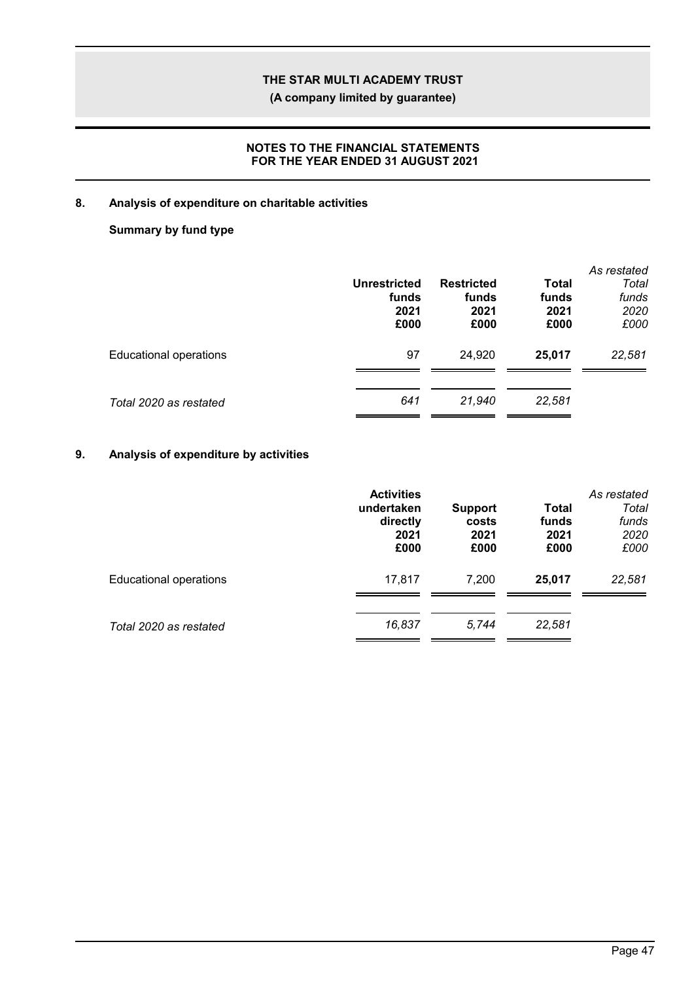**(A company limited by guarantee)**

### **NOTES TO THE FINANCIAL STATEMENTS FOR THE YEAR ENDED 31 AUGUST 2021**

### **8. Analysis of expenditure on charitable activities**

## **Summary by fund type**

|                               | <b>Unrestricted</b><br>funds<br>2021<br>£000 | <b>Restricted</b><br>funds<br>2021<br>£000 | Total<br>funds<br>2021<br>£000 | As restated<br>Total<br>funds<br>2020<br>£000 |
|-------------------------------|----------------------------------------------|--------------------------------------------|--------------------------------|-----------------------------------------------|
| <b>Educational operations</b> | 97                                           | 24.920                                     | 25,017                         | 22,581                                        |
| Total 2020 as restated        | 641                                          | 21.940                                     | 22,581                         |                                               |

## **9. Analysis of expenditure by activities**

|                               | <b>Activities</b><br>undertaken<br>directly<br>2021<br>£000 | <b>Support</b><br>costs<br>2021<br>£000 | Total<br>funds<br>2021<br>£000 | As restated<br>Total<br>funds<br>2020<br>£000 |
|-------------------------------|-------------------------------------------------------------|-----------------------------------------|--------------------------------|-----------------------------------------------|
| <b>Educational operations</b> | 17,817                                                      | 7.200                                   | 25.017                         | 22,581                                        |
| Total 2020 as restated        | 16,837                                                      | 5.744                                   | 22,581                         |                                               |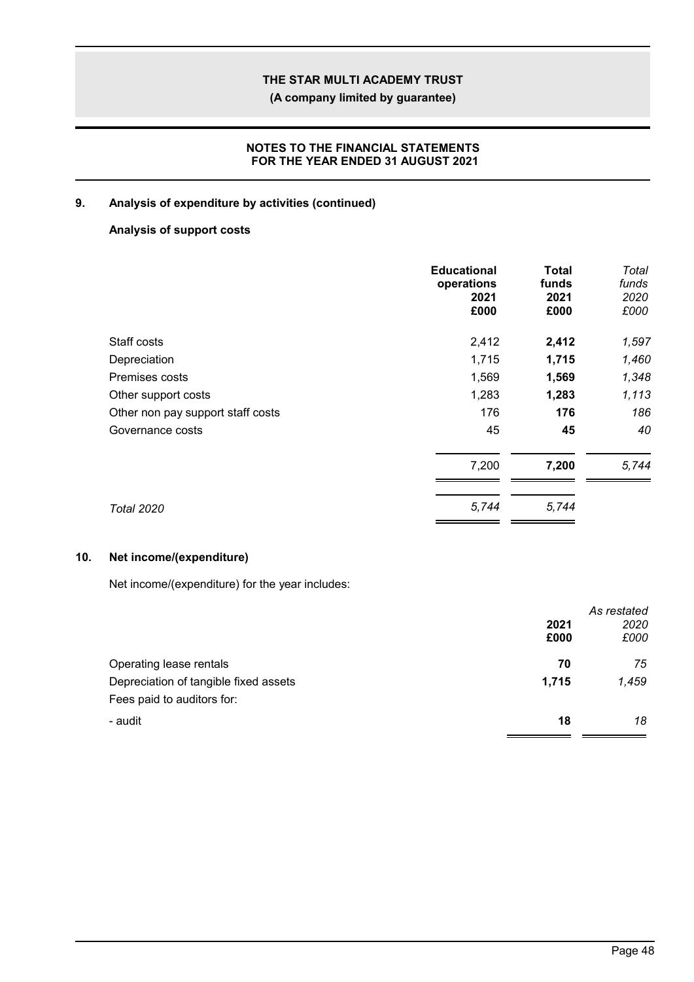**(A company limited by guarantee)**

### **NOTES TO THE FINANCIAL STATEMENTS FOR THE YEAR ENDED 31 AUGUST 2021**

### **9. Analysis of expenditure by activities (continued)**

## **Analysis of support costs**

|                                   | <b>Educational</b><br>operations<br>2021<br>£000 | Total<br>funds<br>2021<br>£000 | Total<br>funds<br>2020<br>£000 |
|-----------------------------------|--------------------------------------------------|--------------------------------|--------------------------------|
| Staff costs                       | 2,412                                            | 2,412                          | 1,597                          |
| Depreciation                      | 1,715                                            | 1,715                          | 1,460                          |
| Premises costs                    | 1,569                                            | 1,569                          | 1,348                          |
| Other support costs               | 1,283                                            | 1,283                          | 1,113                          |
| Other non pay support staff costs | 176                                              | 176                            | 186                            |
| Governance costs                  | 45                                               | 45                             | 40                             |
|                                   | 7,200                                            | 7,200                          | 5,744                          |
| <b>Total 2020</b>                 | 5,744                                            | 5,744                          |                                |

### **10. Net income/(expenditure)**

Net income/(expenditure) for the year includes:

|                                       |       | As restated |
|---------------------------------------|-------|-------------|
|                                       | 2021  | 2020        |
|                                       | £000  | £000        |
| Operating lease rentals               | 70    | 75          |
| Depreciation of tangible fixed assets | 1,715 | 1,459       |
| Fees paid to auditors for:            |       |             |
| - audit                               | 18    | 18          |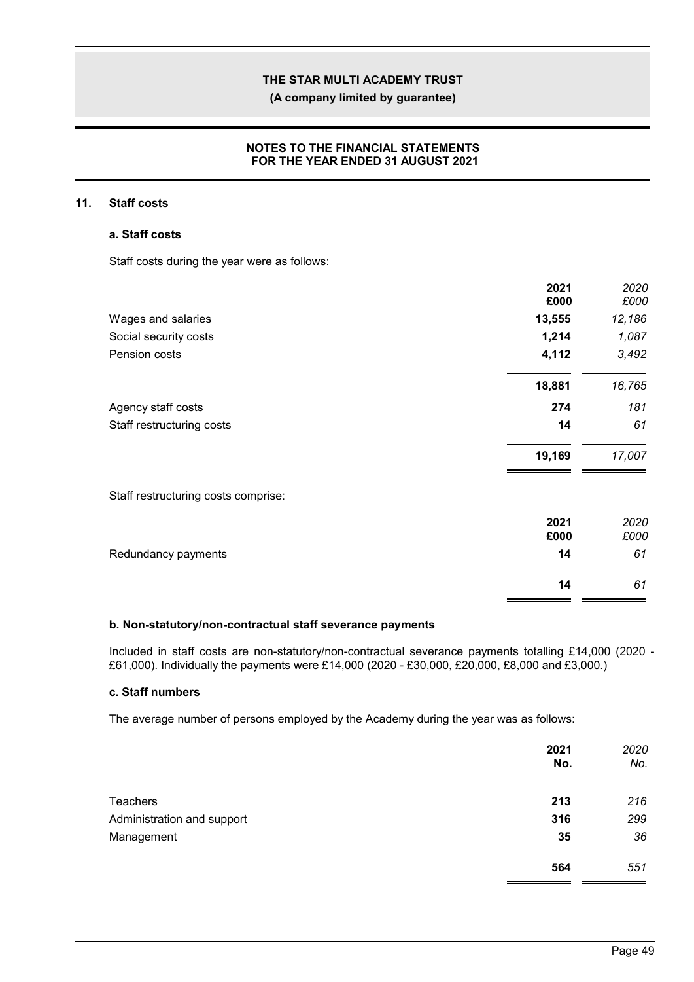**(A company limited by guarantee)**

### **NOTES TO THE FINANCIAL STATEMENTS FOR THE YEAR ENDED 31 AUGUST 2021**

### **11. Staff costs**

#### **a. Staff costs**

Staff costs during the year were as follows:

|                                     | 2021<br>£000 | 2020<br>£000 |
|-------------------------------------|--------------|--------------|
| Wages and salaries                  | 13,555       | 12,186       |
|                                     |              |              |
| Social security costs               | 1,214        | 1,087        |
| Pension costs                       | 4,112        | 3,492        |
|                                     | 18,881       | 16,765       |
| Agency staff costs                  | 274          | 181          |
| Staff restructuring costs           | 14           | 61           |
|                                     | 19,169       | 17,007       |
| Staff restructuring costs comprise: |              |              |
|                                     | 2021         | 2020         |
|                                     | £000         | £000         |
| Redundancy payments                 | 14           | 61           |
|                                     | 14           | 61           |

### **b. Non-statutory/non-contractual staff severance payments**

Included in staff costs are non-statutory/non-contractual severance payments totalling £14,000 (2020 - £61,000). Individually the payments were £14,000 (2020 - £30,000, £20,000, £8,000 and £3,000.)

### **c. Staff numbers**

The average number of persons employed by the Academy during the year was as follows:

|                            | 2021<br>No. | 2020<br>No. |
|----------------------------|-------------|-------------|
| Teachers                   | 213         | 216         |
| Administration and support | 316         | 299         |
| Management                 | 35          | 36          |
|                            | 564         | 551         |

r i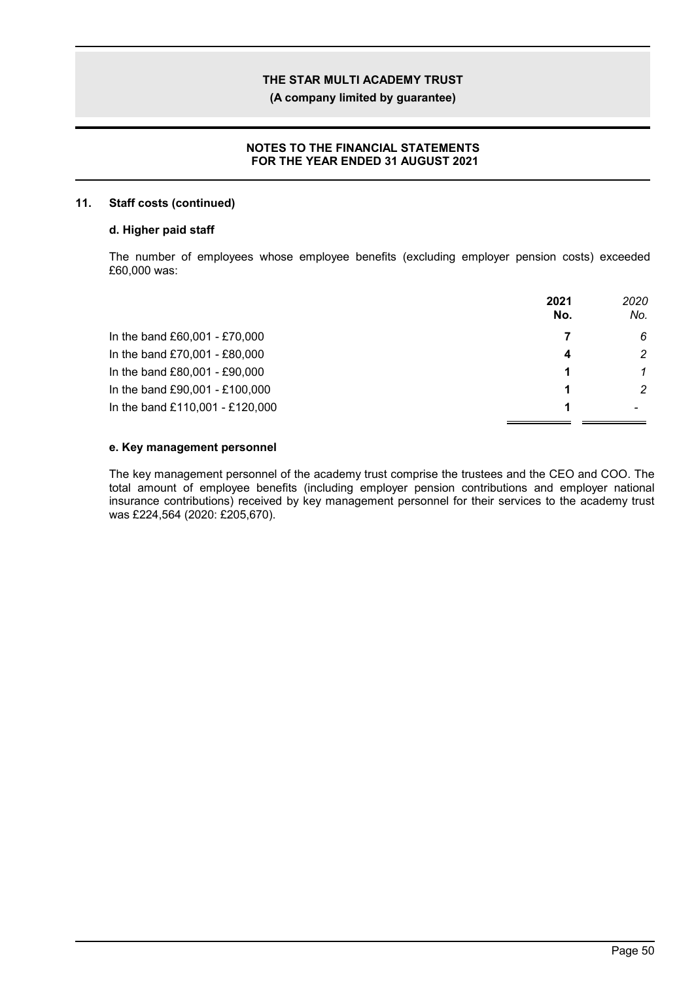**(A company limited by guarantee)**

### **NOTES TO THE FINANCIAL STATEMENTS FOR THE YEAR ENDED 31 AUGUST 2021**

### **11. Staff costs (continued)**

### **d. Higher paid staff**

The number of employees whose employee benefits (excluding employer pension costs) exceeded £60,000 was:

|                                 | 2021<br>No. | 2020<br>No. |
|---------------------------------|-------------|-------------|
| In the band £60,001 - £70,000   |             | 6           |
| In the band £70,001 - £80,000   | Δ           | 2           |
| In the band £80,001 - £90,000   |             |             |
| In the band £90,001 - £100,000  |             | 2           |
| In the band £110,001 - £120,000 |             |             |

### **e. Key management personnel**

The key management personnel of the academy trust comprise the trustees and the CEO and COO. The total amount of employee benefits (including employer pension contributions and employer national insurance contributions) received by key management personnel for their services to the academy trust was £224,564 (2020: £205,670).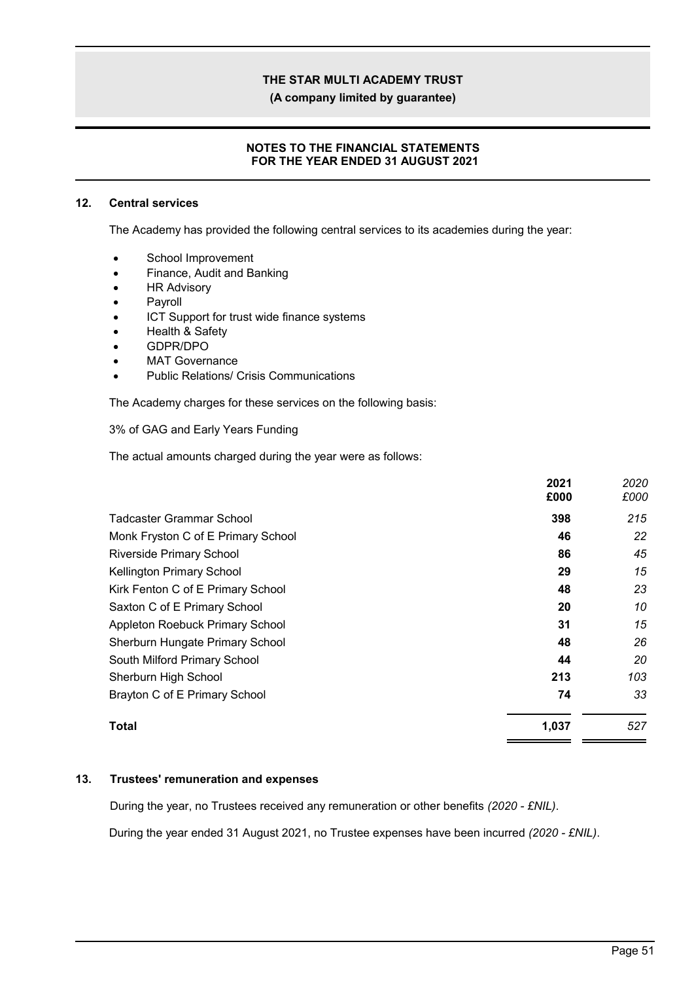**(A company limited by guarantee)**

### **NOTES TO THE FINANCIAL STATEMENTS FOR THE YEAR ENDED 31 AUGUST 2021**

#### **12. Central services**

The Academy has provided the following central services to its academies during the year:

- School Improvement
- Finance, Audit and Banking
- HR Advisory
- Payroll
- ICT Support for trust wide finance systems
- Health & Safety
- GDPR/DPO
- MAT Governance
- Public Relations/ Crisis Communications

The Academy charges for these services on the following basis:

#### 3% of GAG and Early Years Funding

The actual amounts charged during the year were as follows:

|                                    | 2021<br>£000 | 2020<br>£000 |
|------------------------------------|--------------|--------------|
| Tadcaster Grammar School           | 398          | 215          |
| Monk Fryston C of E Primary School | 46           | 22           |
| <b>Riverside Primary School</b>    | 86           | 45           |
| <b>Kellington Primary School</b>   | 29           | 15           |
| Kirk Fenton C of E Primary School  | 48           | 23           |
| Saxton C of E Primary School       | 20           | 10           |
| Appleton Roebuck Primary School    | 31           | 15           |
| Sherburn Hungate Primary School    | 48           | 26           |
| South Milford Primary School       | 44           | 20           |
| Sherburn High School               | 213          | 103          |
| Brayton C of E Primary School      | 74           | 33           |
| Total                              | 1,037        | 527          |

### **13. Trustees' remuneration and expenses**

During the year, no Trustees received any remuneration or other benefits *(2020 - £NIL)*.

During the year ended 31 August 2021, no Trustee expenses have been incurred *(2020 - £NIL)*.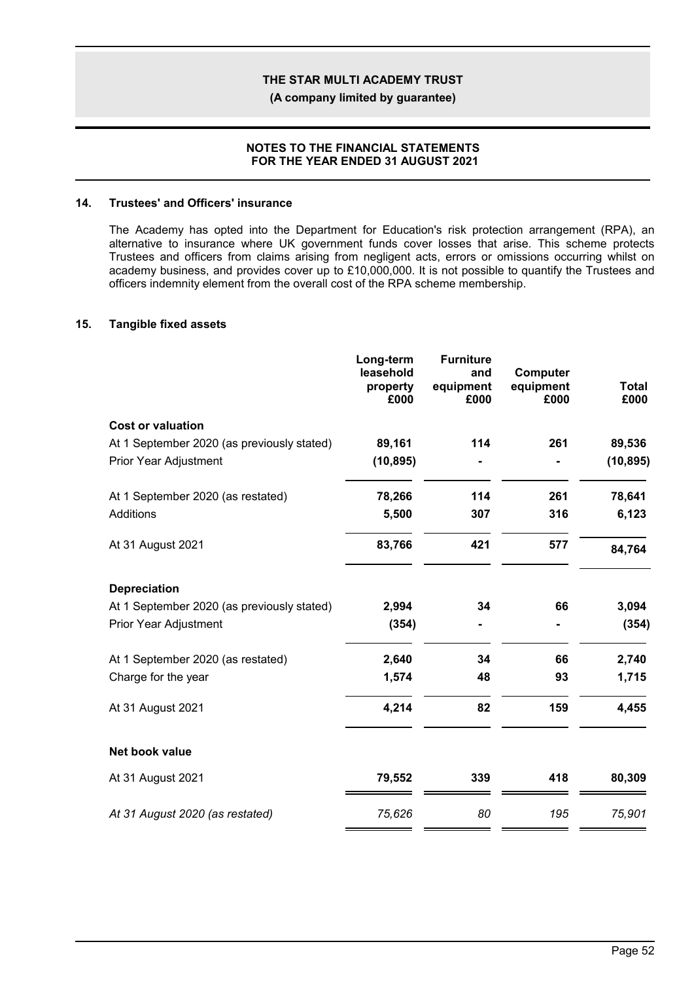**(A company limited by guarantee)**

#### **NOTES TO THE FINANCIAL STATEMENTS FOR THE YEAR ENDED 31 AUGUST 2021**

#### **14. Trustees' and Officers' insurance**

The Academy has opted into the Department for Education's risk protection arrangement (RPA), an alternative to insurance where UK government funds cover losses that arise. This scheme protects Trustees and officers from claims arising from negligent acts, errors or omissions occurring whilst on academy business, and provides cover up to £10,000,000. It is not possible to quantify the Trustees and officers indemnity element from the overall cost of the RPA scheme membership.

#### **15. Tangible fixed assets**

| Long-term<br>leasehold<br>property<br>£000 | <b>Furniture</b><br>and<br>equipment<br>£000 | Computer<br>equipment<br>£000 | <b>Total</b><br>£000 |
|--------------------------------------------|----------------------------------------------|-------------------------------|----------------------|
|                                            |                                              |                               |                      |
| 89,161                                     | 114                                          | 261                           | 89,536               |
| (10, 895)                                  |                                              |                               | (10, 895)            |
| 78,266                                     | 114                                          | 261                           | 78,641               |
| 5,500                                      | 307                                          | 316                           | 6,123                |
| 83,766                                     | 421                                          | 577                           | 84,764               |
|                                            |                                              |                               |                      |
| 2,994                                      | 34                                           | 66                            | 3,094                |
| (354)                                      |                                              |                               | (354)                |
| 2,640                                      | 34                                           | 66                            | 2,740                |
| 1,574                                      | 48                                           | 93                            | 1,715                |
| 4,214                                      | 82                                           | 159                           | 4,455                |
|                                            |                                              |                               |                      |
| 79,552                                     | 339                                          | 418                           | 80,309               |
| 75,626                                     | 80                                           | 195                           | 75,901               |
|                                            |                                              |                               |                      |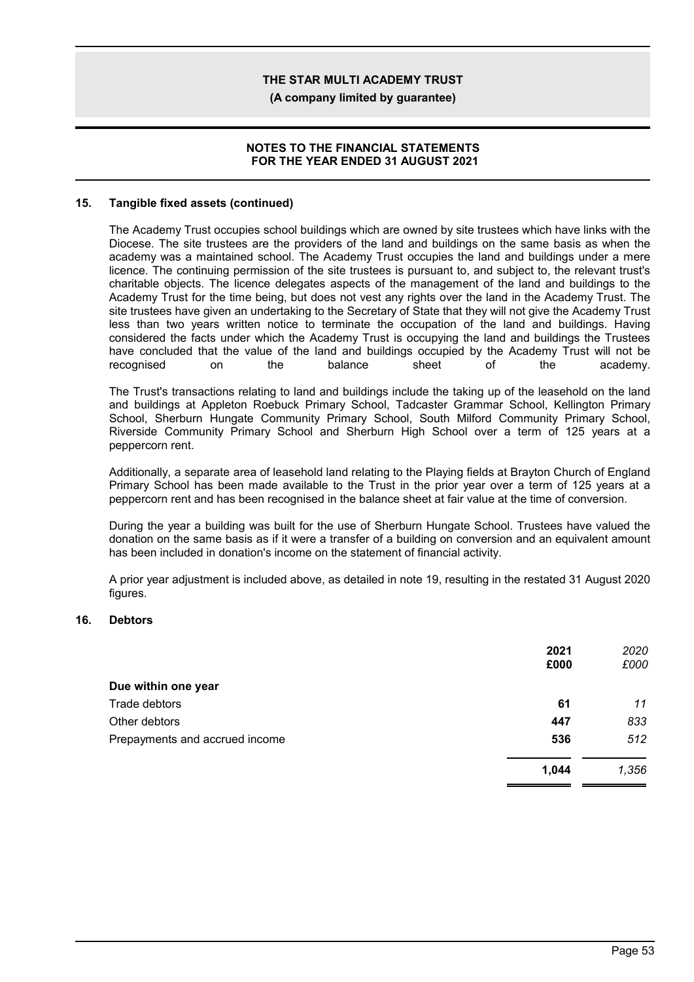**(A company limited by guarantee)**

#### **NOTES TO THE FINANCIAL STATEMENTS FOR THE YEAR ENDED 31 AUGUST 2021**

#### **15. Tangible fixed assets (continued)**

The Academy Trust occupies school buildings which are owned by site trustees which have links with the Diocese. The site trustees are the providers of the land and buildings on the same basis as when the academy was a maintained school. The Academy Trust occupies the land and buildings under a mere licence. The continuing permission of the site trustees is pursuant to, and subject to, the relevant trust's charitable objects. The licence delegates aspects of the management of the land and buildings to the Academy Trust for the time being, but does not vest any rights over the land in the Academy Trust. The site trustees have given an undertaking to the Secretary of State that they will not give the Academy Trust less than two years written notice to terminate the occupation of the land and buildings. Having considered the facts under which the Academy Trust is occupying the land and buildings the Trustees have concluded that the value of the land and buildings occupied by the Academy Trust will not be recognised on the balance sheet of the academy.

The Trust's transactions relating to land and buildings include the taking up of the leasehold on the land and buildings at Appleton Roebuck Primary School, Tadcaster Grammar School, Kellington Primary School, Sherburn Hungate Community Primary School, South Milford Community Primary School, Riverside Community Primary School and Sherburn High School over a term of 125 years at a peppercorn rent.

Additionally, a separate area of leasehold land relating to the Playing fields at Brayton Church of England Primary School has been made available to the Trust in the prior year over a term of 125 years at a peppercorn rent and has been recognised in the balance sheet at fair value at the time of conversion.

During the year a building was built for the use of Sherburn Hungate School. Trustees have valued the donation on the same basis as if it were a transfer of a building on conversion and an equivalent amount has been included in donation's income on the statement of financial activity.

A prior year adjustment is included above, as detailed in note 19, resulting in the restated 31 August 2020 figures.

#### **16. Debtors**

|                                | 2021<br>£000 | 2020<br>£000 |
|--------------------------------|--------------|--------------|
| Due within one year            |              |              |
| Trade debtors                  | 61           | 11           |
| Other debtors                  | 447          | 833          |
| Prepayments and accrued income | 536          | 512          |
|                                | 1,044        | 1,356        |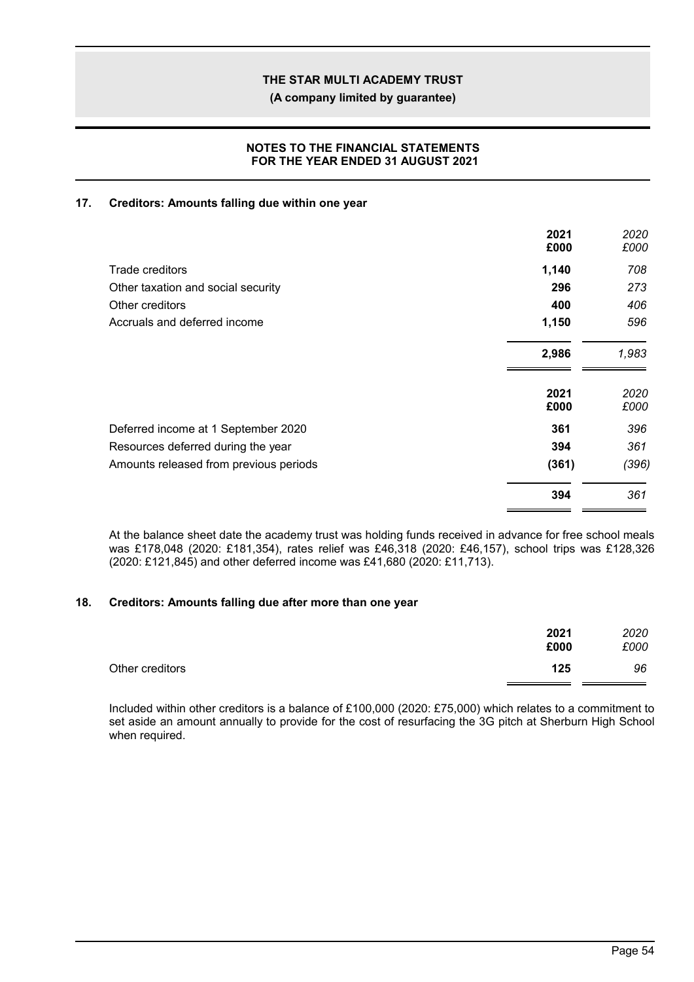**(A company limited by guarantee)**

### **NOTES TO THE FINANCIAL STATEMENTS FOR THE YEAR ENDED 31 AUGUST 2021**

### **17. Creditors: Amounts falling due within one year**

|                                        | 2021<br>£000 | 2020<br>£000 |
|----------------------------------------|--------------|--------------|
| Trade creditors                        | 1,140        | 708          |
| Other taxation and social security     | 296          | 273          |
| Other creditors                        | 400          | 406          |
| Accruals and deferred income           | 1,150        | 596          |
|                                        | 2,986        | 1,983        |
|                                        | 2021<br>£000 | 2020<br>£000 |
| Deferred income at 1 September 2020    | 361          | 396          |
| Resources deferred during the year     | 394          | 361          |
| Amounts released from previous periods | (361)        | (396)        |
|                                        | 394          | 361          |

At the balance sheet date the academy trust was holding funds received in advance for free school meals was £178,048 (2020: £181,354), rates relief was £46,318 (2020: £46,157), school trips was £128,326 (2020: £121,845) and other deferred income was £41,680 (2020: £11,713).

### **18. Creditors: Amounts falling due after more than one year**

|                 | 2021<br>£000 | 2020<br>£000 |
|-----------------|--------------|--------------|
| Other creditors | 125          | 96           |

Included within other creditors is a balance of £100,000 (2020: £75,000) which relates to a commitment to set aside an amount annually to provide for the cost of resurfacing the 3G pitch at Sherburn High School when required.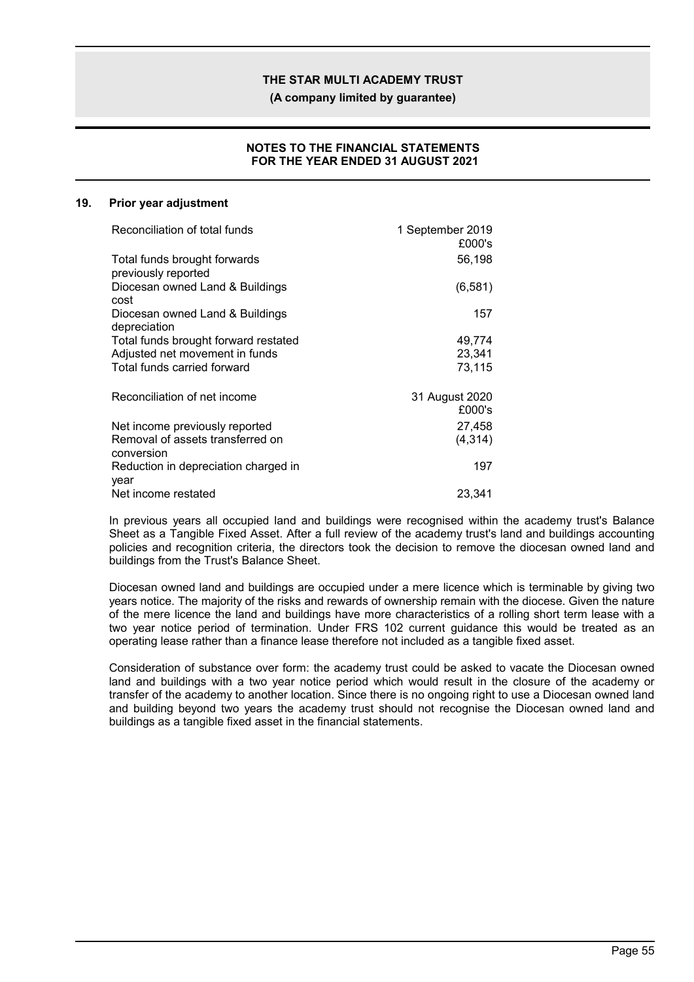**(A company limited by guarantee)**

### **NOTES TO THE FINANCIAL STATEMENTS FOR THE YEAR ENDED 31 AUGUST 2021**

#### **19. Prior year adjustment**

| Reconciliation of total funds                   | 1 September 2019<br>£000's |
|-------------------------------------------------|----------------------------|
| Total funds brought forwards                    | 56,198                     |
| previously reported                             |                            |
| Diocesan owned Land & Buildings<br>cost         | (6, 581)                   |
| Diocesan owned Land & Buildings<br>depreciation | 157                        |
| Total funds brought forward restated            | 49,774                     |
| Adjusted net movement in funds                  | 23,341                     |
| Total funds carried forward                     | 73,115                     |
| Reconciliation of net income                    | 31 August 2020             |
|                                                 | £000's                     |
| Net income previously reported                  | 27,458                     |
| Removal of assets transferred on<br>conversion  | (4, 314)                   |
| Reduction in depreciation charged in<br>year    | 197                        |
| Net income restated                             | 23,341                     |

In previous years all occupied land and buildings were recognised within the academy trust's Balance Sheet as a Tangible Fixed Asset. After a full review of the academy trust's land and buildings accounting policies and recognition criteria, the directors took the decision to remove the diocesan owned land and buildings from the Trust's Balance Sheet.

Diocesan owned land and buildings are occupied under a mere licence which is terminable by giving two years notice. The majority of the risks and rewards of ownership remain with the diocese. Given the nature of the mere licence the land and buildings have more characteristics of a rolling short term lease with a two year notice period of termination. Under FRS 102 current guidance this would be treated as an operating lease rather than a finance lease therefore not included as a tangible fixed asset.

Consideration of substance over form: the academy trust could be asked to vacate the Diocesan owned land and buildings with a two year notice period which would result in the closure of the academy or transfer of the academy to another location. Since there is no ongoing right to use a Diocesan owned land and building beyond two years the academy trust should not recognise the Diocesan owned land and buildings as a tangible fixed asset in the financial statements.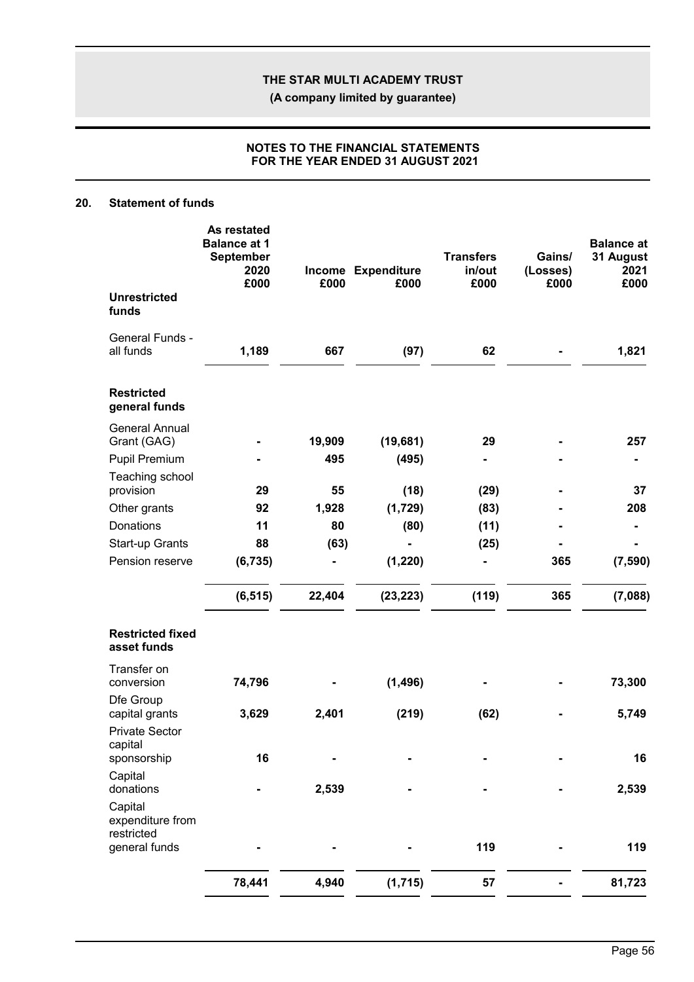**(A company limited by guarantee)**

### **NOTES TO THE FINANCIAL STATEMENTS FOR THE YEAR ENDED 31 AUGUST 2021**

### **20. Statement of funds**

|                                                                 | As restated<br><b>Balance at 1</b><br><b>September</b><br>2020<br>£000 | £000   | Income Expenditure<br>£000 | <b>Transfers</b><br>in/out<br>£000 | Gains/<br>(Losses)<br>£000 | <b>Balance at</b><br>31 August<br>2021<br>£000 |
|-----------------------------------------------------------------|------------------------------------------------------------------------|--------|----------------------------|------------------------------------|----------------------------|------------------------------------------------|
| <b>Unrestricted</b><br>funds                                    |                                                                        |        |                            |                                    |                            |                                                |
| General Funds -<br>all funds                                    | 1,189                                                                  | 667    | (97)                       | 62                                 |                            | 1,821                                          |
| <b>Restricted</b><br>general funds                              |                                                                        |        |                            |                                    |                            |                                                |
| <b>General Annual</b><br>Grant (GAG)                            |                                                                        | 19,909 | (19,681)                   | 29                                 |                            | 257                                            |
| Pupil Premium                                                   |                                                                        | 495    | (495)                      |                                    |                            |                                                |
| Teaching school                                                 |                                                                        |        |                            |                                    |                            |                                                |
| provision                                                       | 29                                                                     | 55     | (18)                       | (29)                               |                            | 37                                             |
| Other grants                                                    | 92                                                                     | 1,928  | (1,729)                    | (83)                               |                            | 208                                            |
| Donations                                                       | 11                                                                     | 80     | (80)                       | (11)                               |                            |                                                |
| Start-up Grants                                                 | 88                                                                     | (63)   |                            | (25)                               |                            |                                                |
| Pension reserve                                                 | (6, 735)                                                               |        | (1, 220)                   |                                    | 365                        | (7, 590)                                       |
|                                                                 | (6, 515)                                                               | 22,404 | (23, 223)                  | (119)                              | 365                        | (7,088)                                        |
| <b>Restricted fixed</b><br>asset funds                          |                                                                        |        |                            |                                    |                            |                                                |
| Transfer on<br>conversion                                       | 74,796                                                                 |        | (1, 496)                   |                                    |                            | 73,300                                         |
| Dfe Group<br>capital grants<br><b>Private Sector</b><br>capital | 3,629                                                                  | 2,401  | (219)                      | (62)                               |                            | 5,749                                          |
| sponsorship                                                     | 16                                                                     | -      |                            |                                    |                            | 16                                             |
| Capital<br>donations                                            |                                                                        | 2,539  |                            |                                    |                            | 2,539                                          |
| Capital<br>expenditure from<br>restricted                       |                                                                        |        |                            |                                    |                            |                                                |
| general funds                                                   |                                                                        |        |                            | 119                                |                            | 119                                            |
|                                                                 | 78,441                                                                 | 4,940  | (1,715)                    | 57                                 |                            | 81,723                                         |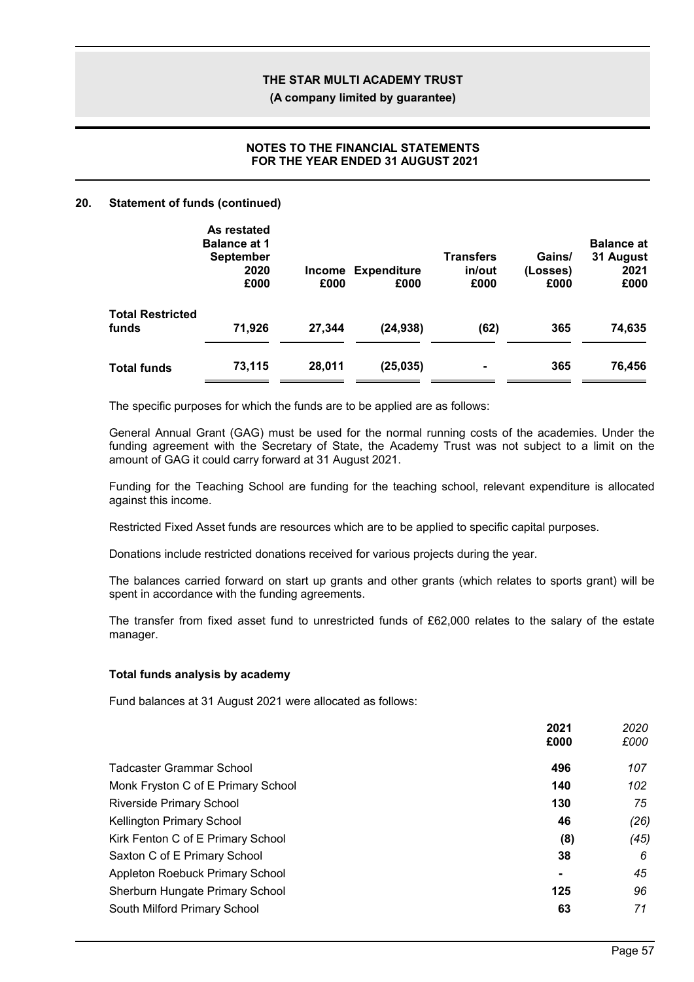**(A company limited by guarantee)**

### **NOTES TO THE FINANCIAL STATEMENTS FOR THE YEAR ENDED 31 AUGUST 2021**

#### **20. Statement of funds (continued)**

|                                  | As restated<br><b>Balance at 1</b><br><b>September</b><br>2020<br>£000 | £000   | Income Expenditure<br>£000 | <b>Transfers</b><br>in/out<br>£000 | Gains/<br>(Losses)<br>£000 | <b>Balance at</b><br>31 August<br>2021<br>£000 |
|----------------------------------|------------------------------------------------------------------------|--------|----------------------------|------------------------------------|----------------------------|------------------------------------------------|
| <b>Total Restricted</b><br>funds | 71,926                                                                 | 27,344 | (24, 938)                  | (62)                               | 365                        | 74,635                                         |
| <b>Total funds</b>               | 73,115                                                                 | 28,011 | (25, 035)                  | $\blacksquare$                     | 365                        | 76,456                                         |

The specific purposes for which the funds are to be applied are as follows:

General Annual Grant (GAG) must be used for the normal running costs of the academies. Under the funding agreement with the Secretary of State, the Academy Trust was not subject to a limit on the amount of GAG it could carry forward at 31 August 2021.

Funding for the Teaching School are funding for the teaching school, relevant expenditure is allocated against this income.

Restricted Fixed Asset funds are resources which are to be applied to specific capital purposes.

Donations include restricted donations received for various projects during the year.

The balances carried forward on start up grants and other grants (which relates to sports grant) will be spent in accordance with the funding agreements.

The transfer from fixed asset fund to unrestricted funds of £62,000 relates to the salary of the estate manager.

#### **Total funds analysis by academy**

Fund balances at 31 August 2021 were allocated as follows:

|                                    | 2021<br>£000   | 2020<br>£000 |
|------------------------------------|----------------|--------------|
| Tadcaster Grammar School           | 496            | 107          |
| Monk Fryston C of E Primary School | 140            | 102          |
| <b>Riverside Primary School</b>    | 130            | 75           |
| Kellington Primary School          | 46             | (26)         |
| Kirk Fenton C of E Primary School  | (8)            | (45)         |
| Saxton C of E Primary School       | 38             | 6            |
| Appleton Roebuck Primary School    | $\blacksquare$ | 45           |
| Sherburn Hungate Primary School    | 125            | 96           |
| South Milford Primary School       | 63             | 71           |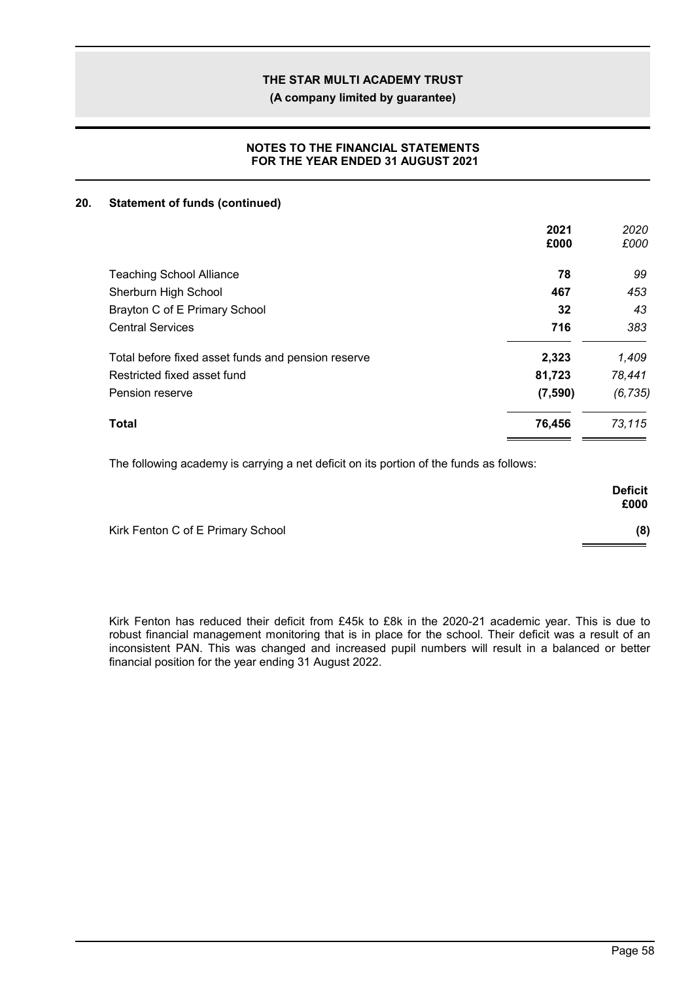**(A company limited by guarantee)**

### **NOTES TO THE FINANCIAL STATEMENTS FOR THE YEAR ENDED 31 AUGUST 2021**

### **20. Statement of funds (continued)**

|                                                    | 2021    | 2020     |
|----------------------------------------------------|---------|----------|
|                                                    | £000    | £000     |
| <b>Teaching School Alliance</b>                    | 78      | 99       |
| Sherburn High School                               | 467     | 453      |
| Brayton C of E Primary School                      | 32      | 43       |
| <b>Central Services</b>                            | 716     | 383      |
| Total before fixed asset funds and pension reserve | 2,323   | 1,409    |
| Restricted fixed asset fund                        | 81,723  | 78,441   |
| Pension reserve                                    | (7,590) | (6, 735) |
| Total                                              | 76,456  | 73,115   |

The following academy is carrying a net deficit on its portion of the funds as follows:

|                                   | <b>Deficit</b><br>£000 |
|-----------------------------------|------------------------|
| Kirk Fenton C of E Primary School | (8)                    |

Kirk Fenton has reduced their deficit from £45k to £8k in the 2020-21 academic year. This is due to robust financial management monitoring that is in place for the school. Their deficit was a result of an inconsistent PAN. This was changed and increased pupil numbers will result in a balanced or better financial position for the year ending 31 August 2022.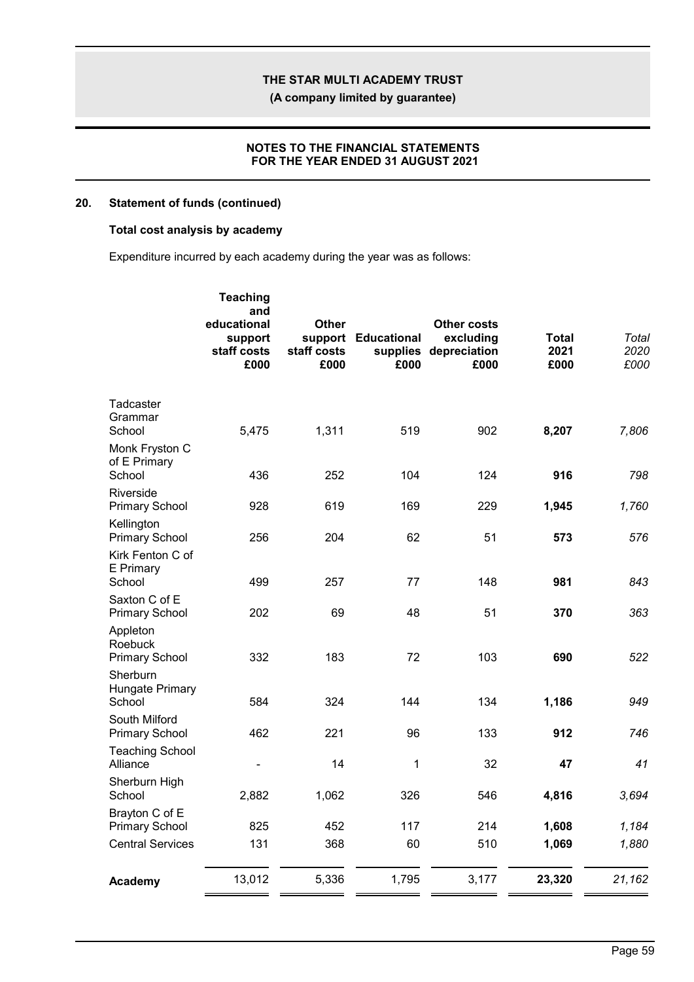**(A company limited by guarantee)**

### **NOTES TO THE FINANCIAL STATEMENTS FOR THE YEAR ENDED 31 AUGUST 2021**

### **20. Statement of funds (continued)**

# **Total cost analysis by academy**

Expenditure incurred by each academy during the year was as follows:

| and<br>educational<br>support<br>staff costs<br>£000 | <b>Other</b><br>staff costs<br>£000 | £000        | <b>Other costs</b><br>excluding<br>£000 | Total<br>2021<br>£000 | Total<br>2020<br>£000 |
|------------------------------------------------------|-------------------------------------|-------------|-----------------------------------------|-----------------------|-----------------------|
| 5,475                                                | 1,311                               | 519         | 902                                     | 8,207                 | 7,806                 |
| 436                                                  | 252                                 | 104         | 124                                     | 916                   | 798                   |
| 928                                                  | 619                                 | 169         | 229                                     | 1,945                 | 1,760                 |
| 256                                                  | 204                                 | 62          | 51                                      | 573                   | 576                   |
| 499                                                  | 257                                 | 77          | 148                                     | 981                   | 843                   |
| 202                                                  | 69                                  | 48          | 51                                      | 370                   | 363                   |
| 332                                                  | 183                                 | 72          | 103                                     | 690                   | 522                   |
| 584                                                  | 324                                 | 144         | 134                                     | 1,186                 | 949                   |
| 462                                                  | 221                                 | 96          | 133                                     | 912                   | 746                   |
| $\qquad \qquad \blacksquare$                         | 14                                  | $\mathbf 1$ | 32                                      | 47                    | 41                    |
| 2,882                                                | 1,062                               | 326         | 546                                     | 4,816                 | 3,694                 |
| 825                                                  | 452                                 | 117         | 214                                     | 1,608                 | 1,184                 |
| 131                                                  | 368                                 | 60          | 510                                     | 1,069                 | 1,880                 |
| 13,012                                               | 5,336                               | 1,795       | 3,177                                   | 23,320                | 21,162                |
|                                                      | <b>Teaching</b>                     |             | support Educational                     | supplies depreciation |                       |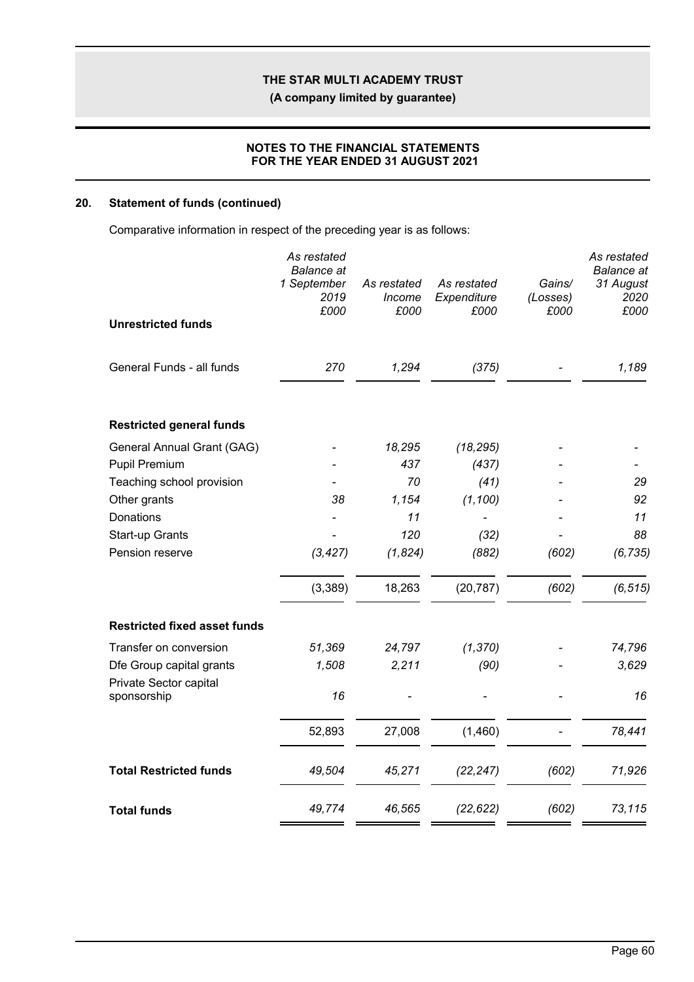**(A company limited by guarantee)**

### **NOTES TO THE FINANCIAL STATEMENTS FOR THE YEAR ENDED 31 AUGUST 2021**

## **20. Statement of funds (continued)**

Comparative information in respect of the preceding year is as follows:

|                                                    | As restated<br><b>Balance</b> at<br>1 September | As restated    | As restated         | Gains/           | As restated<br><b>Balance</b> at<br>31 August |
|----------------------------------------------------|-------------------------------------------------|----------------|---------------------|------------------|-----------------------------------------------|
|                                                    | 2019<br>£000                                    | Income<br>£000 | Expenditure<br>£000 | (Losses)<br>£000 | 2020<br>£000                                  |
| <b>Unrestricted funds</b>                          |                                                 |                |                     |                  |                                               |
| General Funds - all funds                          | 270                                             | 1,294          | (375)               |                  | 1,189                                         |
| <b>Restricted general funds</b>                    |                                                 |                |                     |                  |                                               |
| General Annual Grant (GAG)                         |                                                 | 18,295         | (18, 295)           |                  |                                               |
| Pupil Premium                                      |                                                 | 437            | (437)               |                  |                                               |
| Teaching school provision                          |                                                 | 70             | (41)                |                  | 29                                            |
| Other grants                                       | 38                                              | 1,154          | (1, 100)            |                  | 92                                            |
| Donations                                          |                                                 | 11             |                     |                  | 11                                            |
| Start-up Grants                                    |                                                 | 120            | (32)                |                  | 88                                            |
| Pension reserve                                    | (3, 427)                                        | (1,824)        | (882)               | (602)            | (6, 735)                                      |
|                                                    | (3,389)                                         | 18,263         | (20, 787)           | (602)            | (6, 515)                                      |
| <b>Restricted fixed asset funds</b>                |                                                 |                |                     |                  |                                               |
| Transfer on conversion                             | 51,369                                          | 24,797         | (1, 370)            |                  | 74,796                                        |
| Dfe Group capital grants<br>Private Sector capital | 1,508                                           | 2,211          | (90)                |                  | 3,629                                         |
| sponsorship                                        | 16                                              |                |                     |                  | 16                                            |
|                                                    | 52,893                                          | 27,008         | (1,460)             |                  | 78,441                                        |
| <b>Total Restricted funds</b>                      | 49,504                                          | 45,271         | (22, 247)           | (602)            | 71,926                                        |
| <b>Total funds</b>                                 | 49,774                                          | 46,565         | (22, 622)           | (602)            | 73,115                                        |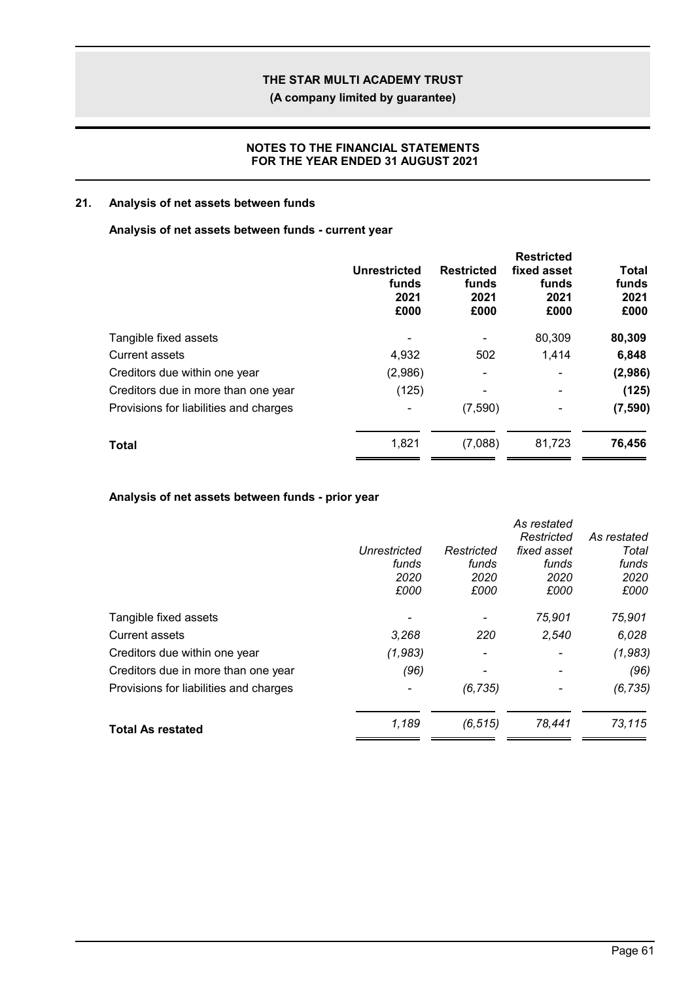**(A company limited by guarantee)**

### **NOTES TO THE FINANCIAL STATEMENTS FOR THE YEAR ENDED 31 AUGUST 2021**

## **21. Analysis of net assets between funds**

### **Analysis of net assets between funds - current year**

|                                        | Unrestricted<br>funds<br>2021<br>£000 | <b>Restricted</b><br>funds<br>2021<br>£000 | <b>Restricted</b><br>fixed asset<br>funds<br>2021<br>£000 | Total<br>funds<br>2021<br>£000 |
|----------------------------------------|---------------------------------------|--------------------------------------------|-----------------------------------------------------------|--------------------------------|
| Tangible fixed assets                  |                                       |                                            | 80,309                                                    | 80,309                         |
| <b>Current assets</b>                  | 4,932                                 | 502                                        | 1,414                                                     | 6,848                          |
| Creditors due within one year          | (2,986)                               | -                                          | ۰                                                         | (2,986)                        |
| Creditors due in more than one year    | (125)                                 | -                                          | ۰                                                         | (125)                          |
| Provisions for liabilities and charges |                                       | (7,590)                                    | -                                                         | (7,590)                        |
| <b>Total</b>                           | 1,821                                 | (7,088)                                    | 81,723                                                    | 76,456                         |
|                                        |                                       |                                            |                                                           |                                |

### **Analysis of net assets between funds - prior year**

|                                        |              |            | As restated |             |
|----------------------------------------|--------------|------------|-------------|-------------|
|                                        |              |            | Restricted  | As restated |
|                                        | Unrestricted | Restricted | fixed asset | Total       |
|                                        | funds        | funds      | funds       | funds       |
|                                        | 2020         | 2020       | 2020        | 2020        |
|                                        | £000         | £000       | £000        | £000        |
| Tangible fixed assets                  |              |            | 75,901      | 75,901      |
| Current assets                         | 3,268        | 220        | 2,540       | 6,028       |
| Creditors due within one year          | (1,983)      |            |             | (1,983)     |
| Creditors due in more than one year    | (96)         |            |             | (96)        |
| Provisions for liabilities and charges |              | (6, 735)   |             | (6, 735)    |
| <b>Total As restated</b>               | 1,189        | (6, 515)   | 78,441      | 73,115      |
|                                        |              |            |             |             |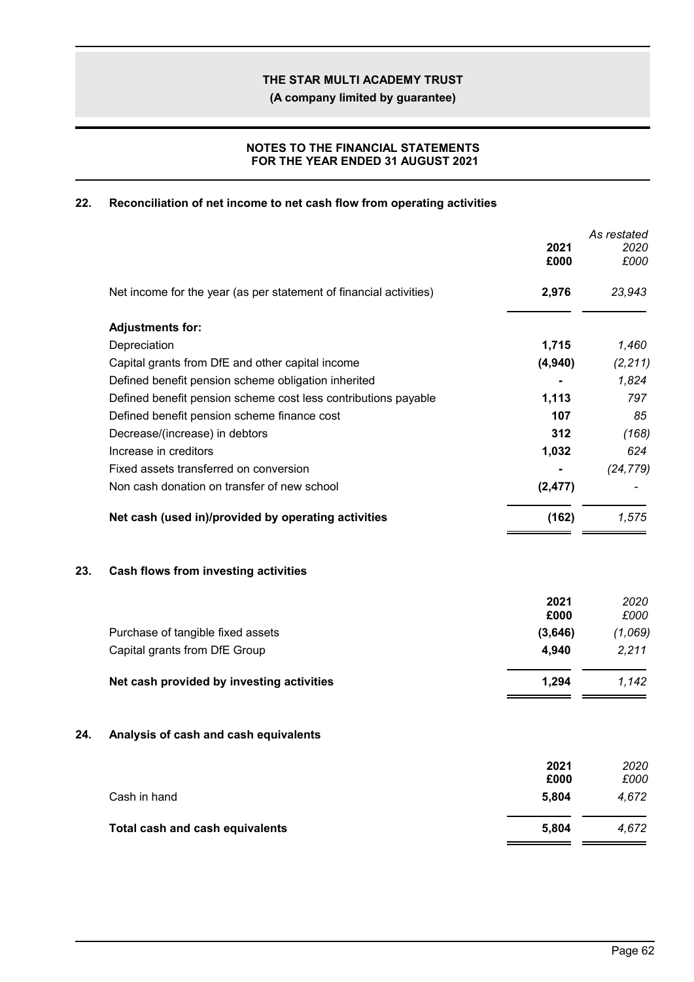**(A company limited by guarantee)**

### **NOTES TO THE FINANCIAL STATEMENTS FOR THE YEAR ENDED 31 AUGUST 2021**

## **22. Reconciliation of net income to net cash flow from operating activities**

|     |                                                                    | 2021<br>£000  | As restated<br>2020<br>£000 |
|-----|--------------------------------------------------------------------|---------------|-----------------------------|
|     | Net income for the year (as per statement of financial activities) | 2,976         | 23,943                      |
|     | <b>Adjustments for:</b>                                            |               |                             |
|     | Depreciation                                                       | 1,715         | 1,460                       |
|     | Capital grants from DfE and other capital income                   | (4,940)       | (2, 211)                    |
|     | Defined benefit pension scheme obligation inherited                |               | 1,824                       |
|     | Defined benefit pension scheme cost less contributions payable     | 1,113         | 797                         |
|     | Defined benefit pension scheme finance cost                        | 107           | 85                          |
|     | Decrease/(increase) in debtors                                     | 312           | (168)                       |
|     | Increase in creditors                                              | 1,032         | 624                         |
|     | Fixed assets transferred on conversion                             |               | (24, 779)                   |
|     | Non cash donation on transfer of new school                        | (2, 477)      |                             |
|     | Net cash (used in)/provided by operating activities                | (162)         | 1,575                       |
| 23. | Cash flows from investing activities                               |               |                             |
|     |                                                                    | 2021<br>£000  | 2020<br>£000                |
|     | Purchase of tangible fixed assets                                  | (3,646)       | (1,069)                     |
|     | Capital grants from DfE Group                                      | 4,940         | 2,211                       |
|     | Net cash provided by investing activities                          | 1,294         | 1,142                       |
| 24. | Analysis of cash and cash equivalents                              |               |                             |
|     |                                                                    | 2021          | 2020                        |
|     | Cash in hand                                                       | £000<br>5,804 | £000<br>4,672               |
|     | Total cash and cash equivalents                                    | 5,804         | 4,672                       |
|     |                                                                    |               |                             |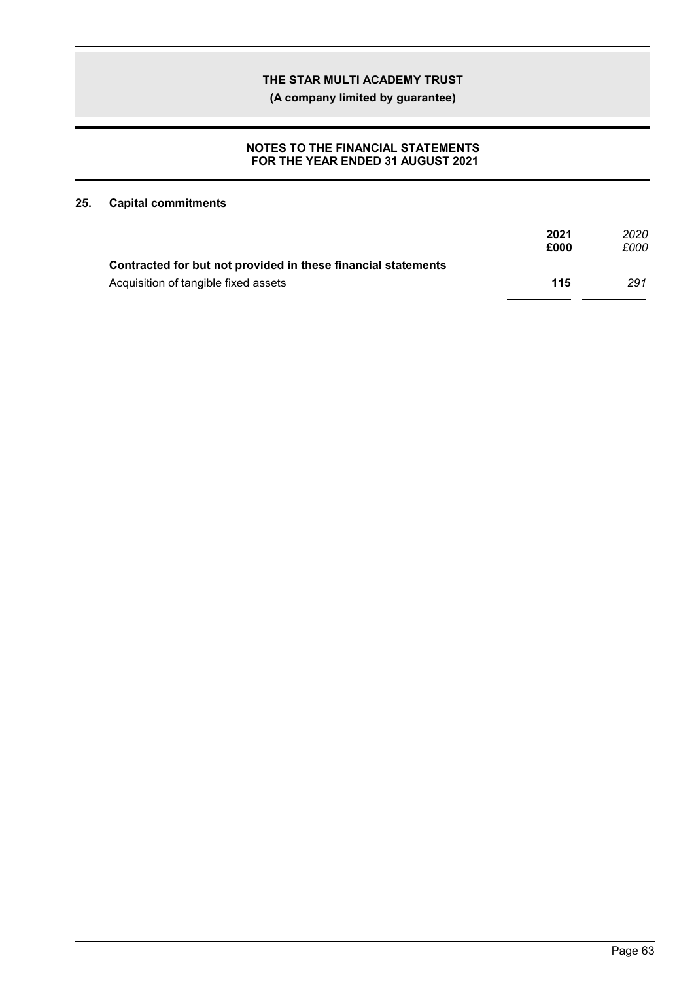**(A company limited by guarantee)**

### **NOTES TO THE FINANCIAL STATEMENTS FOR THE YEAR ENDED 31 AUGUST 2021**

## **25. Capital commitments**

|                                                               | 2021<br>£000 | 2020<br>£000 |
|---------------------------------------------------------------|--------------|--------------|
| Contracted for but not provided in these financial statements |              |              |
| Acquisition of tangible fixed assets                          | 115          | 291          |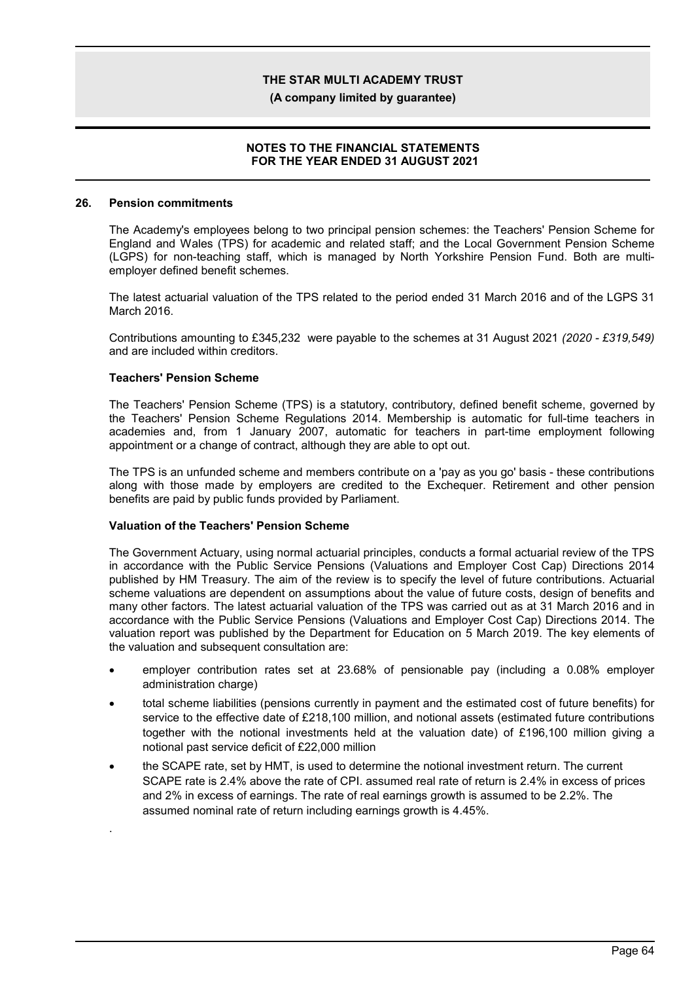**(A company limited by guarantee)**

### **NOTES TO THE FINANCIAL STATEMENTS FOR THE YEAR ENDED 31 AUGUST 2021**

#### **26. Pension commitments**

The Academy's employees belong to two principal pension schemes: the Teachers' Pension Scheme for England and Wales (TPS) for academic and related staff; and the Local Government Pension Scheme (LGPS) for non-teaching staff, which is managed by North Yorkshire Pension Fund. Both are multiemployer defined benefit schemes.

The latest actuarial valuation of the TPS related to the period ended 31 March 2016 and of the LGPS 31 March 2016.

Contributions amounting to £345,232 were payable to the schemes at 31 August 2021 *(2020 - £319,549)* and are included within creditors.

### **Teachers' Pension Scheme**

.

The Teachers' Pension Scheme (TPS) is a statutory, contributory, defined benefit scheme, governed by the Teachers' Pension Scheme Regulations 2014. Membership is automatic for full-time teachers in academies and, from 1 January 2007, automatic for teachers in part-time employment following appointment or a change of contract, although they are able to opt out.

The TPS is an unfunded scheme and members contribute on a 'pay as you go' basis - these contributions along with those made by employers are credited to the Exchequer. Retirement and other pension benefits are paid by public funds provided by Parliament.

#### **Valuation of the Teachers' Pension Scheme**

The Government Actuary, using normal actuarial principles, conducts a formal actuarial review of the TPS in accordance with the Public Service Pensions (Valuations and Employer Cost Cap) Directions 2014 published by HM Treasury. The aim of the review is to specify the level of future contributions. Actuarial scheme valuations are dependent on assumptions about the value of future costs, design of benefits and many other factors. The latest actuarial valuation of the TPS was carried out as at 31 March 2016 and in accordance with the Public Service Pensions (Valuations and Employer Cost Cap) Directions 2014. The valuation report was published by the Department for Education on 5 March 2019. The key elements of the valuation and subsequent consultation are:

- employer contribution rates set at 23.68% of pensionable pay (including a 0.08% employer administration charge)
- total scheme liabilities (pensions currently in payment and the estimated cost of future benefits) for service to the effective date of £218,100 million, and notional assets (estimated future contributions together with the notional investments held at the valuation date) of £196,100 million giving a notional past service deficit of £22,000 million
- the SCAPE rate, set by HMT, is used to determine the notional investment return. The current SCAPE rate is 2.4% above the rate of CPI. assumed real rate of return is 2.4% in excess of prices and 2% in excess of earnings. The rate of real earnings growth is assumed to be 2.2%. The assumed nominal rate of return including earnings growth is 4.45%.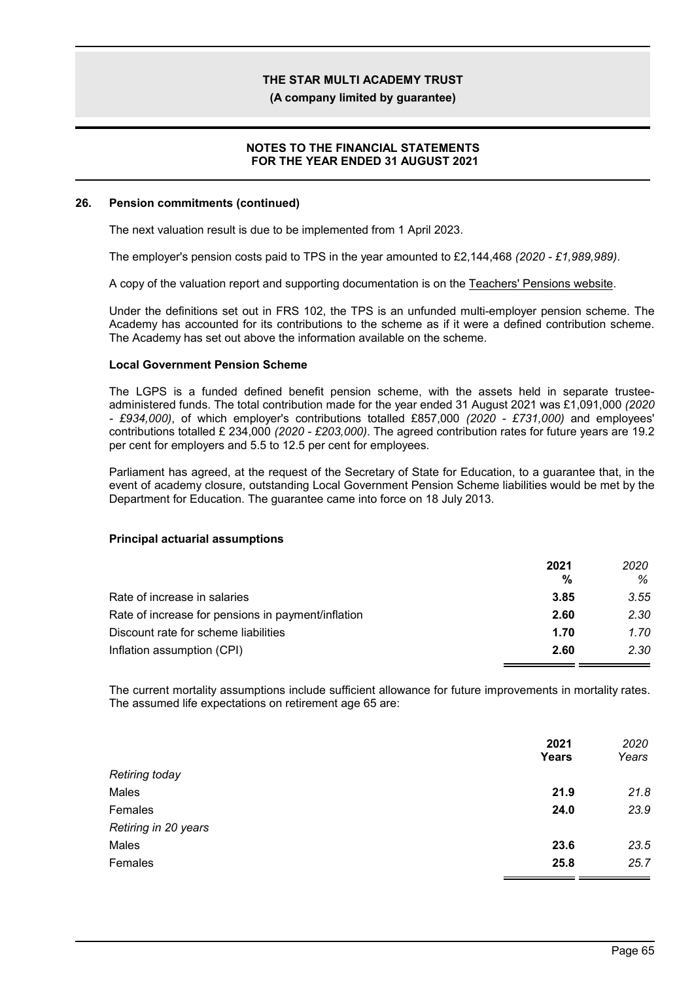**(A company limited by guarantee)**

### **NOTES TO THE FINANCIAL STATEMENTS FOR THE YEAR ENDED 31 AUGUST 2021**

#### **26. Pension commitments (continued)**

The next valuation result is due to be implemented from 1 April 2023.

The employer's pension costs paid to TPS in the year amounted to £2,144,468 *(2020 - £1,989,989)*.

A copy of the valuation report and supporting documentation is on the Teachers' Pensions website.

Under the definitions set out in FRS 102, the TPS is an unfunded multi-employer pension scheme. The Academy has accounted for its contributions to the scheme as if it were a defined contribution scheme. The Academy has set out above the information available on the scheme.

#### **Local Government Pension Scheme**

The LGPS is a funded defined benefit pension scheme, with the assets held in separate trusteeadministered funds. The total contribution made for the year ended 31 August 2021 was £1,091,000 *(2020 - £934,000)*, of which employer's contributions totalled £857,000 *(2020 - £731,000)* and employees' contributions totalled £ 234,000 *(2020 - £203,000)*. The agreed contribution rates for future years are 19.2 per cent for employers and 5.5 to 12.5 per cent for employees.

Parliament has agreed, at the request of the Secretary of State for Education, to a guarantee that, in the event of academy closure, outstanding Local Government Pension Scheme liabilities would be met by the Department for Education. The guarantee came into force on 18 July 2013.

#### **Principal actuarial assumptions**

|                                                    | 2021 | 2020 |
|----------------------------------------------------|------|------|
|                                                    | %    | ℅    |
| Rate of increase in salaries                       | 3.85 | 3.55 |
| Rate of increase for pensions in payment/inflation | 2.60 | 2.30 |
| Discount rate for scheme liabilities               | 1.70 | 1.70 |
| Inflation assumption (CPI)                         | 2.60 | 2.30 |

The current mortality assumptions include sufficient allowance for future improvements in mortality rates. The assumed life expectations on retirement age 65 are:

| 2021  | 2020  |
|-------|-------|
| Years | Years |
|       |       |
| 21.9  | 21.8  |
| 24.0  | 23.9  |
|       |       |
| 23.6  | 23.5  |
| 25.8  | 25.7  |
|       |       |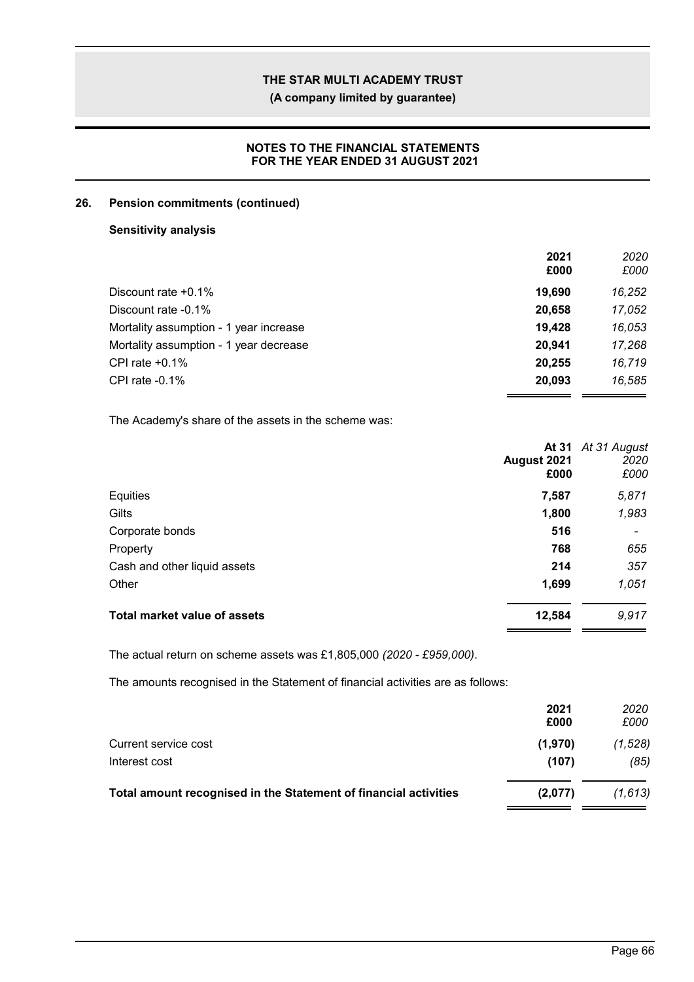**(A company limited by guarantee)**

### **NOTES TO THE FINANCIAL STATEMENTS FOR THE YEAR ENDED 31 AUGUST 2021**

### **26. Pension commitments (continued)**

### **Sensitivity analysis**

|                                        | 2021<br>£000 | 2020<br>£000 |
|----------------------------------------|--------------|--------------|
| Discount rate $+0.1\%$                 | 19,690       | 16,252       |
| Discount rate -0.1%                    | 20,658       | 17,052       |
| Mortality assumption - 1 year increase | 19.428       | 16,053       |
| Mortality assumption - 1 year decrease | 20.941       | 17,268       |
| CPI rate $+0.1\%$                      | 20,255       | 16.719       |
| CPI rate $-0.1\%$                      | 20,093       | 16,585       |

The Academy's share of the assets in the scheme was:

|                                     | August 2021<br>£000 | At 31 At 31 August<br>2020<br>£000 |
|-------------------------------------|---------------------|------------------------------------|
| Equities                            | 7,587               | 5,871                              |
| Gilts                               | 1,800               | 1,983                              |
| Corporate bonds                     | 516                 |                                    |
| Property                            | 768                 | 655                                |
| Cash and other liquid assets        | 214                 | 357                                |
| Other                               | 1,699               | 1,051                              |
| <b>Total market value of assets</b> | 12,584              | 9,917                              |

The actual return on scheme assets was £1,805,000 *(2020 - £959,000)*.

The amounts recognised in the Statement of financial activities are as follows:

|                                                                  | 2021<br>£000 | 2020<br>£000 |
|------------------------------------------------------------------|--------------|--------------|
| Current service cost                                             | (1,970)      | (1, 528)     |
| Interest cost                                                    | (107)        | (85)         |
| Total amount recognised in the Statement of financial activities | (2,077)      | (1,613)      |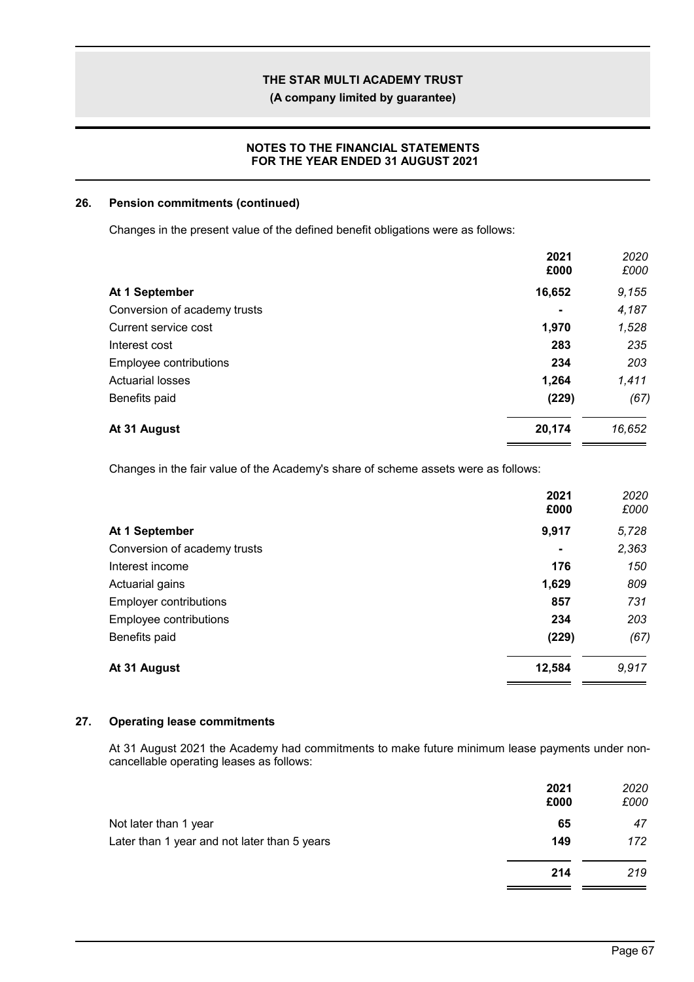**(A company limited by guarantee)**

### **NOTES TO THE FINANCIAL STATEMENTS FOR THE YEAR ENDED 31 AUGUST 2021**

#### **26. Pension commitments (continued)**

Changes in the present value of the defined benefit obligations were as follows:

| At 1 September<br>Conversion of academy trusts<br>Current service cost | 2021<br>£000   | 2020<br>£000 |
|------------------------------------------------------------------------|----------------|--------------|
|                                                                        | 16,652         | 9,155        |
|                                                                        | $\blacksquare$ | 4,187        |
|                                                                        | 1,970          | 1,528        |
| Interest cost                                                          | 283            | 235          |
| Employee contributions                                                 | 234            | 203          |
| <b>Actuarial losses</b>                                                | 1,264          | 1,411        |
| Benefits paid                                                          | (229)          | (67)         |
| At 31 August                                                           | 20,174         | 16,652       |

Changes in the fair value of the Academy's share of scheme assets were as follows:

|                               | 2021<br>£000   | 2020<br>£000 |
|-------------------------------|----------------|--------------|
| At 1 September                | 9,917          | 5,728        |
| Conversion of academy trusts  | $\blacksquare$ | 2,363        |
| Interest income               | 176            | 150          |
| Actuarial gains               | 1,629          | 809          |
| <b>Employer contributions</b> | 857            | 731          |
| Employee contributions        | 234            | 203          |
| Benefits paid                 | (229)          | (67)         |
| At 31 August                  | 12,584         | 9,917        |

### **27. Operating lease commitments**

At 31 August 2021 the Academy had commitments to make future minimum lease payments under noncancellable operating leases as follows:

|                                              | 2021<br>£000 | 2020<br>£000 |
|----------------------------------------------|--------------|--------------|
| Not later than 1 year                        | 65           | 47           |
| Later than 1 year and not later than 5 years | 149          | 172          |
|                                              | 214          | 219          |